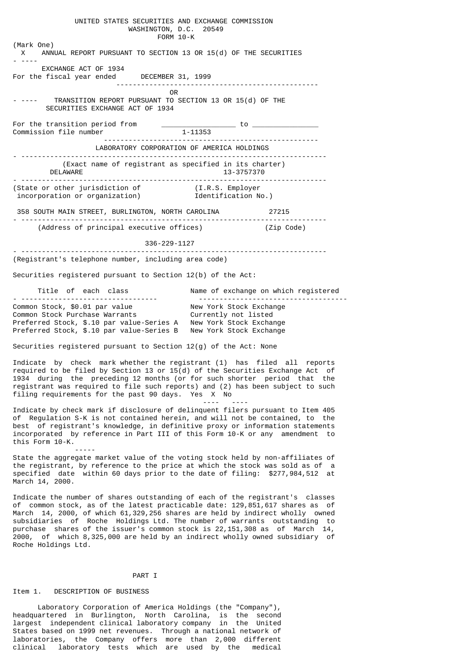UNITED STATES SECURITIES AND EXCHANGE COMMISSION WASHINGTON, D.C. 20549 FORM 10-K (Mark One) X ANNUAL REPORT PURSUANT TO SECTION 13 OR 15(d) OF THE SECURITIES - ---- EXCHANGE ACT OF 1934 For the fiscal year ended DECEMBER 31, 1999 ------------------------------------------------- **OR** Service of the state of the state of the state of the state of the state of the state of the state of the state of the state of the state of the state of the state of the state of the state of the state of the state o - ---- TRANSITION REPORT PURSUANT TO SECTION 13 OR 15(d) OF THE SECURITIES EXCHANGE ACT OF 1934 For the transition period from  $\begin{array}{c} \text{1-11353} \\ \text{1-11353} \end{array}$  to  $\begin{array}{c} \text{1-12353} \\ \text{1-12353} \end{array}$ Commission file number ---------------------------------------------------- LABORATORY CORPORATION OF AMERICA HOLDINGS - -------------------------------------------------------------------------- (Exact name of registrant as specified in its charter) 13-3757370 - -------------------------------------------------------------------------- (State or other jurisdiction of (I.R.S. Employer incorporation or organization) Identification No.) 358 SOUTH MAIN STREET, BURLINGTON, NORTH CAROLINA 27215 - -------------------------------------------------------------------------- (Address of principal executive offices) (Zip Code) 336-229-1127 - -------------------------------------------------------------------------- (Registrant's telephone number, including area code) Securities registered pursuant to Section 12(b) of the Act: Title of each class  $\hbox{\tt Name}$  of exchange on which registered - --------------------------------- ------------------------------------ Common Stock, \$0.01 par value New York Stock Exchange Common Stock Purchase Warrants Currently not listed Preferred Stock, \$.10 par value-Series A New York Stock Exchange Preferred Stock, \$.10 par value-Series B New York Stock Exchange Securities registered pursuant to Section 12(g) of the Act: None Indicate by check mark whether the registrant (1) has filed all reports required to be filed by Section 13 or  $15(d)$  of the Securities Exchange Act of 1934 during the preceding 12 months (or for such shorter period that the registrant was required to file such reports) and (2) has been subject to such filing requirements for the past 90 days. Yes X No ---- ---- Indicate by check mark if disclosure of delinquent filers pursuant to Item 405 of Regulation S-K is not contained herein, and will not be contained, to the best of registrant's knowledge, in definitive proxy or information statements incorporated by reference in Part III of this Form 10-K or any amendment to this Form 10-K. ----- State the aggregate market value of the voting stock held by non-affiliates of the registrant, by reference to the price at which the stock was sold as of a specified date within 60 days prior to the date of filing: \$277,984,512 at March 14, 2000. Indicate the number of shares outstanding of each of the registrant's classes of common stock, as of the latest practicable date: 129,851,617 shares as of March 14, 2000, of which 61,329,256 shares are held by indirect wholly owned subsidiaries of Roche Holdings Ltd. The number of warrants outstanding to purchase shares of the issuer's common stock is 22,151,308 as of March 14,

#### PART I

2000, of which 8,325,000 are held by an indirect wholly owned subsidiary of

### Item 1. DESCRIPTION OF BUSINESS

Roche Holdings Ltd.

 Laboratory Corporation of America Holdings (the "Company"), headquartered in Burlington, North Carolina, is the second largest independent clinical laboratory company in the United States based on 1999 net revenues. Through a national network of laboratories, the Company offers more than 2,000 different clinical laboratory tests which are used by the medical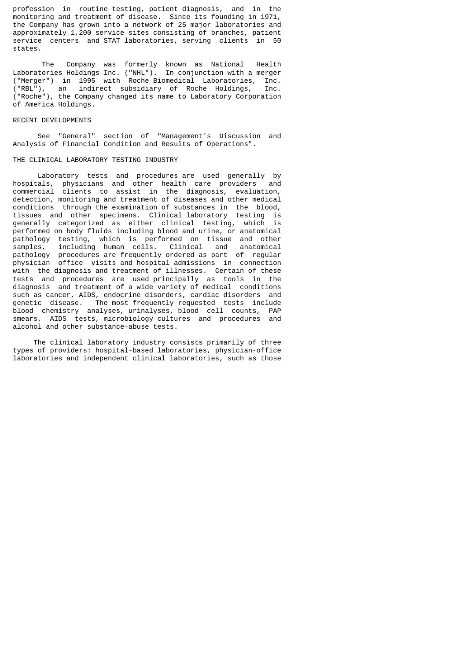profession in routine testing, patient diagnosis, and in the monitoring and treatment of disease. Since its founding in 1971, the Company has grown into a network of 25 major laboratories and approximately 1,200 service sites consisting of branches, patient service centers and STAT laboratories, serving clients in 50 states.

 The Company was formerly known as National Health Laboratories Holdings Inc. ("NHL"). In conjunction with a merger ("Merger") in 1995 with Roche Biomedical Laboratories, Inc. ("RBL"), an indirect subsidiary of Roche Holdings, Inc. ("Roche"), the Company changed its name to Laboratory Corporation of America Holdings.

#### RECENT DEVELOPMENTS

 See "General" section of "Management's Discussion and Analysis of Financial Condition and Results of Operations".

### THE CLINICAL LABORATORY TESTING INDUSTRY

 Laboratory tests and procedures are used generally by hospitals, physicians and other health care providers and commercial clients to assist in the diagnosis, evaluation, detection, monitoring and treatment of diseases and other medical conditions through the examination of substances in the blood, tissues and other specimens. Clinical laboratory testing is generally categorized as either clinical testing, which is performed on body fluids including blood and urine, or anatomical pathology testing, which is performed on tissue and other samples, including human cells. Clinical and anatomical pathology procedures are frequently ordered as part of regular physician office visits and hospital admissions in connection with the diagnosis and treatment of illnesses. Certain of these tests and procedures are used principally as tools in the diagnosis and treatment of a wide variety of medical conditions such as cancer, AIDS, endocrine disorders, cardiac disorders and genetic disease. The most frequently requested tests include blood chemistry analyses, urinalyses, blood cell counts, PAP smears, AIDS tests, microbiology cultures and procedures and alcohol and other substance-abuse tests.

 The clinical laboratory industry consists primarily of three types of providers: hospital-based laboratories, physician-office laboratories and independent clinical laboratories, such as those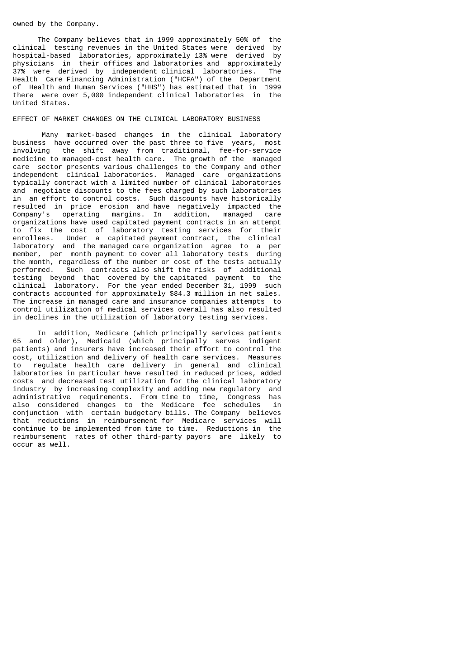# owned by the Company.

 The Company believes that in 1999 approximately 50% of the clinical testing revenues in the United States were derived by hospital-based laboratories, approximately 13% were derived by physicians in their offices and laboratories and approximately 37% were derived by independent clinical laboratories. The Health Care Financing Administration ("HCFA") of the Department of Health and Human Services ("HHS") has estimated that in 1999 there were over 5,000 independent clinical laboratories in the United States.

# EFFECT OF MARKET CHANGES ON THE CLINICAL LABORATORY BUSINESS

 Many market-based changes in the clinical laboratory business have occurred over the past three to five years, most involving the shift away from traditional, fee-for-service medicine to managed-cost health care. The growth of the managed care sector presents various challenges to the Company and other independent clinical laboratories. Managed care organizations typically contract with a limited number of clinical laboratories and negotiate discounts to the fees charged by such laboratories in an effort to control costs. Such discounts have historically resulted in price erosion and have negatively impacted the Company's operating margins. In addition, managed care organizations have used capitated payment contracts in an attempt to fix the cost of laboratory testing services for their enrollees. Under a capitated payment contract, the clinical laboratory and the managed care organization agree to a per member, per month payment to cover all laboratory tests during the month, regardless of the number or cost of the tests actually performed. Such contracts also shift the risks of additional testing beyond that covered by the capitated payment to the clinical laboratory. For the year ended December 31, 1999 such contracts accounted for approximately \$84.3 million in net sales. The increase in managed care and insurance companies attempts to control utilization of medical services overall has also resulted in declines in the utilization of laboratory testing services.

 In addition, Medicare (which principally services patients 65 and older), Medicaid (which principally serves indigent patients) and insurers have increased their effort to control the cost, utilization and delivery of health care services. Measures to regulate health care delivery in general and clinical laboratories in particular have resulted in reduced prices, added costs and decreased test utilization for the clinical laboratory industry by increasing complexity and adding new regulatory and administrative requirements. From time to time, Congress has also considered changes to the Medicare fee schedules in conjunction with certain budgetary bills. The Company believes that reductions in reimbursement for Medicare services will continue to be implemented from time to time. Reductions in the reimbursement rates of other third-party payors are likely to occur as well.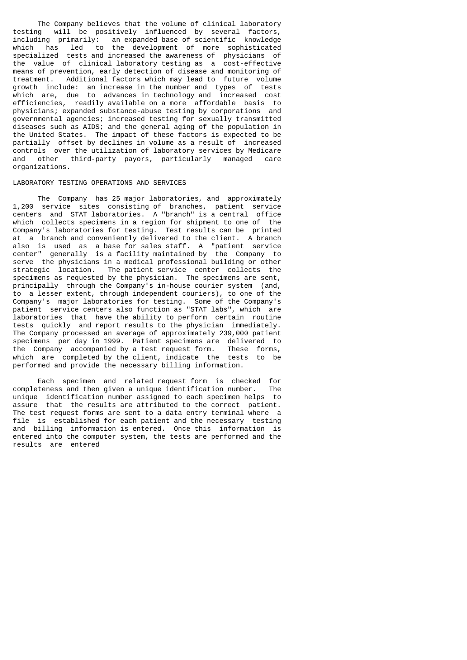The Company believes that the volume of clinical laboratory testing will be positively influenced by several factors, including primarily: an expanded base of scientific knowledge which has led to the development of more sophisticated specialized tests and increased the awareness of physicians of the value of clinical laboratory testing as a cost-effective means of prevention, early detection of disease and monitoring of treatment. Additional factors which may lead to future volume growth include: an increase in the number and types of tests which are, due to advances in technology and increased cost efficiencies, readily available on a more affordable basis to physicians; expanded substance-abuse testing by corporations and governmental agencies; increased testing for sexually transmitted diseases such as AIDS; and the general aging of the population in the United States. The impact of these factors is expected to be partially offset by declines in volume as a result of increased controls over the utilization of laboratory services by Medicare other third-party payors, particularly managed organizations.

## LABORATORY TESTING OPERATIONS AND SERVICES

 The Company has 25 major laboratories, and approximately 1,200 service sites consisting of branches, patient service centers and STAT laboratories. A "branch" is a central office which collects specimens in a region for shipment to one of the Company's laboratories for testing. Test results can be printed at a branch and conveniently delivered to the client. A branch also is used as a base for sales staff. A "patient service center" generally is a facility maintained by the Company to serve the physicians in a medical professional building or other strategic location. The patient service center collects the specimens as requested by the physician. The specimens are sent, principally through the Company's in-house courier system (and, to a lesser extent, through independent couriers), to one of the Company's major laboratories for testing. Some of the Company's patient service centers also function as "STAT labs", which are laboratories that have the ability to perform certain routine tests quickly and report results to the physician immediately. The Company processed an average of approximately 239,000 patient specimens per day in 1999. Patient specimens are delivered to the Company accompanied by a test request form. These forms, which are completed by the client, indicate the tests to be performed and provide the necessary billing information.

 Each specimen and related request form is checked for completeness and then given a unique identification number. The unique identification number assigned to each specimen helps to assure that the results are attributed to the correct patient. The test request forms are sent to a data entry terminal where a file is established for each patient and the necessary testing and billing information is entered. Once this information is entered into the computer system, the tests are performed and the results are entered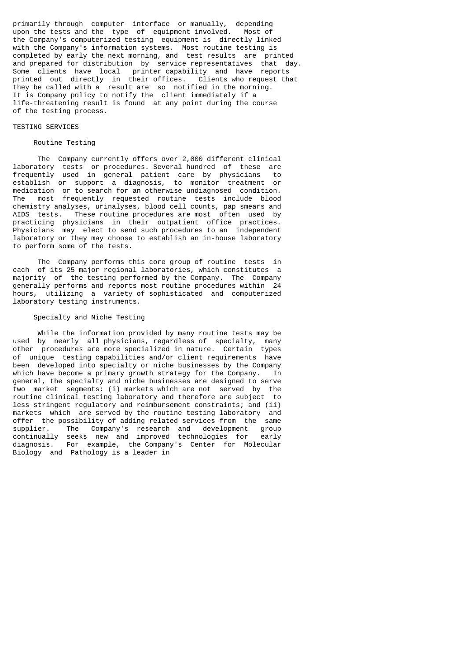primarily through computer interface or manually, depending upon the tests and the type of equipment involved. Most of the Company's computerized testing equipment is directly linked with the Company's information systems. Most routine testing is completed by early the next morning, and test results are printed and prepared for distribution by service representatives that day. Some clients have local printer capability and have reports printed out directly in their offices. Clients who request that they be called with a result are so notified in the morning. It is Company policy to notify the client immediately if a life-threatening result is found at any point during the course of the testing process.

# TESTING SERVICES

# Routine Testing

 The Company currently offers over 2,000 different clinical laboratory tests or procedures. Several hundred of these are frequently used in general patient care by physicians to establish or support a diagnosis, to monitor treatment or medication or to search for an otherwise undiagnosed condition. The most frequently requested routine tests include blood chemistry analyses, urinalyses, blood cell counts, pap smears and AIDS tests. These routine procedures are most often used by practicing physicians in their outpatient office practices. Physicians may elect to send such procedures to an independent laboratory or they may choose to establish an in-house laboratory to perform some of the tests.

 The Company performs this core group of routine tests in each of its 25 major regional laboratories, which constitutes a majority of the testing performed by the Company. The Company generally performs and reports most routine procedures within 24 hours, utilizing a variety of sophisticated and computerized laboratory testing instruments.

### Specialty and Niche Testing

 While the information provided by many routine tests may be used by nearly all physicians, regardless of specialty, many other procedures are more specialized in nature. Certain types of unique testing capabilities and/or client requirements have been developed into specialty or niche businesses by the Company which have become a primary growth strategy for the Company. In general, the specialty and niche businesses are designed to serve two market segments: (i) markets which are not served by the routine clinical testing laboratory and therefore are subject to less stringent regulatory and reimbursement constraints; and (ii) markets which are served by the routine testing laboratory and offer the possibility of adding related services from the same supplier. The Company's research and development group continually seeks new and improved technologies for early continually seeks new and improved technologies for diagnosis. For example, the Company's Center for Molecular Biology and Pathology is a leader in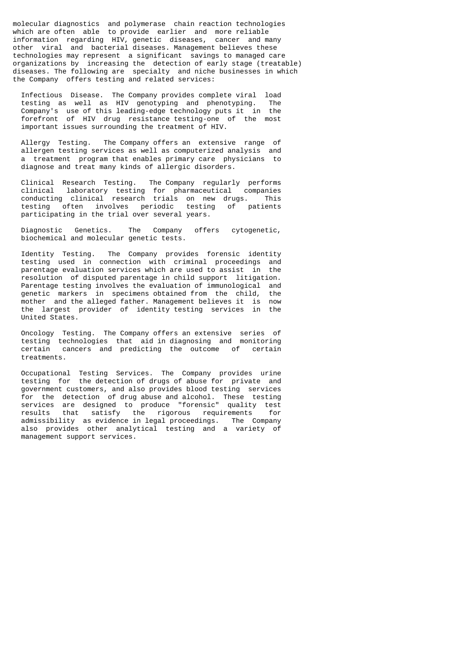molecular diagnostics and polymerase chain reaction technologies which are often able to provide earlier and more reliable information regarding HIV, genetic diseases, cancer and many other viral and bacterial diseases. Management believes these technologies may represent a significant savings to managed care organizations by increasing the detection of early stage (treatable) diseases. The following are specialty and niche businesses in which the Company offers testing and related services:

 Infectious Disease. The Company provides complete viral load testing as well as HIV genotyping and phenotyping. The Company's use of this leading-edge technology puts it in the forefront of HIV drug resistance testing-one of the most important issues surrounding the treatment of HIV.

 Allergy Testing. The Company offers an extensive range of allergen testing services as well as computerized analysis and a treatment program that enables primary care physicians to diagnose and treat many kinds of allergic disorders.

 Clinical Research Testing. The Company regularly performs clinical laboratory testing for pharmaceutical companies conducting clinical research trials on new drugs. This testing often involves periodic testing of patients participating in the trial over several years.

 Diagnostic Genetics. The Company offers cytogenetic, biochemical and molecular genetic tests.

 Identity Testing. The Company provides forensic identity testing used in connection with criminal proceedings and parentage evaluation services which are used to assist in the resolution of disputed parentage in child support litigation. Parentage testing involves the evaluation of immunological and genetic markers in specimens obtained from the child, the mother and the alleged father. Management believes it is now the largest provider of identity testing services in the United States.

 Oncology Testing. The Company offers an extensive series of testing technologies that aid in diagnosing and monitoring certain cancers and predicting the outcome of certain treatments.

 Occupational Testing Services. The Company provides urine testing for the detection of drugs of abuse for private and government customers, and also provides blood testing services for the detection of drug abuse and alcohol. These testing services are designed to produce "forensic" quality test results that satisfy the rigorous requirements for admissibility as evidence in legal proceedings. The Company also provides other analytical testing and a variety of management support services.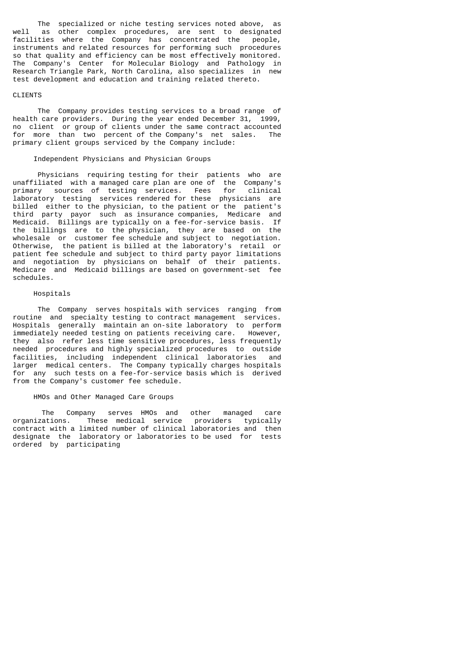The specialized or niche testing services noted above, as well as other complex procedures, are sent to designated facilities where the Company has concentrated the people, instruments and related resources for performing such procedures so that quality and efficiency can be most effectively monitored. The Company's Center for Molecular Biology and Pathology in Research Triangle Park, North Carolina, also specializes in new test development and education and training related thereto.

## CLIENTS

 The Company provides testing services to a broad range of health care providers. During the year ended December 31, 1999, no client or group of clients under the same contract accounted for more than two percent of the Company's net sales. The primary client groups serviced by the Company include:

### Independent Physicians and Physician Groups

 Physicians requiring testing for their patients who are unaffiliated with a managed care plan are one of the Company's primary sources of testing services. Fees for clinical laboratory testing services rendered for these physicians are billed either to the physician, to the patient or the patient's third party payor such as insurance companies, Medicare and Medicaid. Billings are typically on a fee-for-service basis. If the billings are to the physician, they are based on the wholesale or customer fee schedule and subject to negotiation. Otherwise, the patient is billed at the laboratory's retail or patient fee schedule and subject to third party payor limitations and negotiation by physicians on behalf of their patients. Medicare and Medicaid billings are based on government-set fee schedules.

# Hospitals

 The Company serves hospitals with services ranging from routine and specialty testing to contract management services. Hospitals generally maintain an on-site laboratory to perform immediately needed testing on patients receiving care. However, they also refer less time sensitive procedures, less frequently needed procedures and highly specialized procedures to outside<br>facilities, including independent clinical laboratories and facilities, including independent clinical laboratories larger medical centers. The Company typically charges hospitals for any such tests on a fee-for-service basis which is derived from the Company's customer fee schedule.

# HMOs and Other Managed Care Groups

 The Company serves HMOs and other managed care organizations. These medical service providers typically contract with a limited number of clinical laboratories and then designate the laboratory or laboratories to be used for tests ordered by participating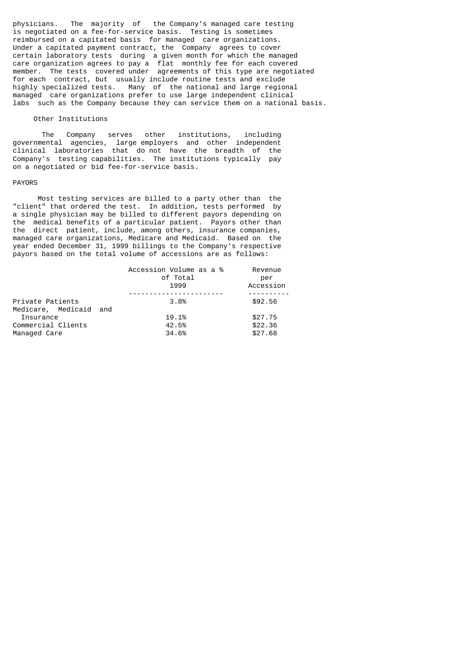physicians. The majority of the Company's managed care testing is negotiated on a fee-for-service basis. Testing is sometimes reimbursed on a capitated basis for managed care organizations. Under a capitated payment contract, the Company agrees to cover certain laboratory tests during a given month for which the managed care organization agrees to pay a flat monthly fee for each covered member. The tests covered under agreements of this type are negotiated for each contract, but usually include routine tests and exclude highly specialized tests. Many of the national and large regional managed care organizations prefer to use large independent clinical labs such as the Company because they can service them on a national basis.

# Other Institutions

 The Company serves other institutions, including governmental agencies, large employers and other independent clinical laboratories that do not have the breadth of the Company's testing capabilities. The institutions typically pay on a negotiated or bid fee-for-service basis.

#### PAYORS

 Most testing services are billed to a party other than the "client" that ordered the test. In addition, tests performed by a single physician may be billed to different payors depending on the medical benefits of a particular patient. Payors other than the direct patient, include, among others, insurance companies, managed care organizations, Medicare and Medicaid. Based on the year ended December 31, 1999 billings to the Company's respective payors based on the total volume of accessions are as follows:

| Accession Volume as a %<br>of Total | Revenue<br>per<br>Accession |
|-------------------------------------|-----------------------------|
|                                     |                             |
| 3.8%                                | \$92.56                     |
| Medicare, Medicaid and              |                             |
| 19.1%                               | \$27.75                     |
| 42.5%                               | \$22.36                     |
| 34.6%                               | \$27.68                     |
|                                     | 1999                        |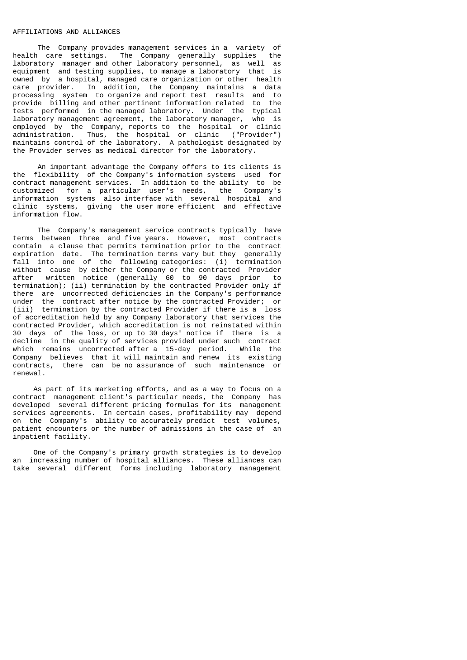# AFFILIATIONS AND ALLIANCES

The Company provides management services in a variety of<br>Compare settings. The Company generally supplies the health care settings. The Company generally supplies laboratory manager and other laboratory personnel, as well as equipment and testing supplies, to manage a laboratory that is owned by a hospital, managed care organization or other health care provider. In addition, the Company maintains a data processing system to organize and report test results and to provide billing and other pertinent information related to the tests performed in the managed laboratory. Under the typical laboratory management agreement, the laboratory manager, who is employed by the Company, reports to the hospital or clinic administration. Thus, the hospital or clinic ("Provider") maintains control of the laboratory. A pathologist designated by the Provider serves as medical director for the laboratory.

 An important advantage the Company offers to its clients is the flexibility of the Company's information systems used for contract management services. In addition to the ability to be customized for a particular user's needs, the Company's information systems also interface with several hospital and clinic systems, giving the user more efficient and effective information flow.

 The Company's management service contracts typically have terms between three and five years. However, most contracts contain a clause that permits termination prior to the contract expiration date. The termination terms vary but they generally fall into one of the following categories: (i) termination without cause by either the Company or the contracted Provider after written notice (generally 60 to 90 days prior to termination); (ii) termination by the contracted Provider only if there are uncorrected deficiencies in the Company's performance under the contract after notice by the contracted Provider; or (iii) termination by the contracted Provider if there is a loss of accreditation held by any Company laboratory that services the contracted Provider, which accreditation is not reinstated within 30 days of the loss, or up to 30 days' notice if there is a decline in the quality of services provided under such contract which remains uncorrected after a 15-day period. While the Company believes that it will maintain and renew its existing contracts, there can be no assurance of such maintenance or renewal.

 As part of its marketing efforts, and as a way to focus on a contract management client's particular needs, the Company has developed several different pricing formulas for its management services agreements. In certain cases, profitability may depend on the Company's ability to accurately predict test volumes, patient encounters or the number of admissions in the case of an inpatient facility.

 One of the Company's primary growth strategies is to develop an increasing number of hospital alliances. These alliances can take several different forms including laboratory management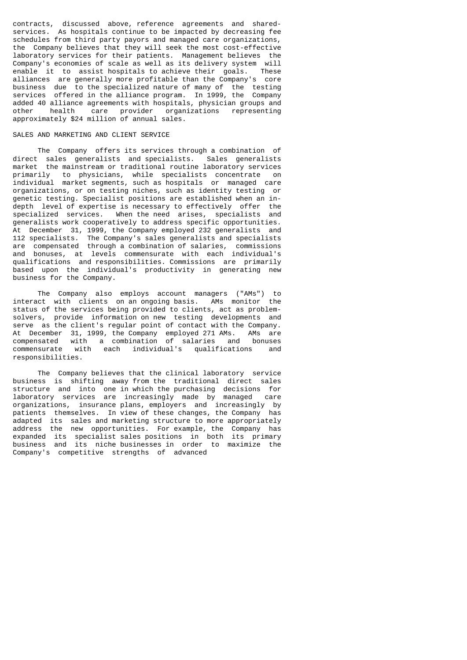contracts, discussed above, reference agreements and sharedservices. As hospitals continue to be impacted by decreasing fee schedules from third party payors and managed care organizations, the Company believes that they will seek the most cost-effective laboratory services for their patients. Management believes the Company's economies of scale as well as its delivery system will enable it to assist hospitals to achieve their goals. These alliances are generally more profitable than the Company's core business due to the specialized nature of many of the testing services offered in the alliance program. In 1999, the Company added 40 alliance agreements with hospitals, physician groups and other health care provider organizations representing approximately \$24 million of annual sales.

# SALES AND MARKETING AND CLIENT SERVICE

 The Company offers its services through a combination of direct sales generalists and specialists. Sales generalists market the mainstream or traditional routine laboratory services primarily to physicians, while specialists concentrate on individual market segments, such as hospitals or managed care organizations, or on testing niches, such as identity testing or genetic testing. Specialist positions are established when an indepth level of expertise is necessary to effectively offer the specialized services. When the need arises, specialists and generalists work cooperatively to address specific opportunities. At December 31, 1999, the Company employed 232 generalists and 112 specialists. The Company's sales generalists and specialists are compensated through a combination of salaries, commissions and bonuses, at levels commensurate with each individual's qualifications and responsibilities. Commissions are primarily based upon the individual's productivity in generating new business for the Company.

 The Company also employs account managers ("AMs") to interact with clients on an ongoing basis. AMs monitor the status of the services being provided to clients, act as problemsolvers, provide information on new testing developments and serve as the client's regular point of contact with the Company. At December 31, 1999, the Company employed 271 AMs. AMs are compensated with a combination of salaries and bonuses commensurate with each individual's qualifications and responsibilities.

 The Company believes that the clinical laboratory service business is shifting away from the traditional direct sales structure and into one in which the purchasing decisions for laboratory services are increasingly made by managed care organizations, insurance plans, employers and increasingly by patients themselves. In view of these changes, the Company has adapted its sales and marketing structure to more appropriately address the new opportunities. For example, the Company has expanded its specialist sales positions in both its primary business and its niche businesses in order to maximize the Company's competitive strengths of advanced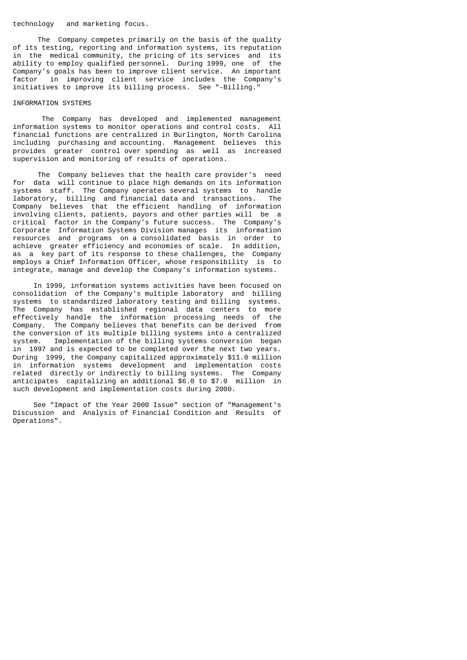#### technology and marketing focus.

 The Company competes primarily on the basis of the quality of its testing, reporting and information systems, its reputation in the medical community, the pricing of its services and its ability to employ qualified personnel. During 1999, one of the Company's goals has been to improve client service. An important factor in improving client service includes the Company's initiatives to improve its billing process. See "-Billing."

## INFORMATION SYSTEMS

 The Company has developed and implemented management information systems to monitor operations and control costs. All financial functions are centralized in Burlington, North Carolina including purchasing and accounting. Management believes this provides greater control over spending as well as increased supervision and monitoring of results of operations.

 The Company believes that the health care provider's need for data will continue to place high demands on its information systems staff. The Company operates several systems to handle laboratory, billing and financial data and transactions. The Company believes that the efficient handling of information involving clients, patients, payors and other parties will be a critical factor in the Company's future success. The Company's Corporate Information Systems Division manages its information resources and programs on a consolidated basis in order to achieve greater efficiency and economies of scale. In addition, as a key part of its response to these challenges, the Company employs a Chief Information Officer, whose responsibility is to integrate, manage and develop the Company's information systems.

 In 1999, information systems activities have been focused on consolidation of the Company's multiple laboratory and billing systems to standardized laboratory testing and billing systems. The Company has established regional data centers to more effectively handle the information processing needs of the Company. The Company believes that benefits can be derived from the conversion of its multiple billing systems into a centralized system. Implementation of the billing systems conversion began in 1997 and is expected to be completed over the next two years. During 1999, the Company capitalized approximately \$11.0 million in information systems development and implementation costs related directly or indirectly to billing systems. The Company anticipates capitalizing an additional \$6.0 to \$7.0 million in such development and implementation costs during 2000.

 See "Impact of the Year 2000 Issue" section of "Management's Discussion and Analysis of Financial Condition and Results of Operations".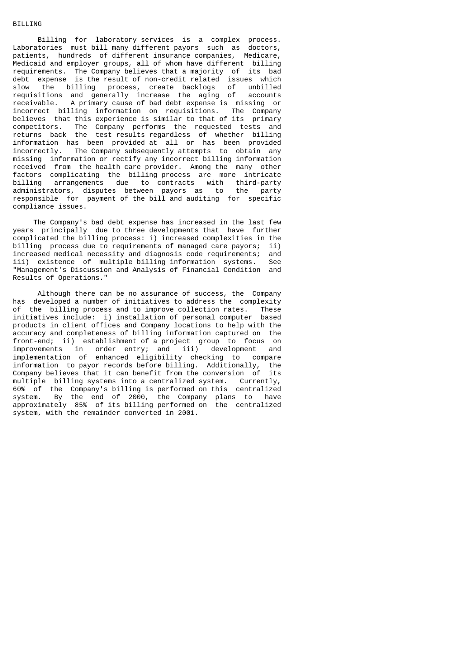# **BILLING**

 Billing for laboratory services is a complex process. Laboratories must bill many different payors such as doctors, patients, hundreds of different insurance companies, Medicare, Medicaid and employer groups, all of whom have different billing requirements. The Company believes that a majority of its bad debt expense is the result of non-credit related issues which slow the billing process, create backlogs of unbilled requisitions and generally increase the aging of accounts receivable. A primary cause of bad debt expense is missing or incorrect billing information on requisitions. The Company believes that this experience is similar to that of its primary competitors. The Company performs the requested tests and returns back the test results regardless of whether billing information has been provided at all or has been provided incorrectly. The Company subsequently attempts to obtain any missing information or rectify any incorrect billing information received from the health care provider. Among the many other factors complicating the billing process are more intricate billing arrangements due to contracts with third-party administrators, disputes between payors as to the party responsible for payment of the bill and auditing for specific compliance issues.

 The Company's bad debt expense has increased in the last few years principally due to three developments that have further complicated the billing process: i) increased complexities in the billing process due to requirements of managed care payors; ii) increased medical necessity and diagnosis code requirements; and iii) existence of multiple billing information systems. See "Management's Discussion and Analysis of Financial Condition and Results of Operations."

 Although there can be no assurance of success, the Company has developed a number of initiatives to address the complexity of the billing process and to improve collection rates. These initiatives include: i) installation of personal computer based products in client offices and Company locations to help with the accuracy and completeness of billing information captured on the front-end; ii) establishment of a project group to focus on improvements in order entry; and iii) development and implementation of enhanced eligibility checking to compare information to payor records before billing. Additionally, the Company believes that it can benefit from the conversion of its multiple billing systems into a centralized system. Currently, 60% of the Company's billing is performed on this centralized system. By the end of 2000, the Company plans to have approximately 85% of its billing performed on the centralized system, with the remainder converted in 2001.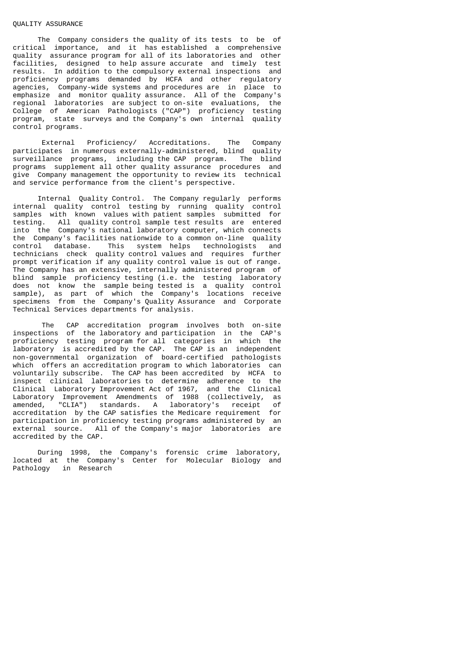### QUALITY ASSURANCE

 The Company considers the quality of its tests to be of critical importance, and it has established a comprehensive quality assurance program for all of its laboratories and other facilities, designed to help assure accurate and timely test results. In addition to the compulsory external inspections and proficiency programs demanded by HCFA and other regulatory agencies, Company-wide systems and procedures are in place to emphasize and monitor quality assurance. All of the Company's regional laboratories are subject to on-site evaluations, the College of American Pathologists ("CAP") proficiency testing program, state surveys and the Company's own internal quality control programs.

 External Proficiency/ Accreditations. The Company participates in numerous externally-administered, blind quality surveillance programs, including the CAP program. The blind programs supplement all other quality assurance procedures and give Company management the opportunity to review its technical and service performance from the client's perspective.

 Internal Quality Control. The Company regularly performs internal quality control testing by running quality control samples with known values with patient samples submitted for testing. All quality control sample test results are entered into the Company's national laboratory computer, which connects the Company's facilities nationwide to a common on-line quality control database. This system helps technologists and technicians check quality control values and requires further prompt verification if any quality control value is out of range. The Company has an extensive, internally administered program of blind sample proficiency testing (i.e. the testing laboratory does not know the sample being tested is a quality control sample), as part of which the Company's locations receive specimens from the Company's Quality Assurance and Corporate Technical Services departments for analysis.

 The CAP accreditation program involves both on-site inspections of the laboratory and participation in the CAP's proficiency testing program for all categories in which the laboratory is accredited by the CAP. The CAP is an independent non-governmental organization of board-certified pathologists which offers an accreditation program to which laboratories can voluntarily subscribe. The CAP has been accredited by HCFA to inspect clinical laboratories to determine adherence to the Clinical Laboratory Improvement Act of 1967, and the Clinical Laboratory Improvement Amendments of 1988 (collectively, as amended, "CLIA") standards. A laboratory's receipt of accreditation by the CAP satisfies the Medicare requirement for participation in proficiency testing programs administered by an external source. All of the Company's major laboratories are accredited by the CAP.

 During 1998, the Company's forensic crime laboratory, located at the Company's Center for Molecular Biology and Pathology in Research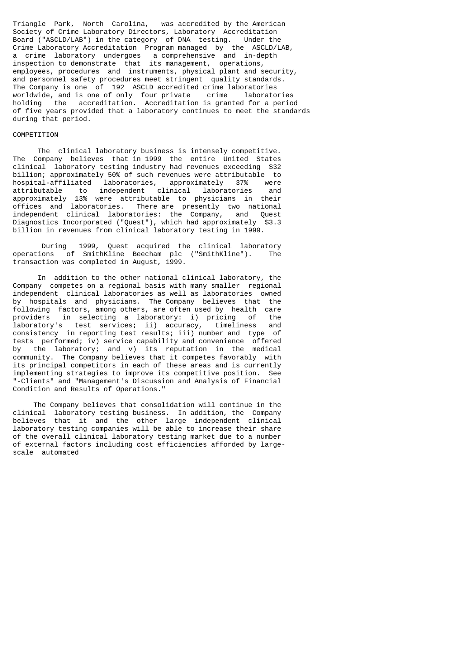Triangle Park, North Carolina, was accredited by the American Society of Crime Laboratory Directors, Laboratory Accreditation Board ("ASCLD/LAB") in the category of DNA testing. Under the Crime Laboratory Accreditation Program managed by the ASCLD/LAB, a crime laboratory undergoes a comprehensive and in-depth inspection to demonstrate that its management, operations, employees, procedures and instruments, physical plant and security, and personnel safety procedures meet stringent quality standards. The Company is one of 192 ASCLD accredited crime laboratories worldwide, and is one of only four private crime laboratories holding the accreditation. Accreditation is granted for a period of five years provided that a laboratory continues to meet the standards during that period.

# COMPETITION

 The clinical laboratory business is intensely competitive. The Company believes that in 1999 the entire United States clinical laboratory testing industry had revenues exceeding \$32 billion; approximately 50% of such revenues were attributable to hospital-affiliated laboratories, approximately 37% were attributable to independent clinical laboratories and approximately 13% were attributable to physicians in their offices and laboratories. There are presently two national independent clinical laboratories: the Company, and Quest Diagnostics Incorporated ("Quest"), which had approximately \$3.3 billion in revenues from clinical laboratory testing in 1999.

 During 1999, Quest acquired the clinical laboratory operations of SmithKline Beecham plc ("SmithKline"). The transaction was completed in August, 1999.

 In addition to the other national clinical laboratory, the Company competes on a regional basis with many smaller regional independent clinical laboratories as well as laboratories owned by hospitals and physicians. The Company believes that the following factors, among others, are often used by health care providers in selecting a laboratory: i) pricing of the laboratory's test services; ii) accuracy, timeliness and consistency in reporting test results; iii) number and type of tests performed; iv) service capability and convenience offered by the laboratory; and v) its reputation in the medical community. The Company believes that it competes favorably with its principal competitors in each of these areas and is currently implementing strategies to improve its competitive position. See "-Clients" and "Management's Discussion and Analysis of Financial Condition and Results of Operations."

 The Company believes that consolidation will continue in the clinical laboratory testing business. In addition, the Company believes that it and the other large independent clinical laboratory testing companies will be able to increase their share of the overall clinical laboratory testing market due to a number of external factors including cost efficiencies afforded by largescale automated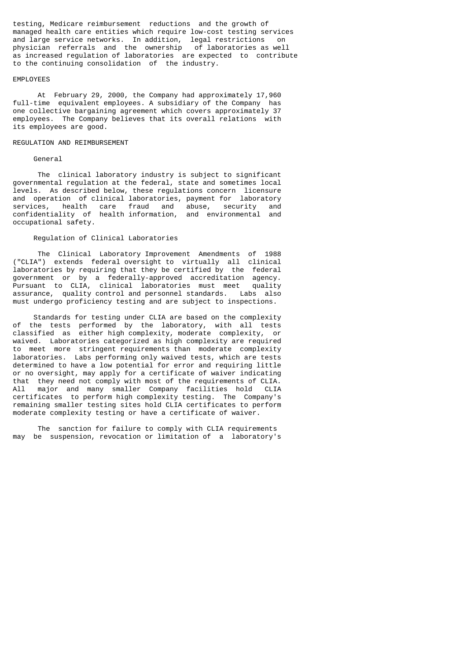testing, Medicare reimbursement reductions and the growth of managed health care entities which require low-cost testing services<br>and large service networks. In addition, legal restrictions on and large service networks. In addition, legal restrictions on physician referrals and the ownership of laboratories as well physician referrals and the ownership as increased regulation of laboratories are expected to contribute to the continuing consolidation of the industry.

### EMPLOYEES

 At February 29, 2000, the Company had approximately 17,960 full-time equivalent employees. A subsidiary of the Company has one collective bargaining agreement which covers approximately 37 employees. The Company believes that its overall relations with its employees are good.

#### REGULATION AND REIMBURSEMENT

#### General

 The clinical laboratory industry is subject to significant governmental regulation at the federal, state and sometimes local levels. As described below, these regulations concern licensure and operation of clinical laboratories, payment for laboratory services, health care fraud and abuse, security and confidentiality of health information, and environmental and occupational safety.

# Regulation of Clinical Laboratories

 The Clinical Laboratory Improvement Amendments of 1988 ("CLIA") extends federal oversight to virtually all clinical laboratories by requiring that they be certified by the federal government or by a federally-approved accreditation agency. Pursuant to CLIA, clinical laboratories must meet quality assurance, quality control and personnel standards. Labs also must undergo proficiency testing and are subject to inspections.

 Standards for testing under CLIA are based on the complexity of the tests performed by the laboratory, with all tests classified as either high complexity, moderate complexity, or waived. Laboratories categorized as high complexity are required to meet more stringent requirements than moderate complexity laboratories. Labs performing only waived tests, which are tests determined to have a low potential for error and requiring little or no oversight, may apply for a certificate of waiver indicating that they need not comply with most of the requirements of CLIA.<br>All major and many smaller Company facilities hold CLIA major and many smaller Company facilities hold CLIA certificates to perform high complexity testing. The Company's remaining smaller testing sites hold CLIA certificates to perform moderate complexity testing or have a certificate of waiver.

 The sanction for failure to comply with CLIA requirements may be suspension, revocation or limitation of a laboratory's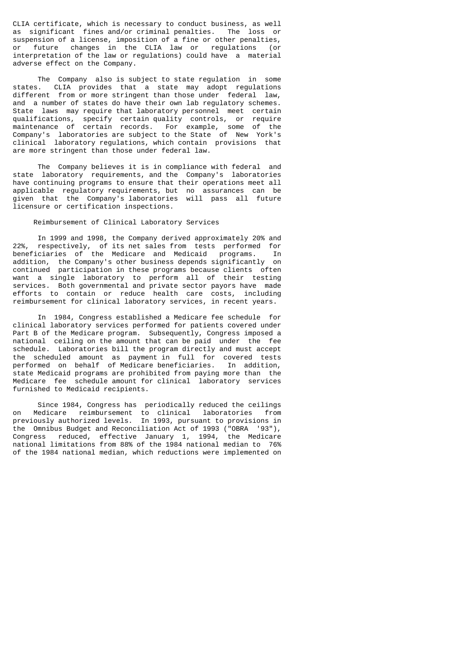CLIA certificate, which is necessary to conduct business, as well as significant fines and/or criminal penalties. The loss or suspension of a license, imposition of a fine or other penalties, or future changes in the CLIA law or regulations (or interpretation of the law or regulations) could have a material adverse effect on the Company.

 The Company also is subject to state regulation in some states. CLIA provides that a state may adopt regulations different from or more stringent than those under federal law, and a number of states do have their own lab regulatory schemes. State laws may require that laboratory personnel meet certain qualifications, specify certain quality controls, or require maintenance of certain records. For example, some of the Company's laboratories are subject to the State of New York's clinical laboratory regulations, which contain provisions that are more stringent than those under federal law.

 The Company believes it is in compliance with federal and state laboratory requirements, and the Company's laboratories have continuing programs to ensure that their operations meet all applicable regulatory requirements, but no assurances can be given that the Company's laboratories will pass all future licensure or certification inspections.

# Reimbursement of Clinical Laboratory Services

 In 1999 and 1998, the Company derived approximately 20% and respectively, of its net sales from tests performed for beneficiaries of the Medicare and Medicaid programs. In addition, the Company's other business depends significantly on continued participation in these programs because clients often want a single laboratory to perform all of their testing services. Both governmental and private sector payors have made efforts to contain or reduce health care costs, including reimbursement for clinical laboratory services, in recent years.

 In 1984, Congress established a Medicare fee schedule for clinical laboratory services performed for patients covered under Part B of the Medicare program. Subsequently, Congress imposed a national ceiling on the amount that can be paid under the fee schedule. Laboratories bill the program directly and must accept the scheduled amount as payment in full for covered tests performed on behalf of Medicare beneficiaries. In addition, state Medicaid programs are prohibited from paying more than the Medicare fee schedule amount for clinical laboratory services furnished to Medicaid recipients.

 Since 1984, Congress has periodically reduced the ceilings on Medicare reimbursement to clinical laboratories from previously authorized levels. In 1993, pursuant to provisions in the Omnibus Budget and Reconciliation Act of 1993 ("OBRA '93"), Congress reduced, effective January 1, 1994, the Medicare national limitations from 88% of the 1984 national median to 76% of the 1984 national median, which reductions were implemented on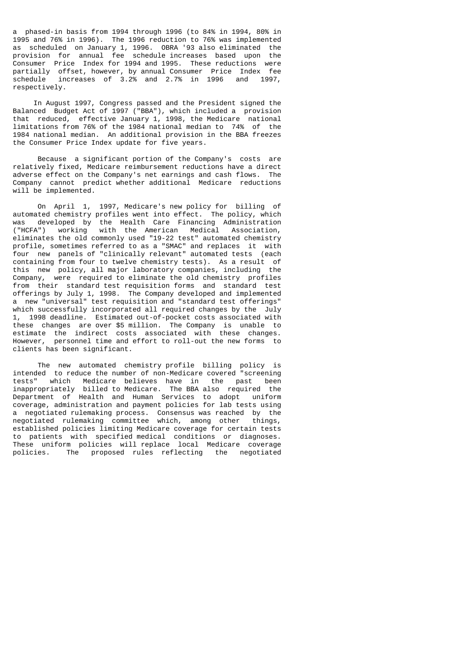a phased-in basis from 1994 through 1996 (to 84% in 1994, 80% in 1995 and 76% in 1996). The 1996 reduction to 76% was implemented as scheduled on January 1, 1996. OBRA '93 also eliminated the provision for annual fee schedule increases based upon the Consumer Price Index for 1994 and 1995. These reductions were partially offset, however, by annual Consumer Price Index fee schedule increases of 3.2% and 2.7% in 1996 and 1997, respectively.

 In August 1997, Congress passed and the President signed the Balanced Budget Act of 1997 ("BBA"), which included a provision that reduced, effective January 1, 1998, the Medicare national limitations from 76% of the 1984 national median to 74% of the 1984 national median. An additional provision in the BBA freezes the Consumer Price Index update for five years.

 Because a significant portion of the Company's costs are relatively fixed, Medicare reimbursement reductions have a direct adverse effect on the Company's net earnings and cash flows. The Company cannot predict whether additional Medicare reductions will be implemented.

 On April 1, 1997, Medicare's new policy for billing of automated chemistry profiles went into effect. The policy, which was developed by the Health Care Financing Administration ("HCFA") working with the American Medical Association, eliminates the old commonly used "19-22 test" automated chemistry profile, sometimes referred to as a "SMAC" and replaces it with four new panels of "clinically relevant" automated tests (each containing from four to twelve chemistry tests). As a result of this new policy, all major laboratory companies, including the Company, were required to eliminate the old chemistry profiles from their standard test requisition forms and standard test offerings by July 1, 1998. The Company developed and implemented a new "universal" test requisition and "standard test offerings" which successfully incorporated all required changes by the July 1, 1998 deadline. Estimated out-of-pocket costs associated with these changes are over \$5 million. The Company is unable to estimate the indirect costs associated with these changes. However, personnel time and effort to roll-out the new forms to clients has been significant.

 The new automated chemistry profile billing policy is intended to reduce the number of non-Medicare covered "screening tests" which Medicare believes have in the past been inappropriately billed to Medicare. The BBA also required the Department of Health and Human Services to adopt uniform coverage, administration and payment policies for lab tests using a negotiated rulemaking process. Consensus was reached by the negotiated rulemaking committee which, among other things, established policies limiting Medicare coverage for certain tests to patients with specified medical conditions or diagnoses. These uniform policies will replace local Medicare coverage policies. The proposed rules reflecting the negotiated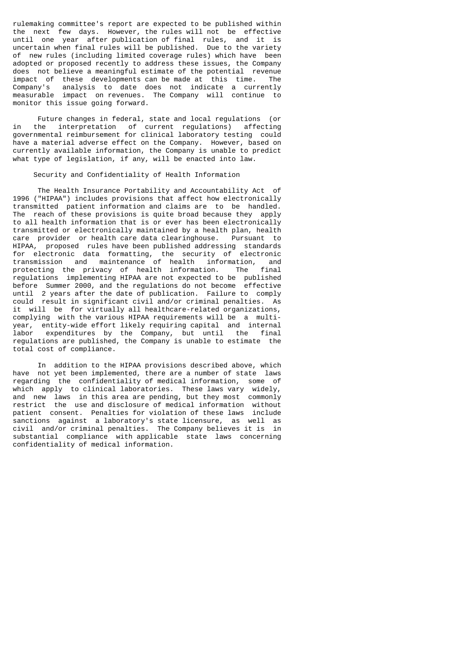rulemaking committee's report are expected to be published within the next few days. However, the rules will not be effective until one year after publication of final rules, and it is uncertain when final rules will be published. Due to the variety of new rules (including limited coverage rules) which have been adopted or proposed recently to address these issues, the Company does not believe a meaningful estimate of the potential revenue impact of these developments can be made at this time. The<br>Company's analysis to date does not indicate a currently Company's analysis to date does not indicate a currently measurable impact on revenues. The Company will continue to monitor this issue going forward.

 Future changes in federal, state and local regulations (or in the interpretation of current regulations) affecting governmental reimbursement for clinical laboratory testing could have a material adverse effect on the Company. However, based on currently available information, the Company is unable to predict what type of legislation, if any, will be enacted into law.

# Security and Confidentiality of Health Information

 The Health Insurance Portability and Accountability Act of 1996 ("HIPAA") includes provisions that affect how electronically transmitted patient information and claims are to be handled. The reach of these provisions is quite broad because they apply to all health information that is or ever has been electronically transmitted or electronically maintained by a health plan, health care provider or health care data clearinghouse. Pursuant to HIPAA, proposed rules have been published addressing standards for electronic data formatting, the security of electronic transmission and maintenance of health information, and protecting the privacy of health information. The final regulations implementing HIPAA are not expected to be published before Summer 2000, and the regulations do not become effective until 2 years after the date of publication. Failure to comply could result in significant civil and/or criminal penalties. As it will be for virtually all healthcare-related organizations, complying with the various HIPAA requirements will be a multiyear, entity-wide effort likely requiring capital and internal labor expenditures by the Company, but until the final regulations are published, the Company is unable to estimate the total cost of compliance.

 In addition to the HIPAA provisions described above, which have not yet been implemented, there are a number of state laws regarding the confidentiality of medical information, some of which apply to clinical laboratories. These laws vary widely, and new laws in this area are pending, but they most commonly restrict the use and disclosure of medical information without patient consent. Penalties for violation of these laws include sanctions against a laboratory's state licensure, as well as civil and/or criminal penalties. The Company believes it is in substantial compliance with applicable state laws concerning confidentiality of medical information.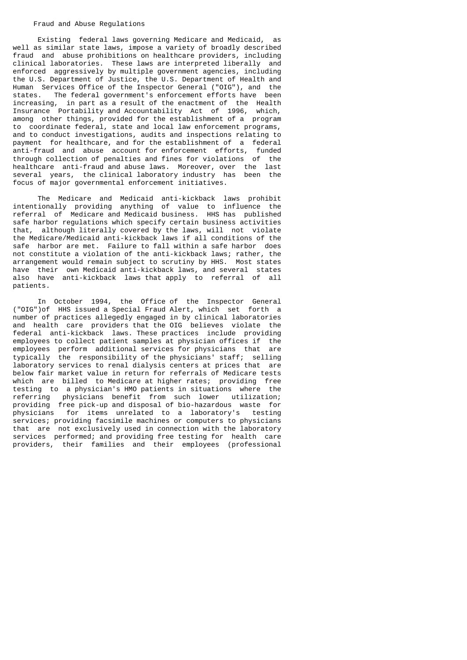### Fraud and Abuse Regulations

 Existing federal laws governing Medicare and Medicaid, as well as similar state laws, impose a variety of broadly described fraud and abuse prohibitions on healthcare providers, including clinical laboratories. These laws are interpreted liberally and enforced aggressively by multiple government agencies, including the U.S. Department of Justice, the U.S. Department of Health and Human Services Office of the Inspector General ("OIG"), and the states. The federal government's enforcement efforts have been increasing, in part as a result of the enactment of the Health Insurance Portability and Accountability Act of 1996, which, among other things, provided for the establishment of a program to coordinate federal, state and local law enforcement programs, and to conduct investigations, audits and inspections relating to payment for healthcare, and for the establishment of a federal anti-fraud and abuse account for enforcement efforts, funded through collection of penalties and fines for violations of the healthcare anti-fraud and abuse laws. Moreover, over the last several years, the clinical laboratory industry has been the focus of major governmental enforcement initiatives.

 The Medicare and Medicaid anti-kickback laws prohibit intentionally providing anything of value to influence the referral of Medicare and Medicaid business. HHS has published safe harbor regulations which specify certain business activities that, although literally covered by the laws, will not violate the Medicare/Medicaid anti-kickback laws if all conditions of the safe harbor are met. Failure to fall within a safe harbor does not constitute a violation of the anti-kickback laws; rather, the arrangement would remain subject to scrutiny by HHS. Most states have their own Medicaid anti-kickback laws, and several states also have anti-kickback laws that apply to referral of all patients.

 In October 1994, the Office of the Inspector General ("OIG")of HHS issued a Special Fraud Alert, which set forth a number of practices allegedly engaged in by clinical laboratories and health care providers that the OIG believes violate the federal anti-kickback laws. These practices include providing employees to collect patient samples at physician offices if the employees perform additional services for physicians that are typically the responsibility of the physicians' staff; selling laboratory services to renal dialysis centers at prices that are below fair market value in return for referrals of Medicare tests which are billed to Medicare at higher rates; providing free testing to a physician's HMO patients in situations where the referring physicians benefit from such lower utilization; providing free pick-up and disposal of bio-hazardous waste for physicians for items unrelated to a laboratory's testing services; providing facsimile machines or computers to physicians that are not exclusively used in connection with the laboratory services performed; and providing free testing for health care providers, their families and their employees (professional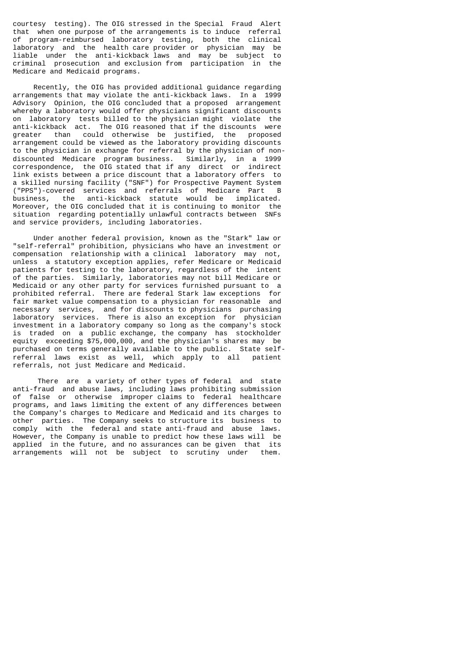courtesy testing). The OIG stressed in the Special Fraud Alert that when one purpose of the arrangements is to induce referral of program-reimbursed laboratory testing, both the clinical laboratory and the health care provider or physician may be liable under the anti-kickback laws and may be subject to criminal prosecution and exclusion from participation in the Medicare and Medicaid programs.

 Recently, the OIG has provided additional guidance regarding arrangements that may violate the anti-kickback laws. In a 1999 Advisory Opinion, the OIG concluded that a proposed arrangement whereby a laboratory would offer physicians significant discounts on laboratory tests billed to the physician might violate the anti-kickback act. The OIG reasoned that if the discounts were greater than could otherwise be justified, the proposed arrangement could be viewed as the laboratory providing discounts to the physician in exchange for referral by the physician of nondiscounted Medicare program business. Similarly, in a 1999 correspondence, the OIG stated that if any direct or indirect link exists between a price discount that a laboratory offers to a skilled nursing facility ("SNF") for Prospective Payment System ("PPS")-covered services and referrals of Medicare Part B business, the anti-kickback statute would be implicated. Moreover, the OIG concluded that it is continuing to monitor the situation regarding potentially unlawful contracts between SNFs and service providers, including laboratories.

 Under another federal provision, known as the "Stark" law or "self-referral" prohibition, physicians who have an investment or compensation relationship with a clinical laboratory may not, unless a statutory exception applies, refer Medicare or Medicaid patients for testing to the laboratory, regardless of the intent of the parties. Similarly, laboratories may not bill Medicare or Medicaid or any other party for services furnished pursuant to a prohibited referral. There are federal Stark law exceptions for fair market value compensation to a physician for reasonable and necessary services, and for discounts to physicians purchasing laboratory services. There is also an exception for physician investment in a laboratory company so long as the company's stock is traded on a public exchange, the company has stockholder equity exceeding \$75,000,000, and the physician's shares may be purchased on terms generally available to the public. State selfreferral laws exist as well, which apply to all patient referrals, not just Medicare and Medicaid.

 There are a variety of other types of federal and state anti-fraud and abuse laws, including laws prohibiting submission of false or otherwise improper claims to federal healthcare programs, and laws limiting the extent of any differences between the Company's charges to Medicare and Medicaid and its charges to other parties. The Company seeks to structure its business to comply with the federal and state anti-fraud and abuse laws. However, the Company is unable to predict how these laws will be applied in the future, and no assurances can be given that its arrangements will not be subject to scrutiny under them.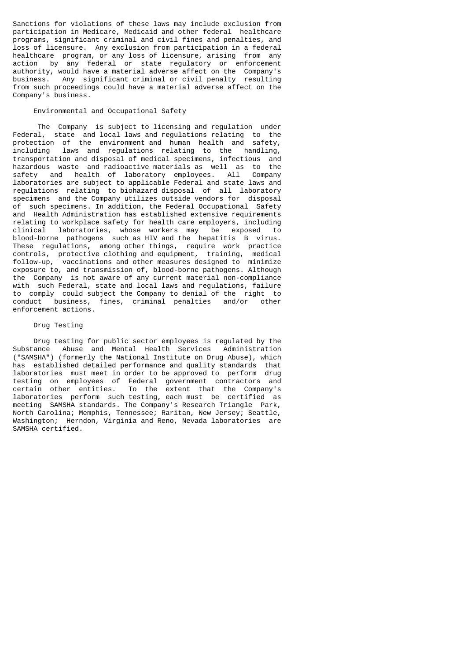Sanctions for violations of these laws may include exclusion from participation in Medicare, Medicaid and other federal healthcare programs, significant criminal and civil fines and penalties, and loss of licensure. Any exclusion from participation in a federal healthcare program, or any loss of licensure, arising from any action by any federal or state regulatory or enforcement authority, would have a material adverse affect on the Company's business. Any significant criminal or civil penalty resulting from such proceedings could have a material adverse affect on the Company's business.

# Environmental and Occupational Safety

 The Company is subject to licensing and regulation under Federal, state and local laws and regulations relating to the protection of the environment and human health and safety, including laws and regulations relating to the handling, transportation and disposal of medical specimens, infectious and hazardous waste and radioactive materials as well as to the safety and health of laboratory employees. All Company laboratories are subject to applicable Federal and state laws and regulations relating to biohazard disposal of all laboratory specimens and the Company utilizes outside vendors for disposal of such specimens. In addition, the Federal Occupational Safety and Health Administration has established extensive requirements relating to workplace safety for health care employers, including clinical laboratories, whose workers may be exposed to blood-borne pathogens such as HIV and the hepatitis B virus. These regulations, among other things, require work practice controls, protective clothing and equipment, training, medical follow-up, vaccinations and other measures designed to minimize exposure to, and transmission of, blood-borne pathogens. Although the Company is not aware of any current material non-compliance with such Federal, state and local laws and regulations, failure to comply could subject the Company to denial of the right to conduct business, fines, criminal penalties and/or other enforcement actions.

# Drug Testing

 Drug testing for public sector employees is regulated by the Substance Abuse and Mental Health Services Administration ("SAMSHA") (formerly the National Institute on Drug Abuse), which has established detailed performance and quality standards that laboratories must meet in order to be approved to perform drug testing on employees of Federal government contractors and certain other entities. To the extent that the Company's laboratories perform such testing, each must be certified as meeting SAMSHA standards. The Company's Research Triangle Park, North Carolina; Memphis, Tennessee; Raritan, New Jersey; Seattle, Washington; Herndon, Virginia and Reno, Nevada laboratories are SAMSHA certified.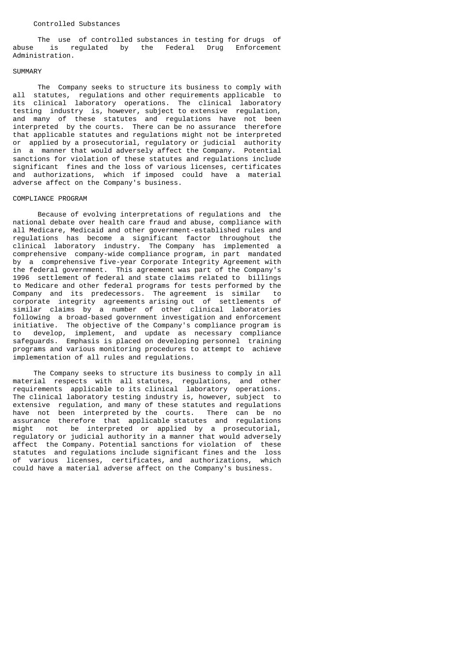### Controlled Substances

 The use of controlled substances in testing for drugs of abuse is regulated by the Federal Drug Enforcement Administration.

# SUMMARY

 The Company seeks to structure its business to comply with all statutes, regulations and other requirements applicable to its clinical laboratory operations. The clinical laboratory testing industry is, however, subject to extensive regulation, and many of these statutes and regulations have not been interpreted by the courts. There can be no assurance therefore that applicable statutes and regulations might not be interpreted or applied by a prosecutorial, regulatory or judicial authority in a manner that would adversely affect the Company. Potential sanctions for violation of these statutes and regulations include significant fines and the loss of various licenses, certificates and authorizations, which if imposed could have a material adverse affect on the Company's business.

# COMPLIANCE PROGRAM

 Because of evolving interpretations of regulations and the national debate over health care fraud and abuse, compliance with all Medicare, Medicaid and other government-established rules and regulations has become a significant factor throughout the clinical laboratory industry. The Company has implemented a comprehensive company-wide compliance program, in part mandated by a comprehensive five-year Corporate Integrity Agreement with the federal government. This agreement was part of the Company's 1996 settlement of federal and state claims related to billings to Medicare and other federal programs for tests performed by the Company and its predecessors. The agreement is similar to corporate integrity agreements arising out of settlements of similar claims by a number of other clinical laboratories following a broad-based government investigation and enforcement initiative. The objective of the Company's compliance program is to develop, implement, and update as necessary compliance safeguards. Emphasis is placed on developing personnel training programs and various monitoring procedures to attempt to achieve implementation of all rules and regulations.

 The Company seeks to structure its business to comply in all material respects with all statutes, regulations, and other requirements applicable to its clinical laboratory operations. The clinical laboratory testing industry is, however, subject to extensive regulation, and many of these statutes and regulations have not been interpreted by the courts. There can be no assurance therefore that applicable statutes and regulations might not be interpreted or applied by a prosecutorial, regulatory or judicial authority in a manner that would adversely affect the Company. Potential sanctions for violation of these statutes and regulations include significant fines and the loss of various licenses, certificates, and authorizations, which could have a material adverse affect on the Company's business.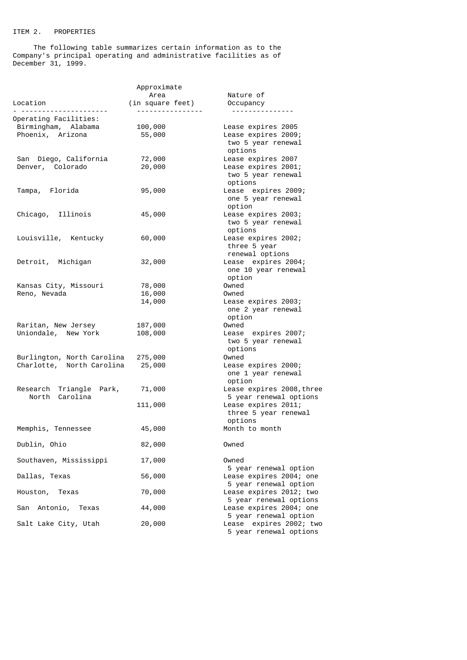# ITEM 2. PROPERTIES

 The following table summarizes certain information as to the Company's principal operating and administrative facilities as of December 31, 1999.

| Location                                                               | Approximate<br>Area<br>(in square feet) | Nature of<br>Occupancy                                                     |
|------------------------------------------------------------------------|-----------------------------------------|----------------------------------------------------------------------------|
| <u>.</u><br>Operating Facilities:                                      | . <u>.</u>                              | ---------------                                                            |
| Birmingham, Alabama<br>Phoenix, Arizona                                | 100,000<br>55,000                       | Lease expires 2005<br>Lease expires 2009;<br>two 5 year renewal<br>options |
| San Diego, California<br>Denver, Colorado                              | 72,000<br>20,000                        | Lease expires 2007<br>Lease expires 2001;<br>two 5 year renewal<br>options |
| Tampa, Florida                                                         | 95,000                                  | Lease expires 2009;<br>one 5 year renewal<br>option                        |
| Chicago, Illinois                                                      | 45,000                                  | Lease expires 2003;<br>two 5 year renewal<br>options                       |
| Louisville, Kentucky                                                   | 60,000                                  | Lease expires 2002;<br>three 5 year<br>renewal options                     |
| Detroit, Michigan                                                      | 32,000                                  | Lease expires 2004;<br>one 10 year renewal<br>option                       |
| Kansas City, Missouri                                                  | 78,000                                  | Owned                                                                      |
| Reno, Nevada                                                           | 16,000<br>14,000                        | Owned<br>Lease expires 2003;<br>one 2 year renewal<br>option               |
| Raritan, New Jersey<br>Uniondale, New York                             | 187,000<br>108,000                      | Owned<br>Lease expires 2007;<br>two 5 year renewal<br>options              |
| Burlington, North Carolina 275,000<br>Charlotte, North Carolina 25,000 |                                         | Owned<br>Lease expires 2000;<br>one 1 year renewal<br>option               |
| Research Triangle Park,<br>North Carolina                              | 71,000                                  | Lease expires 2008, three<br>5 year renewal options                        |
|                                                                        | 111,000                                 | Lease expires 2011;<br>three 5 year renewal<br>options                     |
| Memphis, Tennessee                                                     | 45,000                                  | Month to month                                                             |
| Dublin, Ohio                                                           | 82,000                                  | Owned                                                                      |
| Southaven, Mississippi                                                 | 17,000                                  | Owned<br>5 year renewal option                                             |
| Dallas, Texas                                                          | 56,000                                  | Lease expires 2004; one<br>5 year renewal option                           |
| Houston, Texas                                                         | 70,000                                  | Lease expires 2012; two<br>5 year renewal options                          |
| San Antonio, Texas                                                     | 44,000                                  | Lease expires 2004; one<br>5 year renewal option                           |
| Salt Lake City, Utah                                                   | 20,000                                  | Lease expires 2002; two<br>5 year renewal options                          |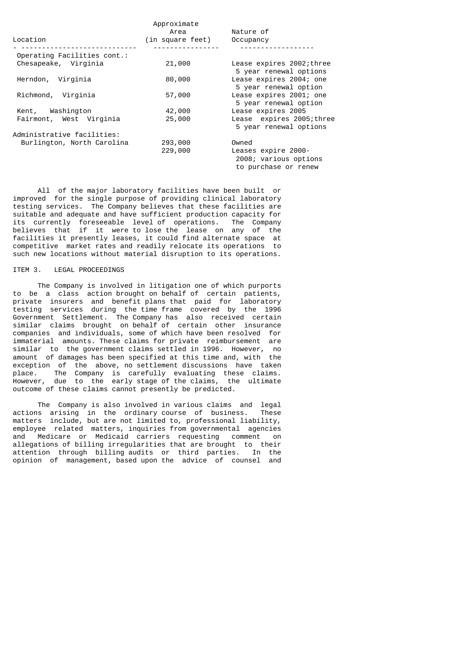|                             | Approximate      |                                                                      |
|-----------------------------|------------------|----------------------------------------------------------------------|
|                             | Area             | Nature of                                                            |
| Location                    | (in square feet) | Occupancy                                                            |
| Operating Facilities cont.: |                  |                                                                      |
| Chesapeake, Virginia        | 21,000           | Lease expires 2002; three<br>5 year renewal options                  |
| Herndon, Virginia           | 80,000           | Lease expires 2004; one<br>5 year renewal option                     |
| Richmond, Virginia          | 57,000           | Lease expires 2001; one<br>5 year renewal option                     |
| Kent, Washington            | 42,000           | Lease expires 2005                                                   |
| Fairmont, West Virginia     | 25,000           | Lease expires 2005; three<br>5 year renewal options                  |
| Administrative facilities:  |                  |                                                                      |
| Burlington, North Carolina  | 293,000          | Owned                                                                |
|                             | 229,000          | Leases expire 2000-<br>2008; various options<br>to purchase or renew |

 All of the major laboratory facilities have been built or improved for the single purpose of providing clinical laboratory testing services. The Company believes that these facilities are suitable and adequate and have sufficient production capacity for its currently foreseeable level of operations. The Company believes that if it were to lose the lease on any of the facilities it presently leases, it could find alternate space at competitive market rates and readily relocate its operations to such new locations without material disruption to its operations.

# ITEM 3. LEGAL PROCEEDINGS

 The Company is involved in litigation one of which purports to be a class action brought on behalf of certain patients, private insurers and benefit plans that paid for laboratory testing services during the time frame covered by the 1996 Government Settlement. The Company has also received certain similar claims brought on behalf of certain other insurance companies and individuals, some of which have been resolved for immaterial amounts. These claims for private reimbursement are similar to the government claims settled in 1996. However, no amount of damages has been specified at this time and, with the exception of the above, no settlement discussions have taken place. The Company is carefully evaluating these claims. However, due to the early stage of the claims, the ultimate outcome of these claims cannot presently be predicted.

 The Company is also involved in various claims and legal actions arising in the ordinary course of business. These matters include, but are not limited to, professional liability, employee related matters, inquiries from governmental agencies and Medicare or Medicaid carriers requesting comment on allegations of billing irregularities that are brought to their attention through billing audits or third parties. In the opinion of management, based upon the advice of counsel and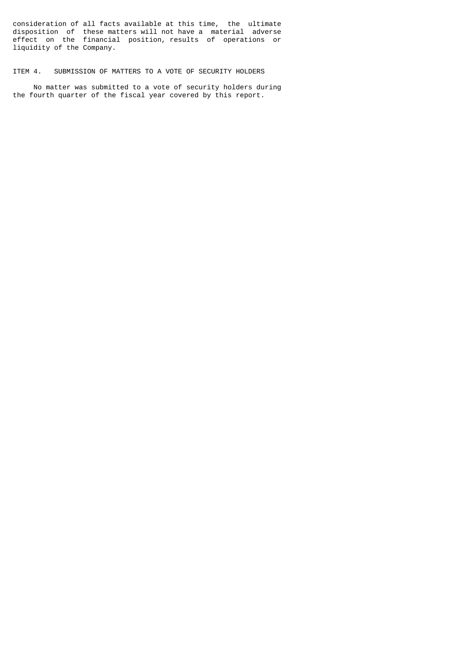consideration of all facts available at this time, the ultimate disposition of these matters will not have a material adverse effect on the financial position, results of operations or liquidity of the Company.

# ITEM 4. SUBMISSION OF MATTERS TO A VOTE OF SECURITY HOLDERS

 No matter was submitted to a vote of security holders during the fourth quarter of the fiscal year covered by this report.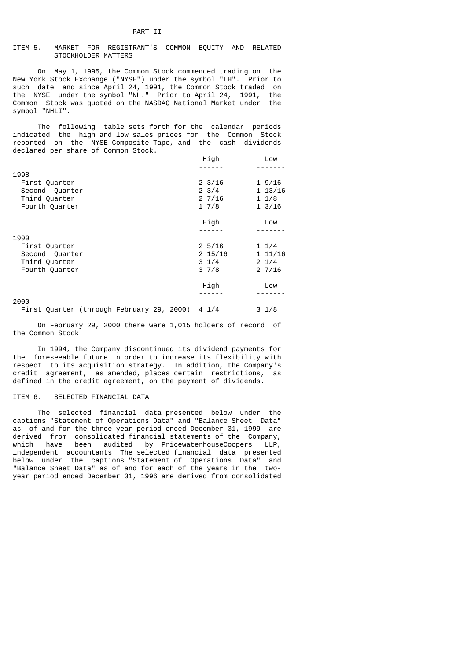# ITEM 5. MARKET FOR REGISTRANT'S COMMON EQUITY AND RELATED STOCKHOLDER MATTERS

 On May 1, 1995, the Common Stock commenced trading on the New York Stock Exchange ("NYSE") under the symbol "LH". Prior to such date and since April 24, 1991, the Common Stock traded on the NYSE under the symbol "NH." Prior to April 24, 1991, the Common Stock was quoted on the NASDAQ National Market under the symbol "NHLI".

 The following table sets forth for the calendar periods indicated the high and low sales prices for the Common Stock reported on the NYSE Composite Tape, and the cash dividends declared per share of Common Stock.

|                | High             | Low             |
|----------------|------------------|-----------------|
|                |                  |                 |
| 1998           |                  |                 |
| First Quarter  | $2 \frac{3}{16}$ | 19/16           |
| Second Quarter | $2 \frac{3}{4}$  | 1 13/16         |
| Third Quarter  | 27/16            | 11/8            |
| Fourth Quarter | 17/8             | 13/16           |
|                | High             | Low             |
|                |                  |                 |
| 1999           |                  |                 |
| First Quarter  | $2\frac{5}{16}$  | $1 \frac{1}{4}$ |
| Second Quarter | 2 15/16          | 11/16           |
| Third Quarter  | $3 \frac{1}{4}$  | $2 \frac{1}{4}$ |
| Fourth Quarter | 37/8             | 27/16           |
|                | High             | Low             |
|                |                  |                 |
| 2000           |                  |                 |

|  | First Quarter (through February 29, 2000) 4 1/4 |  |  | $3 \frac{1}{8}$ |
|--|-------------------------------------------------|--|--|-----------------|
|--|-------------------------------------------------|--|--|-----------------|

 On February 29, 2000 there were 1,015 holders of record of the Common Stock.

 In 1994, the Company discontinued its dividend payments for the foreseeable future in order to increase its flexibility with respect to its acquisition strategy. In addition, the Company's credit agreement, as amended, places certain restrictions, as defined in the credit agreement, on the payment of dividends.

# ITEM 6. SELECTED FINANCIAL DATA

 The selected financial data presented below under the captions "Statement of Operations Data" and "Balance Sheet Data" as of and for the three-year period ended December 31, 1999 are derived from consolidated financial statements of the Company, which have been audited by PricewaterhouseCoopers LLP, independent accountants. The selected financial data presented below under the captions "Statement of Operations Data" and "Balance Sheet Data" as of and for each of the years in the twoyear period ended December 31, 1996 are derived from consolidated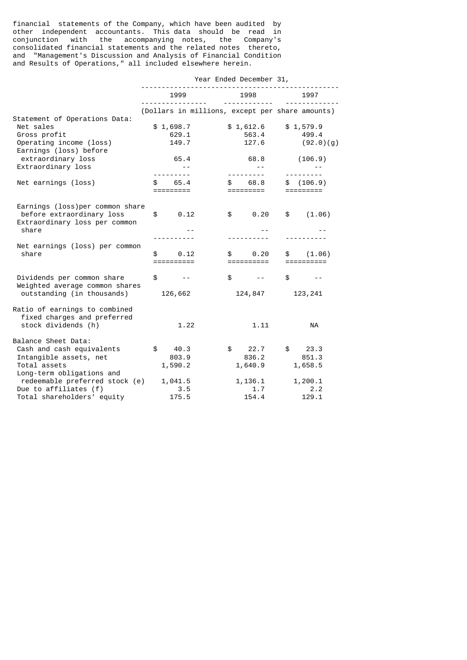financial statements of the Company, which have been audited by other independent accountants. This data should be read in conjunction with the accompanying notes, the Company's consolidated financial statements and the related notes thereto, and "Management's Discussion and Analysis of Financial Condition and Results of Operations," all included elsewhere herein.

|                                                                                                                    | Year Ended December 31,            |                                                                                  |                                 |
|--------------------------------------------------------------------------------------------------------------------|------------------------------------|----------------------------------------------------------------------------------|---------------------------------|
|                                                                                                                    | 1999                               | 1998                                                                             | 1997                            |
| Statement of Operations Data:                                                                                      | <u>.</u>                           | <u> - - - - - - - - - - -</u><br>(Dollars in millions, except per share amounts) |                                 |
| Net sales<br>Gross profit<br>Operating income (loss)<br>Earnings (loss) before                                     | \$1,698.7<br>629.1<br>149.7        | \$1,612.6<br>563.4<br>127.6                                                      | \$1,579.9<br>499.4<br>(92.0)(g) |
| extraordinary loss<br>Extraordinary loss                                                                           | 65.4<br>$\sim$ $  -$<br><u>.</u>   | 68.8<br>$\sim 100$ km $^{-1}$<br><u> - - - - - - - - -</u>                       | (106.9)<br>---------            |
| Net earnings (loss)                                                                                                | 65.4<br>\$<br>=========            | \$68.8<br>=========                                                              | \$ (106.9)<br>=========         |
| Earnings (loss) per common share<br>before extraordinary loss<br>Extraordinary loss per common<br>share            | 0.12<br>$\frac{1}{2}$              | $\text{\$} \qquad \text{\$} \, 0.20$                                             | (1.06)<br>$\mathfrak s$         |
| Net earnings (loss) per common<br>share                                                                            | \$<br>0.12<br>==========           | 0.20<br>\$<br>==========                                                         | (1.06)<br>\$<br>==========      |
| Dividends per common share<br>Weighted average common shares<br>outstanding (in thousands)                         | $\mathbb{S}$<br>$- - -$<br>126,662 | $\mathbb{S}$<br>$\sim$ $  -$<br>124,847                                          | \$<br>$- -$<br>123,241          |
| Ratio of earnings to combined<br>fixed charges and preferred<br>stock dividends (h)                                | 1.22                               | 1.11                                                                             | NA                              |
| Balance Sheet Data:<br>Cash and cash equivalents<br>Intangible assets, net<br>Total assets                         | \$<br>40.3<br>803.9<br>1,590.2     | \$22.7<br>836.2<br>1,640.9                                                       | \$23.3<br>851.3<br>1,658.5      |
| Long-term obligations and<br>redeemable preferred stock (e)<br>Due to affiliates (f)<br>Total shareholders' equity | 1,041.5<br>3.5<br>175.5            | 1,136.1<br>1.7<br>154.4                                                          | 1,200.1<br>2.2<br>129.1         |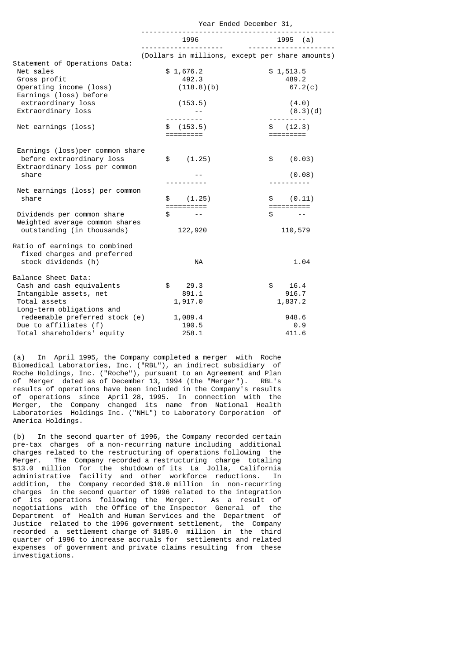|                                                                                                                                       | 1996<br>.                                                                  | 1995 (a)<br>---------------<br>(Dollars in millions, except per share amounts) |
|---------------------------------------------------------------------------------------------------------------------------------------|----------------------------------------------------------------------------|--------------------------------------------------------------------------------|
|                                                                                                                                       |                                                                            |                                                                                |
|                                                                                                                                       |                                                                            |                                                                                |
| Statement of Operations Data:<br>Net sales<br>Gross profit<br>Operating income (loss)<br>Earnings (loss) before<br>extraordinary loss | \$1,676.2<br>492.3<br>(118.8)(b)<br>(153.5)                                | \$1,513.5<br>489.2<br>67.2(c)<br>(4.0)                                         |
| Extraordinary loss                                                                                                                    |                                                                            | (8.3)(d)                                                                       |
| Net earnings (loss)                                                                                                                   | \$ (153.5)<br>=========                                                    | \$ (12.3)<br>=========                                                         |
| Earnings (loss) per common share<br>before extraordinary loss<br>Extraordinary loss per common                                        | \$<br>(1.25)                                                               | (0.03)<br>$\mathfrak s$                                                        |
| share                                                                                                                                 |                                                                            | (0.08)                                                                         |
| Net earnings (loss) per common<br>share                                                                                               | - - - - - - - - - -<br>\$<br>(1.25)<br>$=$ $=$ $=$ $=$ $=$ $=$ $=$ $=$ $=$ | (0.11)                                                                         |
| Dividends per common share<br>Weighted average common shares<br>outstanding (in thousands)                                            | \$<br><b>Contract Contract</b><br>122,920                                  | \$<br>$\sim$ $\sim$<br>110,579                                                 |
| Ratio of earnings to combined<br>fixed charges and preferred<br>stock dividends (h)                                                   | <b>NA</b>                                                                  | 1.04                                                                           |
| Balance Sheet Data:<br>Cash and cash equivalents<br>Intangible assets, net                                                            | \$<br>29.3<br>891.1                                                        | \$<br>16.4<br>916.7                                                            |
| Total assets                                                                                                                          | 1,917.0                                                                    | 1,837.2                                                                        |
| Long-term obligations and<br>redeemable preferred stock (e)<br>Due to affiliates (f)<br>Total shareholders' equity                    | 1,089.4<br>190.5<br>258.1                                                  | 948.6<br>0.9<br>411.6                                                          |

(a) In April 1995, the Company completed a merger with Roche Biomedical Laboratories, Inc. ("RBL"), an indirect subsidiary of Roche Holdings, Inc. ("Roche"), pursuant to an Agreement and Plan<br>of Merger dated as of December 13, 1994 (the "Merger"). RBL's of Merger dated as of December 13, 1994 (the "Merger"). results of operations have been included in the Company's results of operations since April 28, 1995. In connection with the Merger, the Company changed its name from National Health Laboratories Holdings Inc. ("NHL") to Laboratory Corporation of America Holdings.

(b) In the second quarter of 1996, the Company recorded certain pre-tax charges of a non-recurring nature including additional charges related to the restructuring of operations following the Merger. The Company recorded a restructuring charge totaling \$13.0 million for the shutdown of its La Jolla, California administrative facility and other workforce reductions. In addition, the Company recorded \$10.0 million in non-recurring charges in the second quarter of 1996 related to the integration of its operations following the Merger. As a result of negotiations with the Office of the Inspector General of the Department of Health and Human Services and the Department of Justice related to the 1996 government settlement, the Company recorded a settlement charge of \$185.0 million in the third quarter of 1996 to increase accruals for settlements and related expenses of government and private claims resulting from these investigations.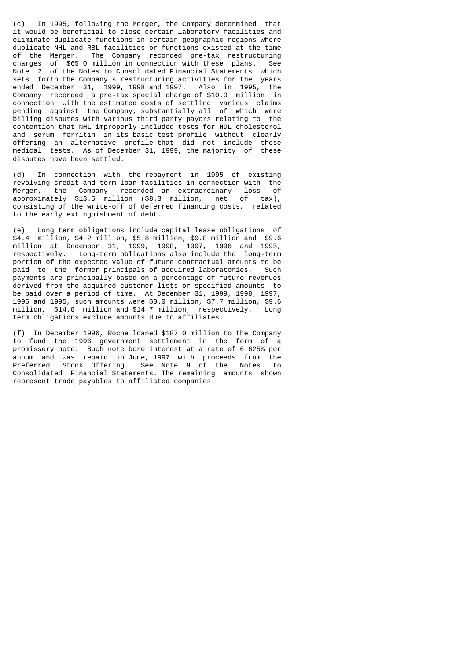(c) In 1995, following the Merger, the Company determined that it would be beneficial to close certain laboratory facilities and eliminate duplicate functions in certain geographic regions where duplicate NHL and RBL facilities or functions existed at the time of the Merger. The Company recorded pre-tax restructuring charges of \$65.0 million in connection with these plans. See Note 2 of the Notes to Consolidated Financial Statements which<br>sets forth the Company's restructuring activities for the vears forth the Company's restructuring activities for the years ended December 31, 1999, 1998 and 1997. Also in 1995, the Company recorded a pre-tax special charge of \$10.0 million in connection with the estimated costs of settling various claims pending against the Company, substantially all of which were billing disputes with various third party payors relating to the contention that NHL improperly included tests for HDL cholesterol and serum ferritin in its basic test profile without clearly offering an alternative profile that did not include these medical tests. As of December 31, 1999, the majority of these disputes have been settled.

(d) In connection with the repayment in 1995 of existing revolving credit and term loan facilities in connection with the<br>Merger, the Company recorded an extraordinary loss of Merger, the Company recorded an extraordinary loss of approximately \$13.5 million (\$8.3 million, net of tax), consisting of the write-off of deferred financing costs, related to the early extinguishment of debt.

(e) Long term obligations include capital lease obligations of \$4.4 million, \$4.2 million, \$5.8 million, \$9.8 million and \$9.6 million at December 31, 1999, 1998, 1997, 1996 and 1995, respectively. Long-term obligations also include the long-term portion of the expected value of future contractual amounts to be paid to the former principals of acquired laboratories. Such payments are principally based on a percentage of future revenues derived from the acquired customer lists or specified amounts to be paid over a period of time. At December 31, 1999, 1998, 1997, 1996 and 1995, such amounts were \$0.0 million, \$7.7 million, \$9.6 million, \$14.8 million and \$14.7 million, respectively. Long term obligations exclude amounts due to affiliates.

(f) In December 1996, Roche loaned \$187.0 million to the Company to fund the 1996 government settlement in the form of a promissory note. Such note bore interest at a rate of 6.625% per annum and was repaid in June, 1997 with proceeds from the Preferred Stock Offering. See Note 9 of the Notes to Consolidated Financial Statements. The remaining amounts shown represent trade payables to affiliated companies.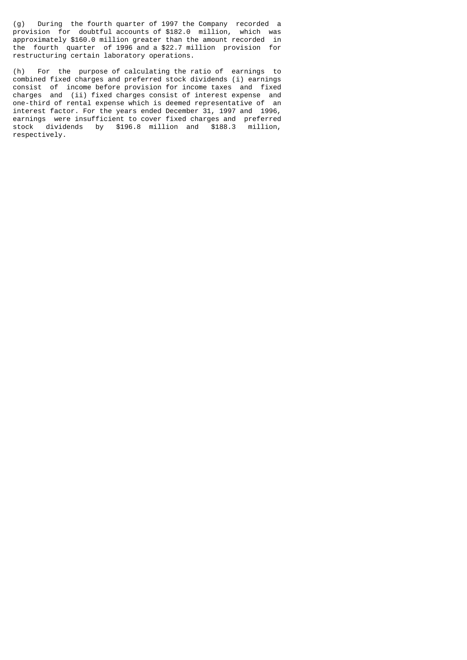(g) During the fourth quarter of 1997 the Company recorded a provision for doubtful accounts of \$182.0 million, which was approximately \$160.0 million greater than the amount recorded in the fourth quarter of 1996 and a \$22.7 million provision for restructuring certain laboratory operations.

(h) For the purpose of calculating the ratio of earnings to combined fixed charges and preferred stock dividends (i) earnings consist of income before provision for income taxes and fixed charges and (ii) fixed charges consist of interest expense and one-third of rental expense which is deemed representative of an interest factor. For the years ended December 31, 1997 and 1996, earnings were insufficient to cover fixed charges and preferred stock dividends by \$196.8 million and \$188.3 million, respectively.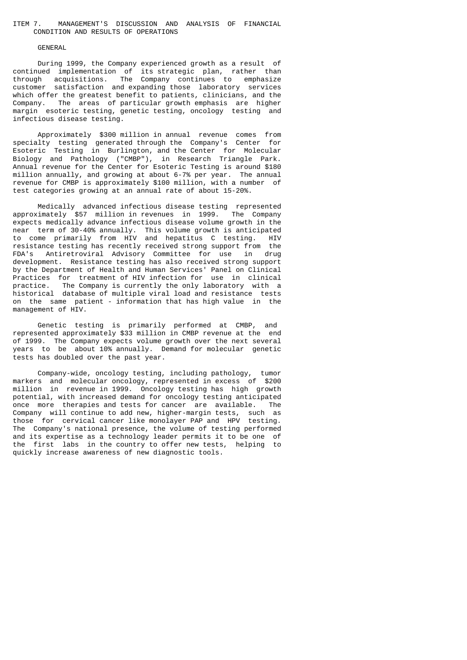# ITEM 7. MANAGEMENT'S DISCUSSION AND ANALYSIS OF FINANCIAL CONDITION AND RESULTS OF OPERATIONS

### GENERAL

 During 1999, the Company experienced growth as a result of continued implementation of its strategic plan, rather than through acquisitions. The Company continues to emphasize customer satisfaction and expanding those laboratory services which offer the greatest benefit to patients, clinicians, and the Company. The areas of particular growth emphasis are higher margin esoteric testing, genetic testing, oncology testing and infectious disease testing.

 Approximately \$300 million in annual revenue comes from specialty testing generated through the Company's Center for Esoteric Testing in Burlington, and the Center for Molecular Biology and Pathology ("CMBP"), in Research Triangle Park. Annual revenue for the Center for Esoteric Testing is around \$180 million annually, and growing at about 6-7% per year. The annual revenue for CMBP is approximately \$100 million, with a number of test categories growing at an annual rate of about 15-20%.

 Medically advanced infectious disease testing represented approximately \$57 million in revenues in 1999. The Company expects medically advance infectious disease volume growth in the near term of 30-40% annually. This volume growth is anticipated to come primarily from HIV and hepatitus C testing. HIV resistance testing has recently received strong support from the FDA's Antiretroviral Advisory Committee for use in drug development. Resistance testing has also received strong support by the Department of Health and Human Services' Panel on Clinical Practices for treatment of HIV infection for use in clinical practice. The Company is currently the only laboratory with a historical database of multiple viral load and resistance tests on the same patient - information that has high value in the management of HIV.

 Genetic testing is primarily performed at CMBP, and represented approximately \$33 million in CMBP revenue at the end of 1999. The Company expects volume growth over the next several years to be about 10% annually. Demand for molecular genetic tests has doubled over the past year.

 Company-wide, oncology testing, including pathology, tumor markers and molecular oncology, represented in excess of \$200 million in revenue in 1999. Oncology testing has high growth potential, with increased demand for oncology testing anticipated once more therapies and tests for cancer are available. The Company will continue to add new, higher-margin tests, such as those for cervical cancer like monolayer PAP and HPV testing. The Company's national presence, the volume of testing performed and its expertise as a technology leader permits it to be one of the first labs in the country to offer new tests, helping to quickly increase awareness of new diagnostic tools.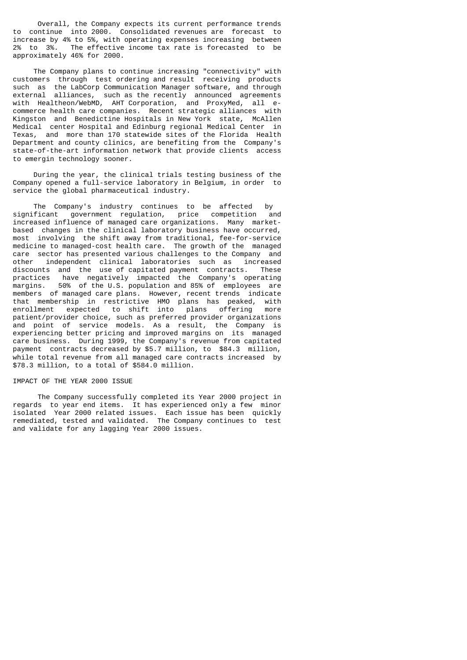Overall, the Company expects its current performance trends to continue into 2000. Consolidated revenues are forecast to increase by 4% to 5%, with operating expenses increasing between 2% to 3%. The effective income tax rate is forecasted to be approximately 46% for 2000.

 The Company plans to continue increasing "connectivity" with customers through test ordering and result receiving products such as the LabCorp Communication Manager software, and through external alliances, such as the recently announced agreements with Healtheon/WebMD, AHT Corporation, and ProxyMed, all ecommerce health care companies. Recent strategic alliances with Kingston and Benedictine Hospitals in New York state, McAllen Medical center Hospital and Edinburg regional Medical Center in Texas, and more than 170 statewide sites of the Florida Health Department and county clinics, are benefiting from the Company's state-of-the-art information network that provide clients access to emergin technology sooner.

 During the year, the clinical trials testing business of the Company opened a full-service laboratory in Belgium, in order to service the global pharmaceutical industry.

 The Company's industry continues to be affected by significant government regulation, price competition and increased influence of managed care organizations. Many marketbased changes in the clinical laboratory business have occurred, most involving the shift away from traditional, fee-for-service medicine to managed-cost health care. The growth of the managed care sector has presented various challenges to the Company and other independent clinical laboratories such as increased<br>discounts and the use-of-capitated-payment contracts. These discounts and the use of capitated payment contracts. practices have negatively impacted the Company's operating margins. 50% of the U.S. population and 85% of employees are members of managed care plans. However, recent trends indicate that membership in restrictive HMO plans has peaked, with enrollment expected to shift into plans offering more patient/provider choice, such as preferred provider organizations and point of service models. As a result, the Company is experiencing better pricing and improved margins on its managed care business. During 1999, the Company's revenue from capitated payment contracts decreased by \$5.7 million, to \$84.3 million, while total revenue from all managed care contracts increased by \$78.3 million, to a total of \$584.0 million.

# IMPACT OF THE YEAR 2000 ISSUE

 The Company successfully completed its Year 2000 project in regards to year end items. It has experienced only a few minor isolated Year 2000 related issues. Each issue has been quickly remediated, tested and validated. The Company continues to test and validate for any lagging Year 2000 issues.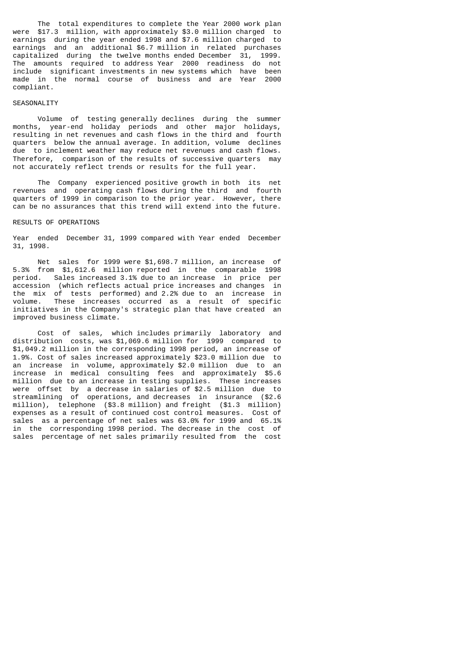The total expenditures to complete the Year 2000 work plan were \$17.3 million, with approximately \$3.0 million charged to earnings during the year ended 1998 and \$7.6 million charged to earnings and an additional \$6.7 million in related purchases capitalized during the twelve months ended December 31, 1999. The amounts required to address Year 2000 readiness do not include significant investments in new systems which have been made in the normal course of business and are Year 2000 compliant.

#### SEASONALITY

 Volume of testing generally declines during the summer months, year-end holiday periods and other major holidays, resulting in net revenues and cash flows in the third and fourth quarters below the annual average. In addition, volume declines due to inclement weather may reduce net revenues and cash flows. Therefore, comparison of the results of successive quarters may not accurately reflect trends or results for the full year.

 The Company experienced positive growth in both its net revenues and operating cash flows during the third and fourth quarters of 1999 in comparison to the prior year. However, there can be no assurances that this trend will extend into the future.

# RESULTS OF OPERATIONS

Year ended December 31, 1999 compared with Year ended December 31, 1998.

 Net sales for 1999 were \$1,698.7 million, an increase of 5.3% from \$1,612.6 million reported in the comparable 1998 period. Sales increased 3.1% due to an increase in price per accession (which reflects actual price increases and changes in the mix of tests performed) and 2.2% due to an increase in volume. These increases occurred as a result of specific initiatives in the Company's strategic plan that have created an improved business climate.

 Cost of sales, which includes primarily laboratory and distribution costs, was \$1,069.6 million for 1999 compared to \$1,049.2 million in the corresponding 1998 period, an increase of 1.9%. Cost of sales increased approximately \$23.0 million due to an increase in volume, approximately \$2.0 million due to an increase in medical consulting fees and approximately \$5.6 million due to an increase in testing supplies. These increases were offset by a decrease in salaries of \$2.5 million due to streamlining of operations, and decreases in insurance (\$2.6 million), telephone (\$3.8 million) and freight (\$1.3 million) expenses as a result of continued cost control measures. Cost of sales as a percentage of net sales was 63.0% for 1999 and 65.1% in the corresponding 1998 period. The decrease in the cost of sales percentage of net sales primarily resulted from the cost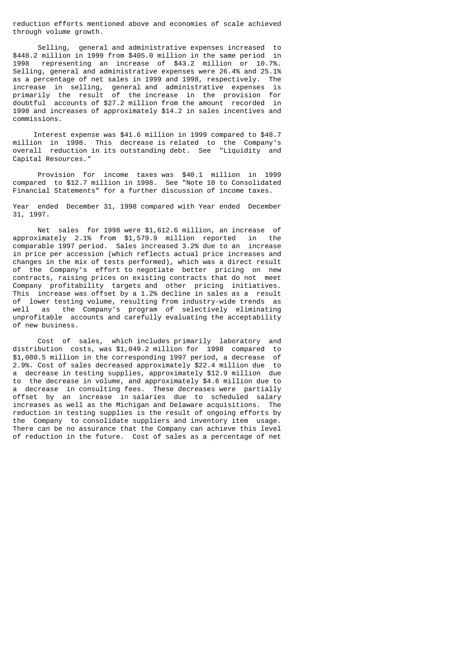reduction efforts mentioned above and economies of scale achieved through volume growth.

 Selling, general and administrative expenses increased to \$448.2 million in 1999 from \$405.0 million in the same period in representing an increase of \$43.2 million or 10.7%. Selling, general and administrative expenses were 26.4% and 25.1% as a percentage of net sales in 1999 and 1998, respectively. The increase in selling, general and administrative expenses is primarily the result of the increase in the provision for doubtful accounts of \$27.2 million from the amount recorded in 1998 and increases of approximately \$14.2 in sales incentives and commissions.

 Interest expense was \$41.6 million in 1999 compared to \$48.7 million in 1998. This decrease is related to the Company's overall reduction in its outstanding debt. See "Liquidity and Capital Resources."

 Provision for income taxes was \$40.1 million in 1999 compared to \$12.7 million in 1998. See "Note 10 to Consolidated Financial Statements" for a further discussion of income taxes.

Year ended December 31, 1998 compared with Year ended December 31, 1997.

 Net sales for 1998 were \$1,612.6 million, an increase of approximately 2.1% from \$1,579.9 million reported in the comparable 1997 period. Sales increased 3.2% due to an increase in price per accession (which reflects actual price increases and changes in the mix of tests performed), which was a direct result of the Company's effort to negotiate better pricing on new contracts, raising prices on existing contracts that do not meet Company profitability targets and other pricing initiatives. This increase was offset by a 1.2% decline in sales as a result of lower testing volume, resulting from industry-wide trends as well as the Company's program of selectively eliminating unprofitable accounts and carefully evaluating the acceptability of new business.

 Cost of sales, which includes primarily laboratory and distribution costs, was \$1,049.2 million for 1998 compared to \$1,080.5 million in the corresponding 1997 period, a decrease of 2.9%. Cost of sales decreased approximately \$22.4 million due to a decrease in testing supplies, approximately \$12.9 million due to the decrease in volume, and approximately \$4.6 million due to a decrease in consulting fees. These decreases were partially offset by an increase in salaries due to scheduled salary increases as well as the Michigan and Delaware acquisitions. The reduction in testing supplies is the result of ongoing efforts by the Company to consolidate suppliers and inventory item usage. There can be no assurance that the Company can achieve this level of reduction in the future. Cost of sales as a percentage of net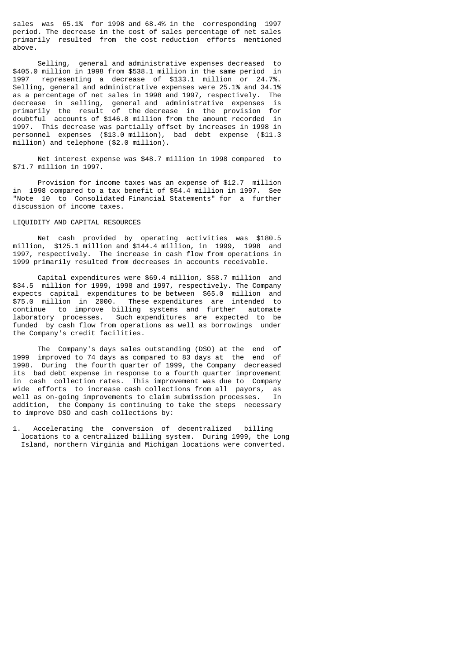sales was 65.1% for 1998 and 68.4% in the corresponding 1997 period. The decrease in the cost of sales percentage of net sales primarily resulted from the cost reduction efforts mentioned above.

 Selling, general and administrative expenses decreased to \$405.0 million in 1998 from \$538.1 million in the same period in 1997 representing a decrease of \$133.1 million or 24.7%. Selling, general and administrative expenses were 25.1% and 34.1% as a percentage of net sales in 1998 and 1997, respectively. The decrease in selling, general and administrative expenses is primarily the result of the decrease in the provision for doubtful accounts of \$146.8 million from the amount recorded in 1997. This decrease was partially offset by increases in 1998 in personnel expenses (\$13.0 million), bad debt expense (\$11.3 million) and telephone (\$2.0 million).

 Net interest expense was \$48.7 million in 1998 compared to \$71.7 million in 1997.

 Provision for income taxes was an expense of \$12.7 million in 1998 compared to a tax benefit of \$54.4 million in 1997. See "Note 10 to Consolidated Financial Statements" for a further discussion of income taxes.

# LIQUIDITY AND CAPITAL RESOURCES

 Net cash provided by operating activities was \$180.5 million, \$125.1 million and \$144.4 million, in 1999, 1998 and 1997, respectively. The increase in cash flow from operations in 1999 primarily resulted from decreases in accounts receivable.

 Capital expenditures were \$69.4 million, \$58.7 million and \$34.5 million for 1999, 1998 and 1997, respectively. The Company expects capital expenditures to be between \$65.0 million and \$75.0 million in 2000. These expenditures are intended to continue to improve billing systems and further automate laboratory processes. Such expenditures are expected to be funded by cash flow from operations as well as borrowings under the Company's credit facilities.

 The Company's days sales outstanding (DSO) at the end of 1999 improved to 74 days as compared to 83 days at the end of 1998. During the fourth quarter of 1999, the Company decreased its bad debt expense in response to a fourth quarter improvement in cash collection rates. This improvement was due to Company wide efforts to increase cash collections from all payors, as well as on-going improvements to claim submission processes. In addition, the Company is continuing to take the steps necessary to improve DSO and cash collections by:

1. Accelerating the conversion of decentralized billing locations to a centralized billing system. During 1999, the Long Island, northern Virginia and Michigan locations were converted.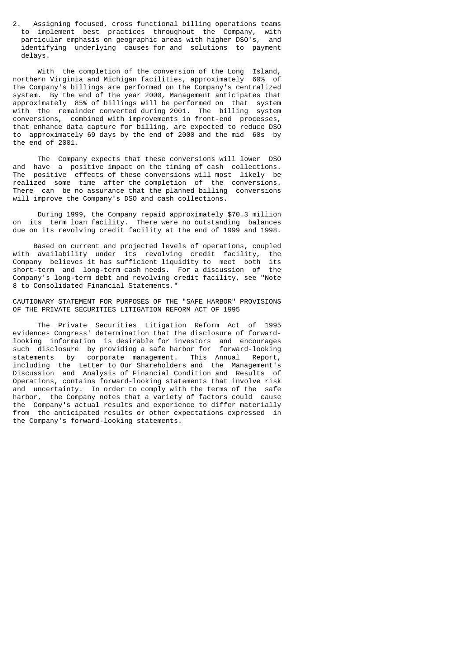2. Assigning focused, cross functional billing operations teams to implement best practices throughout the Company, with particular emphasis on geographic areas with higher DSO's, and particular emphasis on geographic areas with higher DSO's, identifying underlying causes for and solutions to payment delays.

 With the completion of the conversion of the Long Island, northern Virginia and Michigan facilities, approximately 60% of the Company's billings are performed on the Company's centralized system. By the end of the year 2000, Management anticipates that approximately 85% of billings will be performed on that system with the remainder converted during 2001. The billing system conversions, combined with improvements in front-end processes, that enhance data capture for billing, are expected to reduce DSO to approximately 69 days by the end of 2000 and the mid 60s by the end of 2001.

 The Company expects that these conversions will lower DSO and have a positive impact on the timing of cash collections. The positive effects of these conversions will most likely be realized some time after the completion of the conversions. There can be no assurance that the planned billing conversions will improve the Company's DSO and cash collections.

 During 1999, the Company repaid approximately \$70.3 million on its term loan facility. There were no outstanding balances due on its revolving credit facility at the end of 1999 and 1998.

 Based on current and projected levels of operations, coupled with availability under its revolving credit facility, the Company believes it has sufficient liquidity to meet both its short-term and long-term cash needs. For a discussion of the Company's long-term debt and revolving credit facility, see "Note 8 to Consolidated Financial Statements."

CAUTIONARY STATEMENT FOR PURPOSES OF THE "SAFE HARBOR" PROVISIONS OF THE PRIVATE SECURITIES LITIGATION REFORM ACT OF 1995

 The Private Securities Litigation Reform Act of 1995 evidences Congress' determination that the disclosure of forwardlooking information is desirable for investors and encourages such disclosure by providing a safe harbor for forward-looking statements by corporate management. This Annual Report, including the Letter to Our Shareholders and the Management's Discussion and Analysis of Financial Condition and Results of Operations, contains forward-looking statements that involve risk and uncertainty. In order to comply with the terms of the safe harbor, the Company notes that a variety of factors could cause the Company's actual results and experience to differ materially from the anticipated results or other expectations expressed in the Company's forward-looking statements.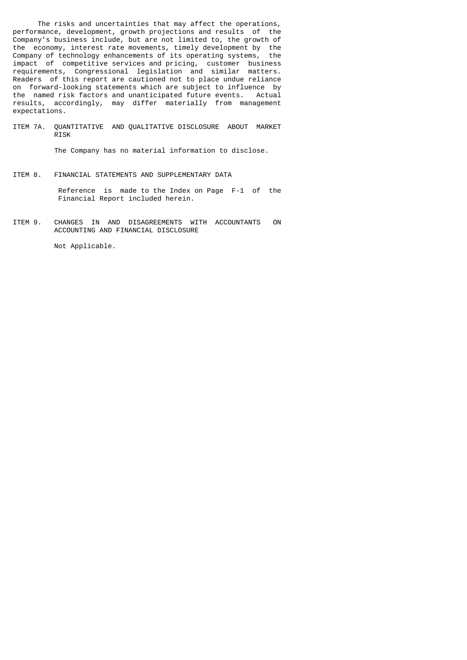The risks and uncertainties that may affect the operations, performance, development, growth projections and results of the Company's business include, but are not limited to, the growth of the economy, interest rate movements, timely development by the Company of technology enhancements of its operating systems, the impact of competitive services and pricing, customer business requirements, Congressional legislation and similar matters. Readers of this report are cautioned not to place undue reliance on forward-looking statements which are subject to influence by the named risk factors and unanticipated future events. Actual results, accordingly, may differ materially from management expectations.

ITEM 7A. QUANTITATIVE AND QUALITATIVE DISCLOSURE ABOUT MARKET RISK

The Company has no material information to disclose.

ITEM 8. FINANCIAL STATEMENTS AND SUPPLEMENTARY DATA

 Reference is made to the Index on Page F-1 of the Financial Report included herein.

ITEM 9. CHANGES IN AND DISAGREEMENTS WITH ACCOUNTANTS ON ACCOUNTING AND FINANCIAL DISCLOSURE

Not Applicable.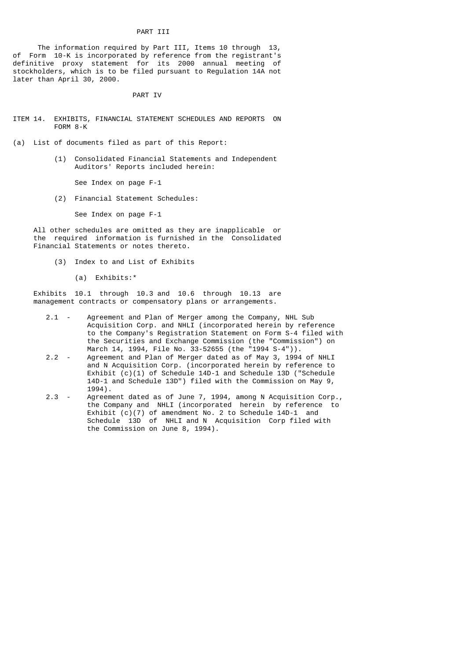# PART III

 The information required by Part III, Items 10 through 13, of Form 10-K is incorporated by reference from the registrant's definitive proxy statement for its 2000 annual meeting of stockholders, which is to be filed pursuant to Regulation 14A not later than April 30, 2000.

# PART IV

- ITEM 14. EXHIBITS, FINANCIAL STATEMENT SCHEDULES AND REPORTS ON FORM 8-K
- (a) List of documents filed as part of this Report:
	- (1) Consolidated Financial Statements and Independent Auditors' Reports included herein:

See Index on page F-1

(2) Financial Statement Schedules:

See Index on page F-1

 All other schedules are omitted as they are inapplicable or the required information is furnished in the Consolidated Financial Statements or notes thereto.

- (3) Index to and List of Exhibits
	- (a) Exhibits:\*

 Exhibits 10.1 through 10.3 and 10.6 through 10.13 are management contracts or compensatory plans or arrangements.

- 2.1 Agreement and Plan of Merger among the Company, NHL Sub Acquisition Corp. and NHLI (incorporated herein by reference to the Company's Registration Statement on Form S-4 filed with the Securities and Exchange Commission (the "Commission") on March 14, 1994, File No. 33-52655 (the "1994 S-4")).
	- 2.2 Agreement and Plan of Merger dated as of May 3, 1994 of NHLI and N Acquisition Corp. (incorporated herein by reference to Exhibit (c)(1) of Schedule 14D-1 and Schedule 13D ("Schedule 14D-1 and Schedule 13D") filed with the Commission on May 9, 1994).<br>2.3 - Agreem
	- Agreement dated as of June 7, 1994, among N Acquisition Corp., the Company and NHLI (incorporated herein by reference to Exhibit (c)(7) of amendment No. 2 to Schedule 14D-1 and Schedule 13D of NHLI and N Acquisition Corp filed with the Commission on June 8, 1994).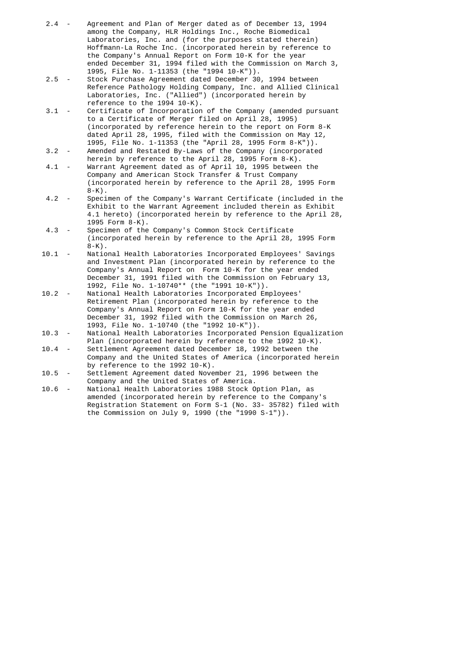- 2.4 Agreement and Plan of Merger dated as of December 13, 1994 among the Company, HLR Holdings Inc., Roche Biomedical Laboratories, Inc. and (for the purposes stated therein) Hoffmann-La Roche Inc. (incorporated herein by reference to the Company's Annual Report on Form 10-K for the year ended December 31, 1994 filed with the Commission on March 3,
- 1995, File No. 1-11353 (the "1994 10-K")). Stock Purchase Agreement dated December 30, 1994 between Reference Pathology Holding Company, Inc. and Allied Clinical Laboratories, Inc. ("Allied") (incorporated herein by reference to the 1994 10-K).<br>3.1 - Certificate of Incorporation
- Certificate of Incorporation of the Company (amended pursuant to a Certificate of Merger filed on April 28, 1995) (incorporated by reference herein to the report on Form 8-K dated April 28, 1995, filed with the Commission on May 12, 1995, File No. 1-11353 (the "April 28, 1995 Form 8-K")).
- 3.2 Amended and Restated By-Laws of the Company (incorporated herein by reference to the April 28, 1995 Form 8-K).<br>4.1 - Warrant Agreement dated as of April 10, 1995 between
- Warrant Agreement dated as of April 10, 1995 between the Company and American Stock Transfer & Trust Company (incorporated herein by reference to the April 28, 1995 Form
- 8-K).<br>4.2 Speci Specimen of the Company's Warrant Certificate (included in the Exhibit to the Warrant Agreement included therein as Exhibit 4.1 hereto) (incorporated herein by reference to the April 28, 1995 Form 8-K).
- 4.3 Specimen of the Company's Common Stock Certificate (incorporated herein by reference to the April 28, 1995 Form  $8-K$ ).
- 10.1 National Health Laboratories Incorporated Employees' Savings and Investment Plan (incorporated herein by reference to the Company's Annual Report on Form 10-K for the year ended December 31, 1991 filed with the Commission on February 13, 1992, File No. 1-10740\*\* (the "1991 10-K")).
- 10.2 National Health Laboratories Incorporated Employees' Retirement Plan (incorporated herein by reference to the Company's Annual Report on Form 10-K for the year ended December 31, 1992 filed with the Commission on March 26, 1993, File No. 1-10740 (the "1992 10-K")).
- 10.3 National Health Laboratories Incorporated Pension Equalization Plan (incorporated herein by reference to the 1992 10-K).
	- 10.4 Settlement Agreement dated December 18, 1992 between the Company and the United States of America (incorporated herein by reference to the 1992 10-K).
	- 10.5 Settlement Agreement dated November 21, 1996 between the Company and the United States of America.<br>10.6 - National Health Laboratories 1988 Stock O
	- National Health Laboratories 1988 Stock Option Plan, as amended (incorporated herein by reference to the Company's Registration Statement on Form S-1 (No. 33- 35782) filed with the Commission on July 9, 1990 (the "1990 S-1")).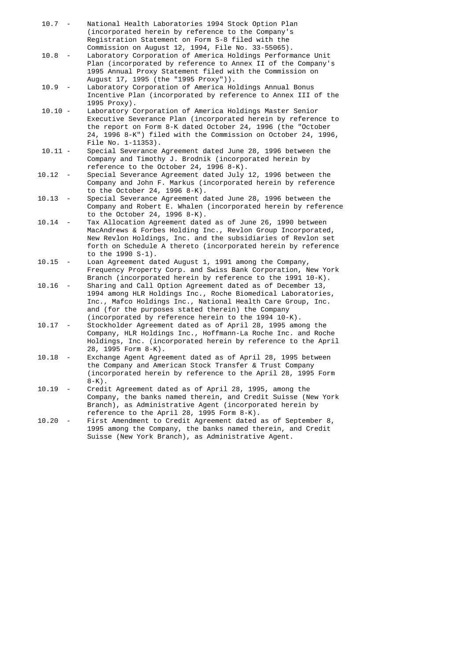10.7 - National Health Laboratories 1994 Stock Option Plan (incorporated herein by reference to the Company's Registration Statement on Form S-8 filed with the Commission on August 12, 1994, File No. 33-55065).<br>10.8 - Laboratory Corporation of America Holdings Perform Laboratory Corporation of America Holdings Performance Unit Plan (incorporated by reference to Annex II of the Company's 1995 Annual Proxy Statement filed with the Commission on August 17, 1995 (the "1995 Proxy")).<br>10.9 - Laboratory Corporation of America Ho Laboratory Corporation of America Holdings Annual Bonus Incentive Plan (incorporated by reference to Annex III of the 1995 Proxy). 10.10 - Laboratory Corporation of America Holdings Master Senior Executive Severance Plan (incorporated herein by reference to the report on Form 8-K dated October 24, 1996 (the "October 24, 1996 8-K") filed with the Commission on October 24, 1996, File No. 1-11353). 10.11 - Special Severance Agreement dated June 28, 1996 between the Company and Timothy J. Brodnik (incorporated herein by reference to the October 24, 1996 8-K).<br>10.12 - Special Severance Agreement dated July Special Severance Agreement dated July 12, 1996 between the Company and John F. Markus (incorporated herein by reference to the October 24, 1996 8-K). 10.13 - Special Severance Agreement dated June 28, 1996 between the Company and Robert E. Whalen (incorporated herein by reference to the October 24, 1996 8-K). 10.14 - Tax Allocation Agreement dated as of June 26, 1990 between MacAndrews & Forbes Holding Inc., Revlon Group Incorporated, New Revlon Holdings, Inc. and the subsidiaries of Revlon set forth on Schedule A thereto (incorporated herein by reference to the 1990 S-1).<br>10.15 - Loan Agreement da Loan Agreement dated August 1, 1991 among the Company, Frequency Property Corp. and Swiss Bank Corporation, New York Branch (incorporated herein by reference to the 1991 10-K). 10.16 - Sharing and Call Option Agreement dated as of December 13, 1994 among HLR Holdings Inc., Roche Biomedical Laboratories, Inc., Mafco Holdings Inc., National Health Care Group, Inc. and (for the purposes stated therein) the Company (incorporated by reference herein to the 1994 10-K).<br>10.17 - Stockholder Agreement dated as of April 28, 1995 amo Stockholder Agreement dated as of April 28, 1995 among the Company, HLR Holdings Inc., Hoffmann-La Roche Inc. and Roche Holdings, Inc. (incorporated herein by reference to the April 28, 1995 Form 8-K).<br>10.18 - Exchange Agent Agre Exchange Agent Agreement dated as of April 28, 1995 between the Company and American Stock Transfer & Trust Company (incorporated herein by reference to the April 28, 1995 Form 8-K).<br>10.19 - Credi Credit Agreement dated as of April 28, 1995, among the Company, the banks named therein, and Credit Suisse (New York Branch), as Administrative Agent (incorporated herein by reference to the April 28, 1995 Form 8-K).<br>10.20 - First Amendment to Credit Agreement dated First Amendment to Credit Agreement dated as of September 8, 1995 among the Company, the banks named therein, and Credit Suisse (New York Branch), as Administrative Agent.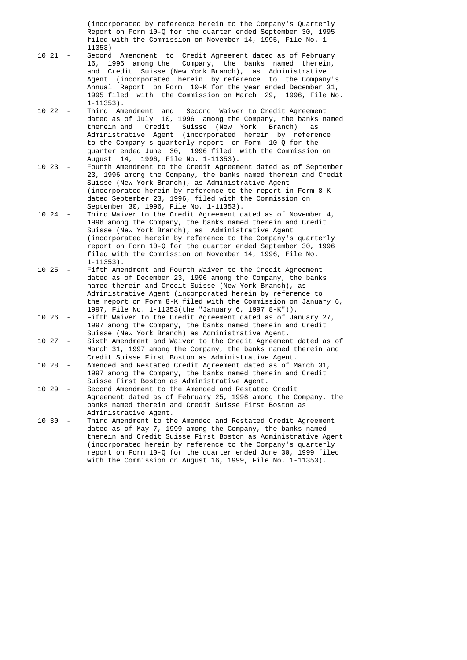(incorporated by reference herein to the Company's Quarterly Report on Form 10-Q for the quarter ended September 30, 1995 filed with the Commission on November 14, 1995, File No. 1-

- 11353).<br>10.21 Second Second Amendment to Credit Agreement dated as of February 16, 1996 among the Company, the banks named therein, and Credit Suisse (New York Branch), as Administrative Agent (incorporated herein by reference to the Company's Annual Report on Form 10-K for the year ended December 31, 1995 filed with the Commission on March 29, 1996, File No. 1-11353).<br>10.22 - Third Am
- Third Amendment and Second Waiver to Credit Agreement dated as of July 10, 1996 among the Company, the banks named therein and Credit Suisse (New York Branch) as Administrative Agent (incorporated herein by reference to the Company's quarterly report on Form 10-Q for the quarter ended June 30, 1996 filed with the Commission on August 14, 1996, File No. 1-11353).<br>10.23 - Fourth Amendment to the Credit Agreem
- Fourth Amendment to the Credit Agreement dated as of September 23, 1996 among the Company, the banks named therein and Credit Suisse (New York Branch), as Administrative Agent (incorporated herein by reference to the report in Form 8-K dated September 23, 1996, filed with the Commission on September 30, 1996, File No. 1-11353).
- 10.24 Third Waiver to the Credit Agreement dated as of November 4, 1996 among the Company, the banks named therein and Credit Suisse (New York Branch), as Administrative Agent (incorporated herein by reference to the Company's quarterly report on Form 10-Q for the quarter ended September 30, 1996 filed with the Commission on November 14, 1996, File No.
- 1-11353).<br>10.25 Fifth Ame Fifth Amendment and Fourth Waiver to the Credit Agreement dated as of December 23, 1996 among the Company, the banks named therein and Credit Suisse (New York Branch), as Administrative Agent (incorporated herein by reference to the report on Form 8-K filed with the Commission on January 6,
	- 1997, File No. 1-11353(the "January 6, 1997 8-K")). Fifth Waiver to the Credit Agreement dated as of January 27, 1997 among the Company, the banks named therein and Credit Suisse (New York Branch) as Administrative Agent.<br>10.27 - Sixth Amendment and Waiver to the Credit Agreemen
	- Sixth Amendment and Waiver to the Credit Agreement dated as of March 31, 1997 among the Company, the banks named therein and Credit Suisse First Boston as Administrative Agent.<br>10.28 - Amended and Restated Credit Agreement dated as of M
	- Amended and Restated Credit Agreement dated as of March 31, 1997 among the Company, the banks named therein and Credit Suisse First Boston as Administrative Agent.<br>10.29 - Second Amendment to the Amended and Restated
	- Second Amendment to the Amended and Restated Credit Agreement dated as of February 25, 1998 among the Company, the banks named therein and Credit Suisse First Boston as Administrative Agent.
	- 10.30 Third Amendment to the Amended and Restated Credit Agreement dated as of May 7, 1999 among the Company, the banks named therein and Credit Suisse First Boston as Administrative Agent (incorporated herein by reference to the Company's quarterly report on Form 10-Q for the quarter ended June 30, 1999 filed with the Commission on August 16, 1999, File No. 1-11353).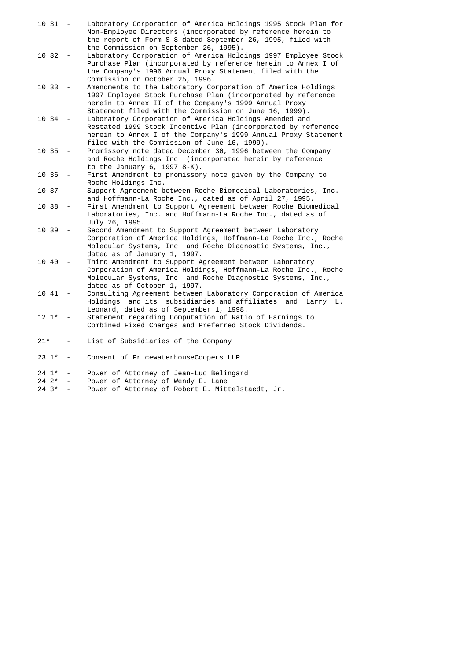| $10.31 -$ |                          | Laboratory Corporation of America Holdings 1995 Stock Plan for<br>Non-Employee Directors (incorporated by reference herein to<br>the report of Form S-8 dated September 26, 1995, filed with<br>the Commission on September 26, 1995).          |
|-----------|--------------------------|-------------------------------------------------------------------------------------------------------------------------------------------------------------------------------------------------------------------------------------------------|
| $10.32 -$ |                          | Laboratory Corporation of America Holdings 1997 Employee Stock<br>Purchase Plan (incorporated by reference herein to Annex I of<br>the Company's 1996 Annual Proxy Statement filed with the<br>Commission on October 25, 1996.                  |
| 10.33     |                          | Amendments to the Laboratory Corporation of America Holdings<br>1997 Employee Stock Purchase Plan (incorporated by reference<br>herein to Annex II of the Company's 1999 Annual Proxy<br>Statement filed with the Commission on June 16, 1999). |
| 10.34     |                          | Laboratory Corporation of America Holdings Amended and<br>Restated 1999 Stock Incentive Plan (incorporated by reference<br>herein to Annex I of the Company's 1999 Annual Proxy Statement<br>filed with the Commission of June 16, 1999).       |
| $10.35 -$ |                          | Promissory note dated December 30, 1996 between the Company<br>and Roche Holdings Inc. (incorporated herein by reference<br>to the January 6, 1997 8-K).                                                                                        |
| 10.36     | $\overline{\phantom{a}}$ | First Amendment to promissory note given by the Company to<br>Roche Holdings Inc.                                                                                                                                                               |
| 10.37     | $\overline{\phantom{a}}$ | Support Agreement between Roche Biomedical Laboratories, Inc.<br>and Hoffmann-La Roche Inc., dated as of April 27, 1995.                                                                                                                        |
| 10.38     | $\overline{\phantom{a}}$ | First Amendment to Support Agreement between Roche Biomedical<br>Laboratories, Inc. and Hoffmann-La Roche Inc., dated as of<br>July 26, 1995.                                                                                                   |
| 10.39     |                          | Second Amendment to Support Agreement between Laboratory<br>Corporation of America Holdings, Hoffmann-La Roche Inc., Roche<br>Molecular Systems, Inc. and Roche Diagnostic Systems, Inc.,<br>dated as of January 1, 1997.                       |
| 10.40     | $\overline{a}$           | Third Amendment to Support Agreement between Laboratory<br>Corporation of America Holdings, Hoffmann-La Roche Inc., Roche<br>Molecular Systems, Inc. and Roche Diagnostic Systems, Inc.,<br>dated as of October 1, 1997.                        |
| 10.41     |                          | Consulting Agreement between Laboratory Corporation of America<br>Holdings and its subsidiaries and affiliates<br>and Larry L.<br>Leonard, dated as of September 1, 1998.                                                                       |
| $12.1*$   |                          | Statement regarding Computation of Ratio of Earnings to<br>Combined Fixed Charges and Preferred Stock Dividends.                                                                                                                                |
| $21*$     |                          | List of Subsidiaries of the Company                                                                                                                                                                                                             |
| $23.1*$   | $\overline{\phantom{a}}$ | Consent of PricewaterhouseCoopers LLP                                                                                                                                                                                                           |
| $24.1*$   | $\overline{\phantom{a}}$ | Power of Attorney of Jean-Luc Belingard                                                                                                                                                                                                         |
| $24.2*$   |                          | Power of Attorney of Wendy E. Lane                                                                                                                                                                                                              |
| $24.3*$   | $\overline{\phantom{a}}$ | Power of Attorney of Robert E. Mittelstaedt, Jr.                                                                                                                                                                                                |
|           |                          |                                                                                                                                                                                                                                                 |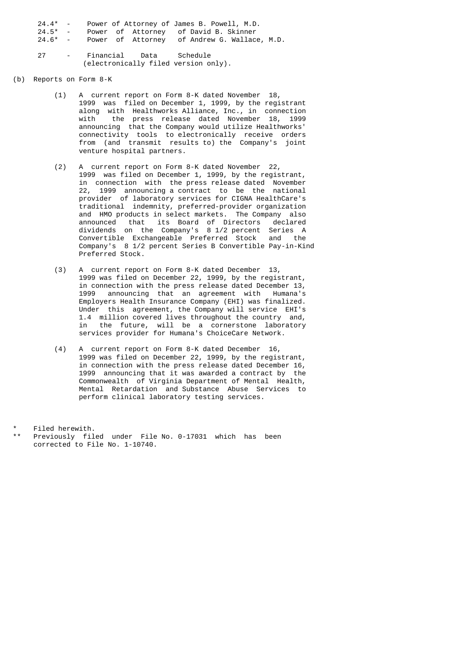| $24.4* -$  |  |  | Power of Attorney of James B. Powell, M.D.           |  |
|------------|--|--|------------------------------------------------------|--|
| $24.5^*$ - |  |  | Power of Attorney of David B. Skinner                |  |
|            |  |  | 24.6* - Power of Attorney of Andrew G. Wallace, M.D. |  |
|            |  |  |                                                      |  |
| 27         |  |  | - Financial Data Schedule                            |  |
|            |  |  | (electronically filed version only).                 |  |

### (b) Reports on Form 8-K

- (1) A current report on Form 8-K dated November 18, 1999 was filed on December 1, 1999, by the registrant along with Healthworks Alliance, Inc., in connection with the press release dated November 18, 1999 announcing that the Company would utilize Healthworks' connectivity tools to electronically receive orders from (and transmit results to) the Company's joint venture hospital partners.
- (2) A current report on Form 8-K dated November 22, 1999 was filed on December 1, 1999, by the registrant, in connection with the press release dated November 22, 1999 announcing a contract to be the national provider of laboratory services for CIGNA HealthCare's traditional indemnity, preferred-provider organization and HMO products in select markets. The Company also announced that its Board of Directors declared dividends on the Company's 8 1/2 percent Series A Convertible Exchangeable Preferred Stock and the Company's 8 1/2 percent Series B Convertible Pay-in-Kind Preferred Stock.
- (3) A current report on Form 8-K dated December 13, 1999 was filed on December 22, 1999, by the registrant, in connection with the press release dated December 13, 1999 announcing that an agreement with Humana's Employers Health Insurance Company (EHI) was finalized. Under this agreement, the Company will service EHI's 1.4 million covered lives throughout the country and, in the future, will be a cornerstone laboratory services provider for Humana's ChoiceCare Network.
	- (4) A current report on Form 8-K dated December 16, 1999 was filed on December 22, 1999, by the registrant, in connection with the press release dated December 16, 1999 announcing that it was awarded a contract by the Commonwealth of Virginia Department of Mental Health, Mental Retardation and Substance Abuse Services to perform clinical laboratory testing services.

Filed herewith.

Previously filed under File No. 0-17031 which has been corrected to File No. 1-10740.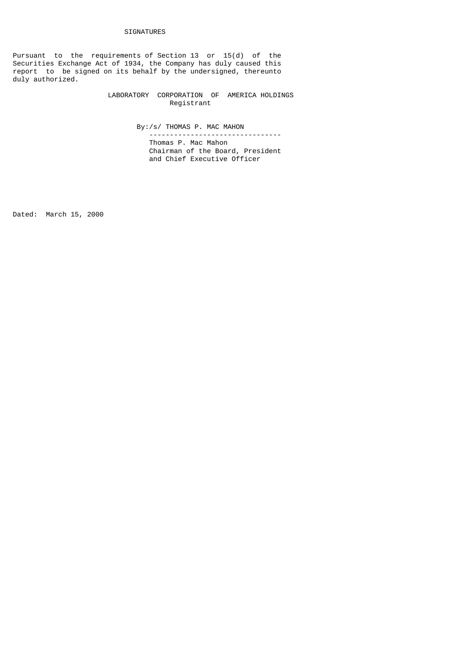# SIGNATURES

Pursuant to the requirements of Section 13 or 15(d) of the Securities Exchange Act of 1934, the Company has duly caused this report to be signed on its behalf by the undersigned, thereunto duly authorized.

> LABORATORY CORPORATION OF AMERICA HOLDINGS Registrant

> > By:/s/ THOMAS P. MAC MAHON

 -------------------------------- Thomas P. Mac Mahon Chairman of the Board, President and Chief Executive Officer

Dated: March 15, 2000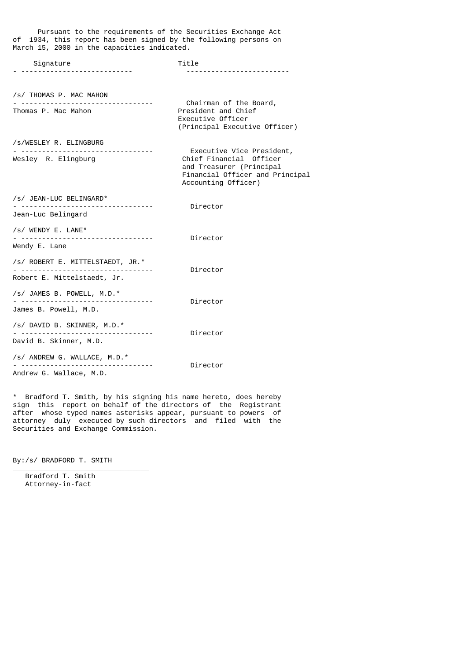| of 1934, this report has been signed by the following persons on<br>March 15, 2000 in the capacities indicated. |                                                                                                                                            |
|-----------------------------------------------------------------------------------------------------------------|--------------------------------------------------------------------------------------------------------------------------------------------|
| Signature                                                                                                       | Title                                                                                                                                      |
| /s/ THOMAS P. MAC MAHON                                                                                         |                                                                                                                                            |
| Thomas P. Mac Mahon                                                                                             | Chairman of the Board,<br>President and Chief<br>Executive Officer<br>(Principal Executive Officer)                                        |
| /s/WESLEY R. ELINGBURG<br>Wesley R. Elingburg                                                                   | Executive Vice President,<br>Chief Financial Officer<br>and Treasurer (Principal<br>Financial Officer and Principal<br>Accounting Officer) |
| /s/ JEAN-LUC BELINGARD*<br>Jean-Luc Belingard                                                                   | Director                                                                                                                                   |
| /s/ WENDY E. LANE*<br>.<br>Wendy E. Lane                                                                        | Director                                                                                                                                   |
| /s/ ROBERT E. MITTELSTAEDT, JR.*<br>Robert E. Mittelstaedt, Jr.                                                 | Director                                                                                                                                   |
| /s/ JAMES B. POWELL, M.D.*<br>James B. Powell, M.D.                                                             | Director                                                                                                                                   |
| /s/ DAVID B. SKINNER, M.D.*<br>David B. Skinner, M.D.                                                           | Director                                                                                                                                   |
| /s/ ANDREW G. WALLACE, M.D.*<br>Andrew G. Wallace, M.D.                                                         | Director                                                                                                                                   |

Pursuant to the requirements of the Securities Exchange Act

\* Bradford T. Smith, by his signing his name hereto, does hereby sign this report on behalf of the directors of the Registrant after whose typed names asterisks appear, pursuant to powers of attorney duly executed by such directors and filed with the Securities and Exchange Commission.

By:/s/ BRADFORD T. SMITH

\_\_\_\_\_\_\_\_\_\_\_\_\_\_\_\_\_\_\_\_\_\_\_\_\_\_\_\_\_\_\_\_\_

 Bradford T. Smith Attorney-in-fact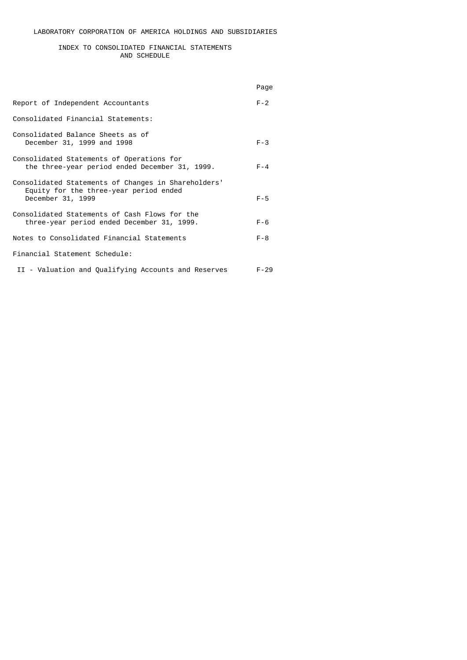## INDEX TO CONSOLIDATED FINANCIAL STATEMENTS AND SCHEDULE

|                                                                                                                    | Page     |
|--------------------------------------------------------------------------------------------------------------------|----------|
| Report of Independent Accountants                                                                                  | $F - 2$  |
| Consolidated Financial Statements:                                                                                 |          |
| Consolidated Balance Sheets as of<br>December 31, 1999 and 1998                                                    | $F - 3$  |
| Consolidated Statements of Operations for<br>the three-year period ended December 31, 1999.                        | $F - 4$  |
| Consolidated Statements of Changes in Shareholders'<br>Equity for the three-year period ended<br>December 31, 1999 | $F - 5$  |
| Consolidated Statements of Cash Flows for the<br>three-year period ended December 31, 1999.                        | $F - 6$  |
| Notes to Consolidated Financial Statements                                                                         | $F - 8$  |
| Financial Statement Schedule:                                                                                      |          |
| II - Valuation and Qualifying Accounts and Reserves                                                                | $F - 29$ |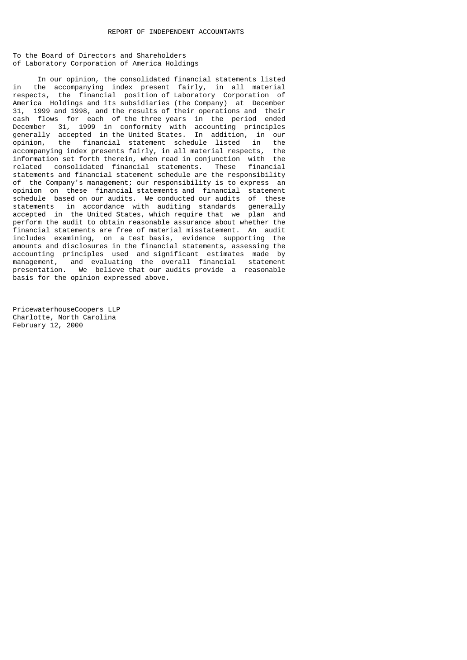To the Board of Directors and Shareholders of Laboratory Corporation of America Holdings

In our opinion, the consolidated financial statements listed<br>in the accompanying index present fairly, in all material in the accompanying index present fairly, in all material respects, the financial position of Laboratory Corporation of America Holdings and its subsidiaries (the Company) at December 31, 1999 and 1998, and the results of their operations and their cash flows for each of the three years in the period ended December 31, 1999 in conformity with accounting principles generally accepted in the United States. In addition, in our opinion, the financial statement schedule listed in the accompanying index presents fairly, in all material respects, the information set forth therein, when read in conjunction with the related consolidated financial statements. These financial statements and financial statement schedule are the responsibility of the Company's management; our responsibility is to express an opinion on these financial statements and financial statement schedule based on our audits. We conducted our audits of these statements in accordance with auditing standards generally accepted in the United States, which require that we plan and perform the audit to obtain reasonable assurance about whether the financial statements are free of material misstatement. An audit includes examining, on a test basis, evidence supporting the amounts and disclosures in the financial statements, assessing the accounting principles used and significant estimates made by management, and evaluating the overall financial statement presentation. We believe that our audits provide a reasonable basis for the opinion expressed above.

PricewaterhouseCoopers LLP Charlotte, North Carolina February 12, 2000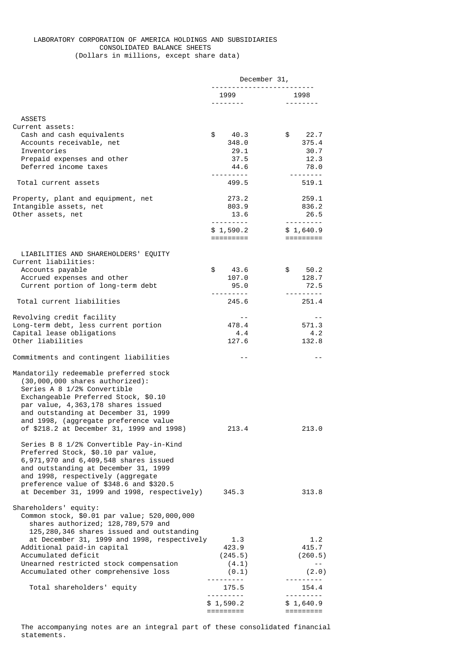# LABORATORY CORPORATION OF AMERICA HOLDINGS AND SUBSIDIARIES CONSOLIDATED BALANCE SHEETS (Dollars in millions, except share data)

|                                                                             | December 31,                 |                                                                                                                                                                                                                                                                                                                                                                                                                                                                                        |
|-----------------------------------------------------------------------------|------------------------------|----------------------------------------------------------------------------------------------------------------------------------------------------------------------------------------------------------------------------------------------------------------------------------------------------------------------------------------------------------------------------------------------------------------------------------------------------------------------------------------|
|                                                                             | 1999                         | 1998                                                                                                                                                                                                                                                                                                                                                                                                                                                                                   |
|                                                                             | <u>.</u>                     |                                                                                                                                                                                                                                                                                                                                                                                                                                                                                        |
|                                                                             |                              |                                                                                                                                                                                                                                                                                                                                                                                                                                                                                        |
| <b>ASSETS</b><br>Current assets:                                            |                              |                                                                                                                                                                                                                                                                                                                                                                                                                                                                                        |
| Cash and cash equivalents                                                   | \$<br>40.3                   | \$22.7                                                                                                                                                                                                                                                                                                                                                                                                                                                                                 |
| Accounts receivable, net                                                    | 348.0                        | 375.4                                                                                                                                                                                                                                                                                                                                                                                                                                                                                  |
| Inventories                                                                 | 29.1                         | 30.7                                                                                                                                                                                                                                                                                                                                                                                                                                                                                   |
| Prepaid expenses and other                                                  | 37.5                         | 12.3                                                                                                                                                                                                                                                                                                                                                                                                                                                                                   |
| Deferred income taxes                                                       | 44.6<br>- - - - - - - - - -  | 78.0                                                                                                                                                                                                                                                                                                                                                                                                                                                                                   |
| Total current assets                                                        | 499.5                        | 519.1                                                                                                                                                                                                                                                                                                                                                                                                                                                                                  |
| Property, plant and equipment, net                                          | 273.2                        | 259.1                                                                                                                                                                                                                                                                                                                                                                                                                                                                                  |
| Intangible assets, net                                                      | 803.9                        | 836.2                                                                                                                                                                                                                                                                                                                                                                                                                                                                                  |
| Other assets, net                                                           | 13.6                         | 26.5                                                                                                                                                                                                                                                                                                                                                                                                                                                                                   |
|                                                                             |                              | $\begin{array}{cccccccccccccc} \multicolumn{2}{c}{} & \multicolumn{2}{c}{} & \multicolumn{2}{c}{} & \multicolumn{2}{c}{} & \multicolumn{2}{c}{} & \multicolumn{2}{c}{} & \multicolumn{2}{c}{} & \multicolumn{2}{c}{} & \multicolumn{2}{c}{} & \multicolumn{2}{c}{} & \multicolumn{2}{c}{} & \multicolumn{2}{c}{} & \multicolumn{2}{c}{} & \multicolumn{2}{c}{} & \multicolumn{2}{c}{} & \multicolumn{2}{c}{} & \multicolumn{2}{c}{} & \multicolumn{2}{c}{} & \multicolumn{2}{c}{} & \$ |
|                                                                             | \$1,590.2<br>=========       | \$1,640.9                                                                                                                                                                                                                                                                                                                                                                                                                                                                              |
|                                                                             |                              |                                                                                                                                                                                                                                                                                                                                                                                                                                                                                        |
| LIABILITIES AND SHAREHOLDERS' EQUITY<br>Current liabilities:                |                              |                                                                                                                                                                                                                                                                                                                                                                                                                                                                                        |
| Accounts payable                                                            | \$<br>43.6                   | \$50.2                                                                                                                                                                                                                                                                                                                                                                                                                                                                                 |
| Accrued expenses and other                                                  | 107.0                        | 128.7                                                                                                                                                                                                                                                                                                                                                                                                                                                                                  |
| Current portion of long-term debt                                           | 95.0                         | 72.5                                                                                                                                                                                                                                                                                                                                                                                                                                                                                   |
|                                                                             | ---------                    | ---------                                                                                                                                                                                                                                                                                                                                                                                                                                                                              |
| Total current liabilities                                                   | 245.6                        | 251.4                                                                                                                                                                                                                                                                                                                                                                                                                                                                                  |
| Revolving credit facility                                                   | $- -$                        | $- -$                                                                                                                                                                                                                                                                                                                                                                                                                                                                                  |
| Long-term debt, less current portion                                        | 478.4                        | 571.3                                                                                                                                                                                                                                                                                                                                                                                                                                                                                  |
| Capital lease obligations                                                   | 4.4                          | 4.2                                                                                                                                                                                                                                                                                                                                                                                                                                                                                    |
| Other liabilities                                                           | 127.6                        | 132.8                                                                                                                                                                                                                                                                                                                                                                                                                                                                                  |
| Commitments and contingent liabilities                                      | $- -$                        | $- -$                                                                                                                                                                                                                                                                                                                                                                                                                                                                                  |
| Mandatorily redeemable preferred stock                                      |                              |                                                                                                                                                                                                                                                                                                                                                                                                                                                                                        |
| $(30,000,000$ shares authorized):                                           |                              |                                                                                                                                                                                                                                                                                                                                                                                                                                                                                        |
| Series A 8 1/2% Convertible                                                 |                              |                                                                                                                                                                                                                                                                                                                                                                                                                                                                                        |
| Exchangeable Preferred Stock, \$0.10                                        |                              |                                                                                                                                                                                                                                                                                                                                                                                                                                                                                        |
| par value, 4,363,178 shares issued<br>and outstanding at December 31, 1999  |                              |                                                                                                                                                                                                                                                                                                                                                                                                                                                                                        |
| and 1998, (aggregate preference value                                       |                              |                                                                                                                                                                                                                                                                                                                                                                                                                                                                                        |
| of \$218.2 at December 31, 1999 and 1998)                                   | 213.4                        | 213.0                                                                                                                                                                                                                                                                                                                                                                                                                                                                                  |
|                                                                             |                              |                                                                                                                                                                                                                                                                                                                                                                                                                                                                                        |
| Series B 8 1/2% Convertible Pay-in-Kind                                     |                              |                                                                                                                                                                                                                                                                                                                                                                                                                                                                                        |
| Preferred Stock, \$0.10 par value,<br>6,971,970 and 6,409,548 shares issued |                              |                                                                                                                                                                                                                                                                                                                                                                                                                                                                                        |
| and outstanding at December 31, 1999                                        |                              |                                                                                                                                                                                                                                                                                                                                                                                                                                                                                        |
| and 1998, respectively (aggregate                                           |                              |                                                                                                                                                                                                                                                                                                                                                                                                                                                                                        |
| preference value of \$348.6 and \$320.5                                     |                              |                                                                                                                                                                                                                                                                                                                                                                                                                                                                                        |
| at December 31, 1999 and 1998, respectively)                                | 345.3                        | 313.8                                                                                                                                                                                                                                                                                                                                                                                                                                                                                  |
| Shareholders' equity:                                                       |                              |                                                                                                                                                                                                                                                                                                                                                                                                                                                                                        |
| Common stock, \$0.01 par value; 520,000,000                                 |                              |                                                                                                                                                                                                                                                                                                                                                                                                                                                                                        |
| shares authorized; 128,789,579 and                                          |                              |                                                                                                                                                                                                                                                                                                                                                                                                                                                                                        |
| 125,280,346 shares issued and outstanding                                   |                              |                                                                                                                                                                                                                                                                                                                                                                                                                                                                                        |
| at December 31, 1999 and 1998, respectively                                 | 1.3                          | 1.2                                                                                                                                                                                                                                                                                                                                                                                                                                                                                    |
| Additional paid-in capital<br>Accumulated deficit                           | 423.9<br>(245.5)             | 415.7<br>(260.5)                                                                                                                                                                                                                                                                                                                                                                                                                                                                       |
| Unearned restricted stock compensation                                      | (4.1)                        | $- -$                                                                                                                                                                                                                                                                                                                                                                                                                                                                                  |
| Accumulated other comprehensive loss                                        | (0.1)                        | (2.0)                                                                                                                                                                                                                                                                                                                                                                                                                                                                                  |
|                                                                             | ----------                   | ---------                                                                                                                                                                                                                                                                                                                                                                                                                                                                              |
| Total shareholders' equity                                                  | 175.5<br>---------- <b>-</b> | 154.4<br><u> - - - - - - - - -</u>                                                                                                                                                                                                                                                                                                                                                                                                                                                     |
|                                                                             | \$1,590.2                    | \$1,640.9                                                                                                                                                                                                                                                                                                                                                                                                                                                                              |
|                                                                             | =========                    | =========                                                                                                                                                                                                                                                                                                                                                                                                                                                                              |

 The accompanying notes are an integral part of these consolidated financial statements.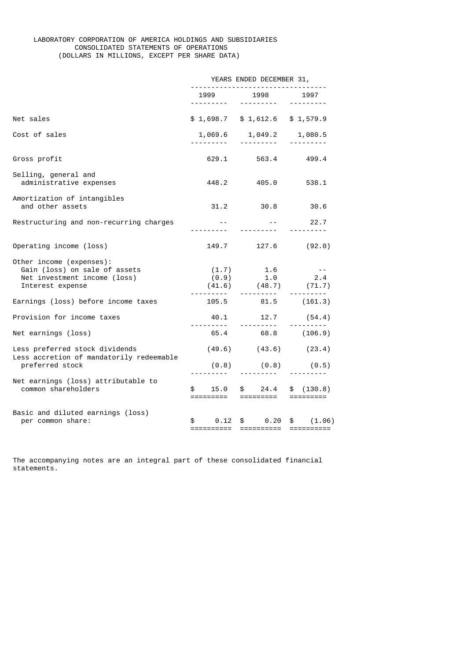# LABORATORY CORPORATION OF AMERICA HOLDINGS AND SUBSIDIARIES CONSOLIDATED STATEMENTS OF OPERATIONS (DOLLARS IN MILLIONS, EXCEPT PER SHARE DATA)

|                                                                                                               | YEARS ENDED DECEMBER 31,<br><u>.</u> |                                                                                                                                                                                                                                                                                                                                                                                                                                                                                                |                                      |  |
|---------------------------------------------------------------------------------------------------------------|--------------------------------------|------------------------------------------------------------------------------------------------------------------------------------------------------------------------------------------------------------------------------------------------------------------------------------------------------------------------------------------------------------------------------------------------------------------------------------------------------------------------------------------------|--------------------------------------|--|
|                                                                                                               | 1999<br>.                            | 1998<br>$\begin{array}{cccccccccccccc} \multicolumn{2}{c}{} & \multicolumn{2}{c}{} & \multicolumn{2}{c}{} & \multicolumn{2}{c}{} & \multicolumn{2}{c}{} & \multicolumn{2}{c}{} & \multicolumn{2}{c}{} & \multicolumn{2}{c}{} & \multicolumn{2}{c}{} & \multicolumn{2}{c}{} & \multicolumn{2}{c}{} & \multicolumn{2}{c}{} & \multicolumn{2}{c}{} & \multicolumn{2}{c}{} & \multicolumn{2}{c}{} & \multicolumn{2}{c}{} & \multicolumn{2}{c}{} & \multicolumn{2}{c}{} & \multicolumn{2}{c}{} & \$ | 1997<br><u> - - - - - - - - -</u>    |  |
| Net sales                                                                                                     |                                      | $$1,698.7$ $$1,612.6$ $$1,579.9$                                                                                                                                                                                                                                                                                                                                                                                                                                                               |                                      |  |
| Cost of sales                                                                                                 |                                      | 1,069.6 1,049.2 1,080.5                                                                                                                                                                                                                                                                                                                                                                                                                                                                        | $\frac{1}{2}$                        |  |
| Gross profit                                                                                                  | 629.1                                | 563.4                                                                                                                                                                                                                                                                                                                                                                                                                                                                                          | 499.4                                |  |
| Selling, general and<br>administrative expenses                                                               | 448.2                                | 405.0 200                                                                                                                                                                                                                                                                                                                                                                                                                                                                                      | 538.1                                |  |
| Amortization of intangibles<br>and other assets                                                               |                                      | 31.2 30.8 30.6                                                                                                                                                                                                                                                                                                                                                                                                                                                                                 |                                      |  |
| Restructuring and non-recurring charges                                                                       |                                      | .                                                                                                                                                                                                                                                                                                                                                                                                                                                                                              | -- 22.7<br><u> - - - - - - - - -</u> |  |
| Operating income (loss)                                                                                       |                                      | 149.7 127.6                                                                                                                                                                                                                                                                                                                                                                                                                                                                                    | (92.0)                               |  |
| Other income (expenses):<br>Gain (loss) on sale of assets<br>Net investment income (loss)<br>Interest expense |                                      | $(1.7)$ 1.6<br>$(0.9)$ 1.0<br>$(41.6)$ $(48.7)$ $(71.7)$                                                                                                                                                                                                                                                                                                                                                                                                                                       | $\sim$ $\sim$ $ -$<br>2.4            |  |
| Earnings (loss) before income taxes                                                                           |                                      | 105.5 81.5 (161.3)                                                                                                                                                                                                                                                                                                                                                                                                                                                                             |                                      |  |
| Provision for income taxes                                                                                    |                                      | 40.1 12.7 (54.4)                                                                                                                                                                                                                                                                                                                                                                                                                                                                               |                                      |  |
| Net earnings (loss)                                                                                           |                                      | 65.4 68.8 (106.9)                                                                                                                                                                                                                                                                                                                                                                                                                                                                              |                                      |  |
| Less preferred stock dividends<br>Less accretion of mandatorily redeemable                                    |                                      | $(49.6)$ $(43.6)$ $(23.4)$                                                                                                                                                                                                                                                                                                                                                                                                                                                                     |                                      |  |
| preferred stock                                                                                               |                                      | $(0.8)$ $(0.8)$ $(0.5)$<br><u> - - - - - - - - -</u>                                                                                                                                                                                                                                                                                                                                                                                                                                           |                                      |  |
| Net earnings (loss) attributable to<br>common shareholders                                                    | \$                                   | $15.0 \quad $24.4$<br>=========  =========                                                                                                                                                                                                                                                                                                                                                                                                                                                     | \$(130.8)                            |  |
| Basic and diluted earnings (loss)<br>per common share:                                                        |                                      | $$ 0.12 \text{ $} 0.20$<br>===========  ==========   ==========                                                                                                                                                                                                                                                                                                                                                                                                                                | \$ (1.06)                            |  |

The accompanying notes are an integral part of these consolidated financial statements.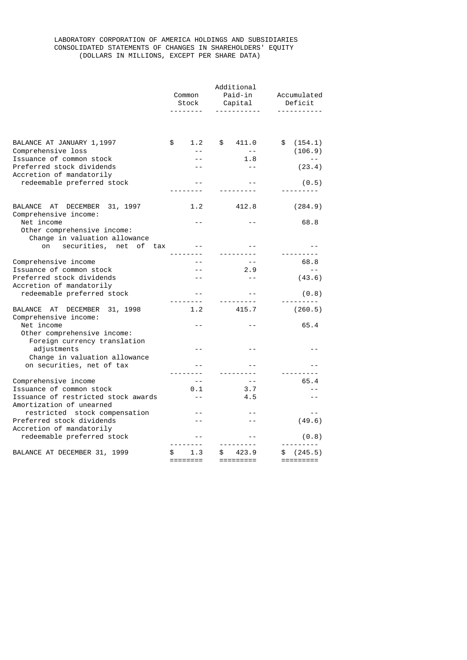# LABORATORY CORPORATION OF AMERICA HOLDINGS AND SUBSIDIARIES CONSOLIDATED STATEMENTS OF CHANGES IN SHAREHOLDERS' EQUITY (DOLLARS IN MILLIONS, EXCEPT PER SHARE DATA)

|                                                                  |                       | Additional               |                             |  |
|------------------------------------------------------------------|-----------------------|--------------------------|-----------------------------|--|
|                                                                  | Common<br>Stock       | Paid-in                  | Accumulated<br>Deficit      |  |
|                                                                  |                       | Capital                  | . <u>.</u>                  |  |
|                                                                  |                       |                          |                             |  |
| BALANCE AT JANUARY 1, 1997                                       | \$<br>1.2             | \$<br>411.0              | \$<br>(154.1)               |  |
| Comprehensive loss                                               | $ -$                  | $-$                      | (106.9)                     |  |
| Issuance of common stock<br>Preferred stock dividends            |                       | 1.8<br>$ -$              |                             |  |
| Accretion of mandatorily                                         |                       |                          | (23.4)                      |  |
| redeemable preferred stock                                       |                       |                          | (0.5)                       |  |
|                                                                  |                       |                          |                             |  |
| BALANCE AT<br>DECEMBER 31, 1997<br>Comprehensive income:         | 1.2                   | 412.8                    | (284.9)                     |  |
| Net income                                                       |                       |                          | 68.8                        |  |
| Other comprehensive income:                                      |                       |                          |                             |  |
| Change in valuation allowance<br>securities, net of<br>on<br>tax |                       |                          |                             |  |
|                                                                  |                       |                          |                             |  |
| Comprehensive income                                             |                       | $ -$                     | 68.8                        |  |
| Issuance of common stock                                         |                       | 2.9                      | $\sim$ $\sim$               |  |
| Preferred stock dividends                                        |                       | $ -$                     | (43.6)                      |  |
| Accretion of mandatorily                                         |                       |                          |                             |  |
| redeemable preferred stock                                       | .                     | $ -$                     | (0.8)                       |  |
| BALANCE AT<br>DECEMBER<br>31, 1998<br>Comprehensive income:      | 1.2                   | 415.7                    | (260.5)                     |  |
| Net income                                                       |                       | - -                      | 65.4                        |  |
| Other comprehensive income:<br>Foreign currency translation      |                       |                          |                             |  |
| adjustments                                                      | $\overline{a}$        |                          |                             |  |
| Change in valuation allowance                                    |                       |                          |                             |  |
| on securities, net of tax                                        |                       |                          |                             |  |
| Comprehensive income                                             | $-$                   | $- -$                    | 65.4                        |  |
| Issuance of common stock                                         | 0.1                   | 3.7                      |                             |  |
| Issuance of restricted stock awards                              | $\sim$ $\sim$         | 4.5                      | $- -$                       |  |
| Amortization of unearned                                         |                       |                          |                             |  |
| restricted stock compensation                                    |                       |                          | $- -$                       |  |
| Preferred stock dividends                                        |                       |                          | (49.6)                      |  |
| Accretion of mandatorily                                         |                       |                          |                             |  |
| redeemable preferred stock                                       |                       |                          | (0.8)                       |  |
| BALANCE AT DECEMBER 31, 1999                                     | 1.3<br>\$<br>======== | 423.9<br>\$<br>========= | (245.5)<br>\$.<br>========= |  |
|                                                                  |                       |                          |                             |  |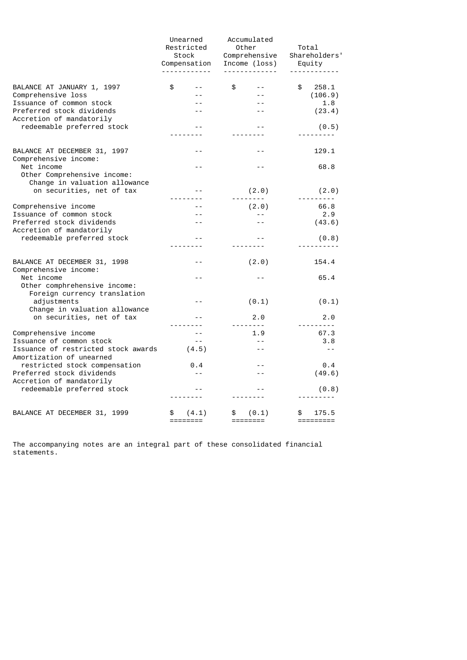|                                                                              | Unearned<br>Restricted<br>Stock<br>Compensation | Accumulated<br>Other<br>Comprehensive<br>Income (loss)<br>. <u>.</u> | Total<br>Shareholders'<br>Equity |  |
|------------------------------------------------------------------------------|-------------------------------------------------|----------------------------------------------------------------------|----------------------------------|--|
| BALANCE AT JANUARY 1, 1997                                                   | \$                                              | \$                                                                   | \$<br>258.1                      |  |
| Comprehensive loss                                                           |                                                 |                                                                      | (106.9)                          |  |
| Issuance of common stock                                                     |                                                 |                                                                      | 1.8                              |  |
| Preferred stock dividends<br>Accretion of mandatorily                        |                                                 |                                                                      | (23.4)                           |  |
| redeemable preferred stock                                                   |                                                 |                                                                      | (0.5)                            |  |
|                                                                              |                                                 |                                                                      |                                  |  |
| BALANCE AT DECEMBER 31, 1997<br>Comprehensive income:                        | $ -$                                            | $ -$                                                                 | 129.1                            |  |
| Net income<br>Other Comprehensive income:                                    | $- -$                                           | $ -$                                                                 | 68.8                             |  |
| Change in valuation allowance<br>on securities, net of tax                   | $=$ $=$                                         | (2.0)                                                                | (2.0)                            |  |
|                                                                              |                                                 |                                                                      | <u>.</u>                         |  |
| Comprehensive income                                                         |                                                 | (2.0)                                                                | 66.8                             |  |
| Issuance of common stock                                                     |                                                 | $- -$                                                                | 2.9                              |  |
| Preferred stock dividends                                                    |                                                 |                                                                      | (43.6)                           |  |
| Accretion of mandatorily<br>redeemable preferred stock                       |                                                 |                                                                      | (0.8)                            |  |
|                                                                              |                                                 |                                                                      |                                  |  |
| BALANCE AT DECEMBER 31, 1998<br>Comprehensive income:                        | $- -$                                           | (2.0)                                                                | 154.4                            |  |
| Net income<br>Other comphrehensive income:                                   | $ -$                                            |                                                                      | 65.4                             |  |
| Foreign currency translation<br>adjustments<br>Change in valuation allowance | $- -$                                           | (0.1)                                                                | (0.1)                            |  |
| on securities, net of tax                                                    |                                                 | 2.0                                                                  | 2.0                              |  |
|                                                                              |                                                 | <u>.</u>                                                             |                                  |  |
| Comprehensive income<br>Issuance of common stock                             | $=$ $-$                                         | 1.9<br>$=$ $-$                                                       | 67.3<br>3.8                      |  |
| Issuance of restricted stock awards<br>Amortization of unearned              | (4.5)                                           |                                                                      | $ -$                             |  |
| restricted stock compensation                                                | 0.4                                             |                                                                      | $\theta$ .4                      |  |
| Preferred stock dividends<br>Accretion of mandatorily                        | $\sim$ $\sim$                                   |                                                                      | (49.6)                           |  |
| redeemable preferred stock                                                   | $=$ $=$                                         |                                                                      | (0.8)                            |  |
|                                                                              |                                                 |                                                                      |                                  |  |
| BALANCE AT DECEMBER 31, 1999                                                 | \$<br>(4.1)<br>========                         | \$<br>(0.1)                                                          | 175.5<br>\$                      |  |

The accompanying notes are an integral part of these consolidated financial statements.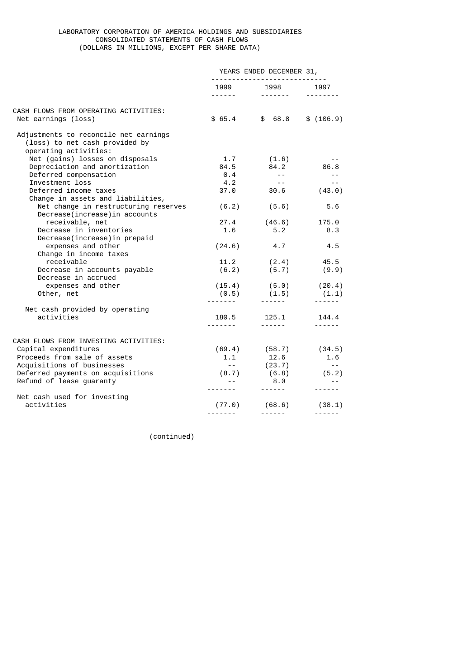# LABORATORY CORPORATION OF AMERICA HOLDINGS AND SUBSIDIARIES CONSOLIDATED STATEMENTS OF CASH FLOWS (DOLLARS IN MILLIONS, EXCEPT PER SHARE DATA)

|                                                                                                  | YEARS ENDED DECEMBER 31, |                                                                                                                                                                                                                                                                                                                                                                                                                                                                                        |                            |
|--------------------------------------------------------------------------------------------------|--------------------------|----------------------------------------------------------------------------------------------------------------------------------------------------------------------------------------------------------------------------------------------------------------------------------------------------------------------------------------------------------------------------------------------------------------------------------------------------------------------------------------|----------------------------|
|                                                                                                  | 1999 1998 1997           |                                                                                                                                                                                                                                                                                                                                                                                                                                                                                        |                            |
|                                                                                                  |                          |                                                                                                                                                                                                                                                                                                                                                                                                                                                                                        |                            |
| CASH FLOWS FROM OPERATING ACTIVITIES:<br>Net earnings (loss)                                     |                          | $$65.4$ $$68.8$ $$(106.9)$                                                                                                                                                                                                                                                                                                                                                                                                                                                             |                            |
| Adjustments to reconcile net earnings<br>(loss) to net cash provided by<br>operating activities: |                          |                                                                                                                                                                                                                                                                                                                                                                                                                                                                                        |                            |
| Net (gains) losses on disposals                                                                  | 1.7                      | (1.6)                                                                                                                                                                                                                                                                                                                                                                                                                                                                                  | $ -$                       |
| Depreciation and amortization                                                                    |                          | 84.5 84.2                                                                                                                                                                                                                                                                                                                                                                                                                                                                              | 86.8                       |
| Deferred compensation                                                                            | 0.4                      | $\sim$ $  \sim$                                                                                                                                                                                                                                                                                                                                                                                                                                                                        | $- - -$                    |
| Investment loss                                                                                  | 4.2                      | $\sim$ $ -$                                                                                                                                                                                                                                                                                                                                                                                                                                                                            | $- -$                      |
| Deferred income taxes<br>Change in assets and liabilities,                                       |                          | $37.0$ $30.6$                                                                                                                                                                                                                                                                                                                                                                                                                                                                          | (43.0)                     |
| Net change in restructuring reserves<br>Decrease(increase) in accounts                           | (6.2)                    | (5.6)                                                                                                                                                                                                                                                                                                                                                                                                                                                                                  | 5.6                        |
| receivable, net                                                                                  |                          | 27.4 (46.6)                                                                                                                                                                                                                                                                                                                                                                                                                                                                            | 175.0                      |
| Decrease in inventories<br>Decrease(increase) in prepaid                                         | 1.6                      | 5.2                                                                                                                                                                                                                                                                                                                                                                                                                                                                                    | 8.3                        |
| expenses and other                                                                               |                          | $(24.6)$ 4.7                                                                                                                                                                                                                                                                                                                                                                                                                                                                           | 4.5                        |
| Change in income taxes                                                                           |                          |                                                                                                                                                                                                                                                                                                                                                                                                                                                                                        |                            |
| receivable                                                                                       |                          | $11.2$ $(2.4)$ $45.5$                                                                                                                                                                                                                                                                                                                                                                                                                                                                  |                            |
| Decrease in accounts payable                                                                     |                          | $(6.2)$ $(5.7)$ $(9.9)$                                                                                                                                                                                                                                                                                                                                                                                                                                                                |                            |
| Decrease in accrued                                                                              |                          |                                                                                                                                                                                                                                                                                                                                                                                                                                                                                        |                            |
| expenses and other                                                                               |                          | $(15.4)$ $(5.0)$ $(20.4)$<br>$(0.5)$ $(1.5)$ $(1.1)$                                                                                                                                                                                                                                                                                                                                                                                                                                   |                            |
| Other, net                                                                                       |                          |                                                                                                                                                                                                                                                                                                                                                                                                                                                                                        |                            |
| Net cash provided by operating                                                                   |                          |                                                                                                                                                                                                                                                                                                                                                                                                                                                                                        |                            |
| activities                                                                                       |                          | 180.5    125.1    144.4                                                                                                                                                                                                                                                                                                                                                                                                                                                                |                            |
|                                                                                                  |                          |                                                                                                                                                                                                                                                                                                                                                                                                                                                                                        |                            |
| CASH FLOWS FROM INVESTING ACTIVITIES:                                                            |                          |                                                                                                                                                                                                                                                                                                                                                                                                                                                                                        |                            |
| Capital expenditures                                                                             |                          |                                                                                                                                                                                                                                                                                                                                                                                                                                                                                        | $(69.4)$ $(58.7)$ $(34.5)$ |
| Proceeds from sale of assets                                                                     | 1.1                      |                                                                                                                                                                                                                                                                                                                                                                                                                                                                                        | 1.6                        |
| Acquisitions of businesses                                                                       | $\sim$ $ -$              | 12.6<br>(23.7)                                                                                                                                                                                                                                                                                                                                                                                                                                                                         | $\sim$ $-$                 |
| Deferred payments on acquisitions                                                                |                          | $(8.7)$ $(6.8)$ $(5.2)$                                                                                                                                                                                                                                                                                                                                                                                                                                                                |                            |
| Refund of lease guaranty                                                                         | $\sim$ $ -$              | 8.0                                                                                                                                                                                                                                                                                                                                                                                                                                                                                    | $\sim$ $-$                 |
| Net cash used for investing                                                                      | --------                 | $\frac{1}{2} \left( \frac{1}{2} \right) \left( \frac{1}{2} \right) \left( \frac{1}{2} \right) \left( \frac{1}{2} \right) \left( \frac{1}{2} \right) \left( \frac{1}{2} \right) \left( \frac{1}{2} \right) \left( \frac{1}{2} \right) \left( \frac{1}{2} \right) \left( \frac{1}{2} \right) \left( \frac{1}{2} \right) \left( \frac{1}{2} \right) \left( \frac{1}{2} \right) \left( \frac{1}{2} \right) \left( \frac{1}{2} \right) \left( \frac{1}{2} \right) \left( \frac$             | $- - - - - -$              |
| activities                                                                                       |                          | $(77.0)$ $(68.6)$ $(38.1)$                                                                                                                                                                                                                                                                                                                                                                                                                                                             |                            |
|                                                                                                  | <u>.</u>                 | $\begin{array}{cccccccccccccc} \multicolumn{2}{c}{} & \multicolumn{2}{c}{} & \multicolumn{2}{c}{} & \multicolumn{2}{c}{} & \multicolumn{2}{c}{} & \multicolumn{2}{c}{} & \multicolumn{2}{c}{} & \multicolumn{2}{c}{} & \multicolumn{2}{c}{} & \multicolumn{2}{c}{} & \multicolumn{2}{c}{} & \multicolumn{2}{c}{} & \multicolumn{2}{c}{} & \multicolumn{2}{c}{} & \multicolumn{2}{c}{} & \multicolumn{2}{c}{} & \multicolumn{2}{c}{} & \multicolumn{2}{c}{} & \multicolumn{2}{c}{} & \$ |                            |

(continued)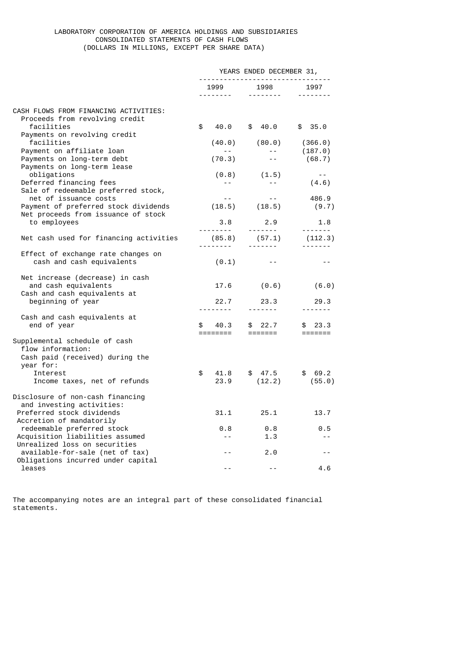# LABORATORY CORPORATION OF AMERICA HOLDINGS AND SUBSIDIARIES CONSOLIDATED STATEMENTS OF CASH FLOWS (DOLLARS IN MILLIONS, EXCEPT PER SHARE DATA)

|                                                                                                      | YEARS ENDED DECEMBER 31,<br>------------------------------- |                                                                                                                                                                                                                                                                                                                                                                                                                                                                                                |                                                                                                                                                                                                                                                                                                                                                                                                                                                                                               |                                                                                        |
|------------------------------------------------------------------------------------------------------|-------------------------------------------------------------|------------------------------------------------------------------------------------------------------------------------------------------------------------------------------------------------------------------------------------------------------------------------------------------------------------------------------------------------------------------------------------------------------------------------------------------------------------------------------------------------|-----------------------------------------------------------------------------------------------------------------------------------------------------------------------------------------------------------------------------------------------------------------------------------------------------------------------------------------------------------------------------------------------------------------------------------------------------------------------------------------------|----------------------------------------------------------------------------------------|
|                                                                                                      |                                                             | 1999<br>$\begin{array}{cccccccccccccc} \multicolumn{2}{c}{} & \multicolumn{2}{c}{} & \multicolumn{2}{c}{} & \multicolumn{2}{c}{} & \multicolumn{2}{c}{} & \multicolumn{2}{c}{} & \multicolumn{2}{c}{} & \multicolumn{2}{c}{} & \multicolumn{2}{c}{} & \multicolumn{2}{c}{} & \multicolumn{2}{c}{} & \multicolumn{2}{c}{} & \multicolumn{2}{c}{} & \multicolumn{2}{c}{} & \multicolumn{2}{c}{} & \multicolumn{2}{c}{} & \multicolumn{2}{c}{} & \multicolumn{2}{c}{} & \multicolumn{2}{c}{} & \$ | 1998<br><u> - - - - - - - -</u>                                                                                                                                                                                                                                                                                                                                                                                                                                                               | 1997                                                                                   |
| CASH FLOWS FROM FINANCING ACTIVITIES:<br>Proceeds from revolving credit<br>facilities                | \$                                                          | 40.0                                                                                                                                                                                                                                                                                                                                                                                                                                                                                           | \$40.0                                                                                                                                                                                                                                                                                                                                                                                                                                                                                        | \$35.0                                                                                 |
| Payments on revolving credit<br>facilities<br>Payment on affiliate loan                              |                                                             | (40.0)                                                                                                                                                                                                                                                                                                                                                                                                                                                                                         | (80.0)<br>$- -$                                                                                                                                                                                                                                                                                                                                                                                                                                                                               | (366.0)<br>(187.0)                                                                     |
| Payments on long-term debt<br>Payments on long-term lease                                            |                                                             | (70.3)                                                                                                                                                                                                                                                                                                                                                                                                                                                                                         | $- -$                                                                                                                                                                                                                                                                                                                                                                                                                                                                                         | (68.7)                                                                                 |
| obligations<br>Deferred financing fees<br>Sale of redeemable preferred stock,                        |                                                             | (0.8)<br>$-$                                                                                                                                                                                                                                                                                                                                                                                                                                                                                   | (1.5)<br>$- -$                                                                                                                                                                                                                                                                                                                                                                                                                                                                                | $ -$<br>(4.6)                                                                          |
| net of issuance costs<br>Payment of preferred stock dividends<br>Net proceeds from issuance of stock |                                                             | $- -$                                                                                                                                                                                                                                                                                                                                                                                                                                                                                          | $ -$<br>$(18.5)$ $(18.5)$                                                                                                                                                                                                                                                                                                                                                                                                                                                                     | 486.9<br>(9.7)                                                                         |
| to employees                                                                                         |                                                             | 3.8<br><u>.</u>                                                                                                                                                                                                                                                                                                                                                                                                                                                                                | 2.9<br>$\begin{array}{cccccccccccccc} \multicolumn{2}{c}{} & \multicolumn{2}{c}{} & \multicolumn{2}{c}{} & \multicolumn{2}{c}{} & \multicolumn{2}{c}{} & \multicolumn{2}{c}{} & \multicolumn{2}{c}{} & \multicolumn{2}{c}{} & \multicolumn{2}{c}{} & \multicolumn{2}{c}{} & \multicolumn{2}{c}{} & \multicolumn{2}{c}{} & \multicolumn{2}{c}{} & \multicolumn{2}{c}{} & \multicolumn{2}{c}{} & \multicolumn{2}{c}{} & \multicolumn{2}{c}{} & \multicolumn{2}{c}{} & \multicolumn{2}{c}{} & \$ | 1.8<br>$\begin{array}{cccccccccc} \bot & \bot & \bot & \bot & \bot & \bot \end{array}$ |
| Net cash used for financing activities                                                               |                                                             | (85.8)                                                                                                                                                                                                                                                                                                                                                                                                                                                                                         | (57.1)<br><u> - - - - - - -</u>                                                                                                                                                                                                                                                                                                                                                                                                                                                               | (112.3)                                                                                |
| Effect of exchange rate changes on<br>cash and cash equivalents                                      |                                                             | (0.1)                                                                                                                                                                                                                                                                                                                                                                                                                                                                                          | $- -$                                                                                                                                                                                                                                                                                                                                                                                                                                                                                         | $- -$                                                                                  |
| Net increase (decrease) in cash<br>and cash equivalents<br>Cash and cash equivalents at              |                                                             | 17.6                                                                                                                                                                                                                                                                                                                                                                                                                                                                                           | (0.6)                                                                                                                                                                                                                                                                                                                                                                                                                                                                                         | (6.0)                                                                                  |
| beginning of year                                                                                    |                                                             | 22.7                                                                                                                                                                                                                                                                                                                                                                                                                                                                                           | 23.3<br><u> - - - - - - -</u>                                                                                                                                                                                                                                                                                                                                                                                                                                                                 | 29.3                                                                                   |
| Cash and cash equivalents at<br>end of year                                                          | \$                                                          | 40.3<br>$=$ $=$ $=$ $=$ $=$ $=$ $=$ $=$                                                                                                                                                                                                                                                                                                                                                                                                                                                        | 22.7<br>\$<br>$=$ $=$ $=$ $=$ $=$ $=$                                                                                                                                                                                                                                                                                                                                                                                                                                                         | \$23.3                                                                                 |
| Supplemental schedule of cash<br>flow information:<br>Cash paid (received) during the<br>year for:   |                                                             |                                                                                                                                                                                                                                                                                                                                                                                                                                                                                                |                                                                                                                                                                                                                                                                                                                                                                                                                                                                                               |                                                                                        |
| Interest<br>Income taxes, net of refunds                                                             | \$                                                          | 41.8<br>23.9                                                                                                                                                                                                                                                                                                                                                                                                                                                                                   | \$47.5<br>(12.2)                                                                                                                                                                                                                                                                                                                                                                                                                                                                              | \$69.2<br>(55.0)                                                                       |
| Disclosure of non-cash financing<br>and investing activities:<br>Preferred stock dividends           |                                                             | 31.1                                                                                                                                                                                                                                                                                                                                                                                                                                                                                           | 25.1                                                                                                                                                                                                                                                                                                                                                                                                                                                                                          | 13.7                                                                                   |
| Accretion of mandatorily                                                                             |                                                             |                                                                                                                                                                                                                                                                                                                                                                                                                                                                                                |                                                                                                                                                                                                                                                                                                                                                                                                                                                                                               |                                                                                        |
| redeemable preferred stock<br>Acquisition liabilities assumed<br>Unrealized loss on securities       |                                                             | 0.8<br>$ -$                                                                                                                                                                                                                                                                                                                                                                                                                                                                                    | 0.8<br>1.3                                                                                                                                                                                                                                                                                                                                                                                                                                                                                    | 0.5<br>$- -$                                                                           |
| available-for-sale (net of tax)<br>Obligations incurred under capital                                |                                                             |                                                                                                                                                                                                                                                                                                                                                                                                                                                                                                | 2.0                                                                                                                                                                                                                                                                                                                                                                                                                                                                                           | $- -$                                                                                  |
| leases                                                                                               |                                                             | $ -$                                                                                                                                                                                                                                                                                                                                                                                                                                                                                           | $ -$                                                                                                                                                                                                                                                                                                                                                                                                                                                                                          | 4.6                                                                                    |

The accompanying notes are an integral part of these consolidated financial statements.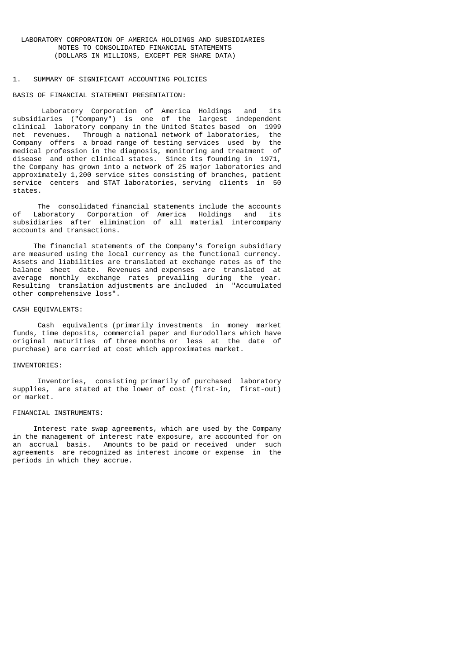## 1. SUMMARY OF SIGNIFICANT ACCOUNTING POLICIES

## BASIS OF FINANCIAL STATEMENT PRESENTATION:

 Laboratory Corporation of America Holdings and its subsidiaries ("Company") is one of the largest independent clinical laboratory company in the United States based on 1999 net revenues. Through a national network of laboratories, the Company offers a broad range of testing services used by the medical profession in the diagnosis, monitoring and treatment of disease and other clinical states. Since its founding in 1971, the Company has grown into a network of 25 major laboratories and approximately 1,200 service sites consisting of branches, patient service centers and STAT laboratories, serving clients in 50 states.

The consolidated financial statements include the accounts<br>of Laboratory Corporation of America Holdings and its Laboratory Corporation of America Holdings and its subsidiaries after elimination of all material intercompany accounts and transactions.

 The financial statements of the Company's foreign subsidiary are measured using the local currency as the functional currency. Assets and liabilities are translated at exchange rates as of the balance sheet date. Revenues and expenses are translated at average monthly exchange rates prevailing during the year. Resulting translation adjustments are included in "Accumulated other comprehensive loss".

#### CASH EQUIVALENTS:

 Cash equivalents (primarily investments in money market funds, time deposits, commercial paper and Eurodollars which have original maturities of three months or less at the date of purchase) are carried at cost which approximates market.

## INVENTORIES:

 Inventories, consisting primarily of purchased laboratory supplies, are stated at the lower of cost (first-in, first-out) or market.

## FINANCIAL INSTRUMENTS:

 Interest rate swap agreements, which are used by the Company in the management of interest rate exposure, are accounted for on an accrual basis. Amounts to be paid or received under such agreements are recognized as interest income or expense in the periods in which they accrue.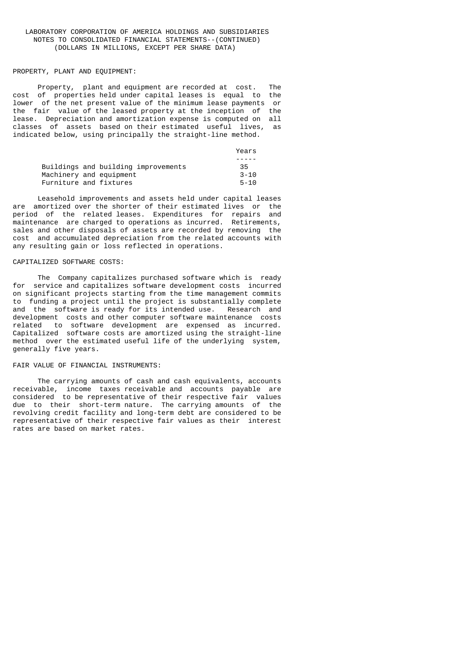#### PROPERTY, PLANT AND EQUIPMENT:

 Property, plant and equipment are recorded at cost. The cost of properties held under capital leases is equal to the lower of the net present value of the minimum lease payments or the fair value of the leased property at the inception of the lease. Depreciation and amortization expense is computed on all classes of assets based on their estimated useful lives, as indicated below, using principally the straight-line method.

|                         |                                     | Years    |
|-------------------------|-------------------------------------|----------|
|                         |                                     |          |
|                         | Buildings and building improvements | 35       |
| Machinery and equipment |                                     | $3 - 10$ |
| Furniture and fixtures  |                                     | $5 - 10$ |

 Leasehold improvements and assets held under capital leases are amortized over the shorter of their estimated lives or the period of the related leases. Expenditures for repairs and maintenance are charged to operations as incurred. Retirements, sales and other disposals of assets are recorded by removing the cost and accumulated depreciation from the related accounts with any resulting gain or loss reflected in operations.

# CAPITALIZED SOFTWARE COSTS:

 The Company capitalizes purchased software which is ready for service and capitalizes software development costs incurred on significant projects starting from the time management commits to funding a project until the project is substantially complete and the software is ready for its intended use. Research and development costs and other computer software maintenance costs related to software development are expensed as incurred. Capitalized software costs are amortized using the straight-line method over the estimated useful life of the underlying system, generally five years.

#### FAIR VALUE OF FINANCIAL INSTRUMENTS:

 The carrying amounts of cash and cash equivalents, accounts receivable, income taxes receivable and accounts payable are considered to be representative of their respective fair values due to their short-term nature. The carrying amounts of the revolving credit facility and long-term debt are considered to be representative of their respective fair values as their interest rates are based on market rates.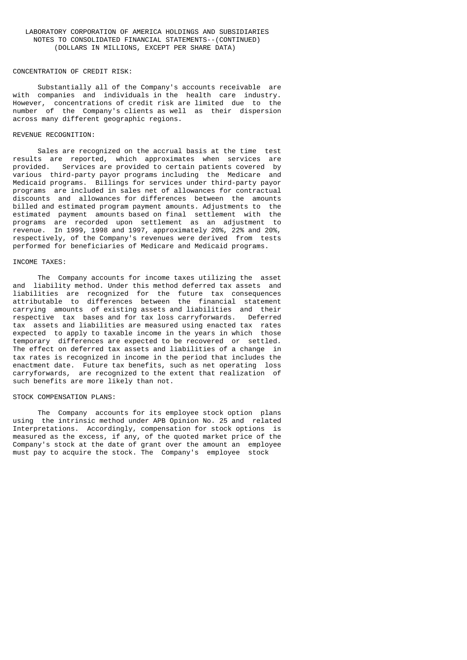#### CONCENTRATION OF CREDIT RISK:

 Substantially all of the Company's accounts receivable are with companies and individuals in the health care industry. However, concentrations of credit risk are limited due to the number of the Company's clients as well as their dispersion across many different geographic regions.

# REVENUE RECOGNITION:

 Sales are recognized on the accrual basis at the time test results are reported, which approximates when services are provided. Services are provided to certain patients covered by various third-party payor programs including the Medicare and Medicaid programs. Billings for services under third-party payor programs are included in sales net of allowances for contractual discounts and allowances for differences between the amounts billed and estimated program payment amounts. Adjustments to the estimated payment amounts based on final settlement with the programs are recorded upon settlement as an adjustment to revenue. In 1999, 1998 and 1997, approximately 20%, 22% and 20%, respectively, of the Company's revenues were derived from tests performed for beneficiaries of Medicare and Medicaid programs.

# INCOME TAXES:

 The Company accounts for income taxes utilizing the asset and liability method. Under this method deferred tax assets and liabilities are recognized for the future tax consequences attributable to differences between the financial statement carrying amounts of existing assets and liabilities and their respective tax bases and for tax loss carryforwards. Deferred tax assets and liabilities are measured using enacted tax rates expected to apply to taxable income in the years in which those temporary differences are expected to be recovered or settled. The effect on deferred tax assets and liabilities of a change in tax rates is recognized in income in the period that includes the enactment date. Future tax benefits, such as net operating loss carryforwards, are recognized to the extent that realization of such benefits are more likely than not.

### STOCK COMPENSATION PLANS:

 The Company accounts for its employee stock option plans using the intrinsic method under APB Opinion No. 25 and related Interpretations. Accordingly, compensation for stock options is measured as the excess, if any, of the quoted market price of the Company's stock at the date of grant over the amount an employee must pay to acquire the stock. The Company's employee stock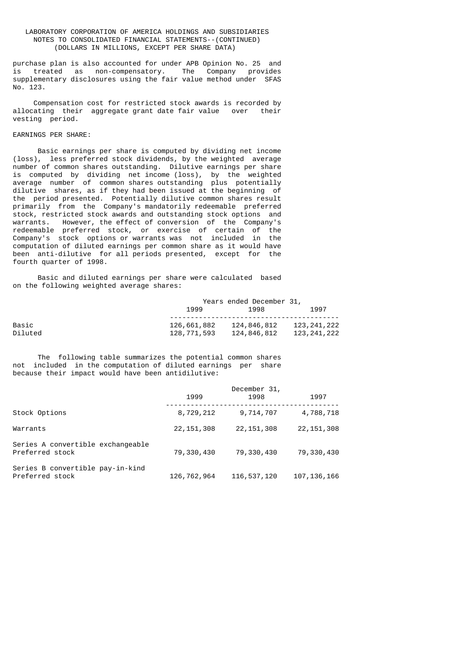purchase plan is also accounted for under APB Opinion No. 25 and is treated as non-compensatory. The Company provides supplementary disclosures using the fair value method under SFAS No. 123.

 Compensation cost for restricted stock awards is recorded by allocating their aggregate grant date fair value over their vesting period.

# EARNINGS PER SHARE:

 Basic earnings per share is computed by dividing net income (loss), less preferred stock dividends, by the weighted average number of common shares outstanding. Dilutive earnings per share is computed by dividing net income (loss), by the weighted average number of common shares outstanding plus potentially dilutive shares, as if they had been issued at the beginning of the period presented. Potentially dilutive common shares result primarily from the Company's mandatorily redeemable preferred stock, restricted stock awards and outstanding stock options and warrants. However, the effect of conversion of the Company's redeemable preferred stock, or exercise of certain of the Company's stock options or warrants was not included in the computation of diluted earnings per common share as it would have been anti-dilutive for all periods presented, except for the fourth quarter of 1998.

 Basic and diluted earnings per share were calculated based on the following weighted average shares:

|         | Years ended December 31, |             |             |  |
|---------|--------------------------|-------------|-------------|--|
|         | 1999<br>1998             |             | 1997        |  |
|         |                          |             |             |  |
| Basic   | 126,661,882              | 124,846,812 | 123,241,222 |  |
| Diluted | 128,771,593              | 124,846,812 | 123,241,222 |  |

 The following table summarizes the potential common shares not included in the computation of diluted earnings per share because their impact would have been antidilutive:

|                                                      | 1999         | December 31,<br>1998 | 1997          |
|------------------------------------------------------|--------------|----------------------|---------------|
| Stock Options                                        | 8,729,212    | 9,714,707            | 4,788,718     |
| Warrants                                             | 22, 151, 308 | 22, 151, 308         | 22, 151, 308  |
| Series A convertible exchangeable<br>Preferred stock | 79,330,430   | 79,330,430           | 79,330,430    |
| Series B convertible pay-in-kind<br>Preferred stock  | 126,762,964  | 116,537,120          | 107, 136, 166 |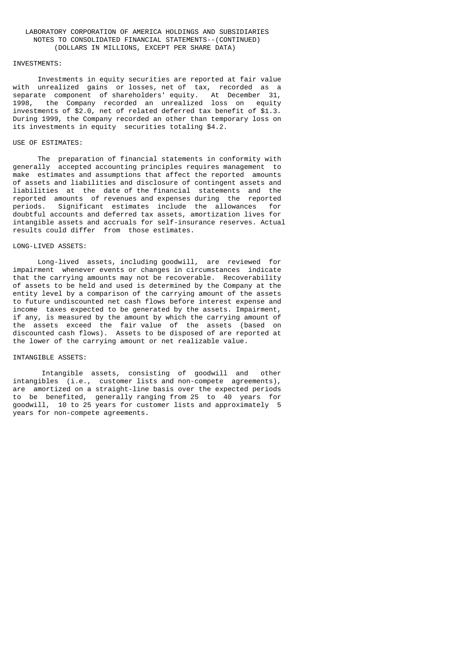#### INVESTMENTS:

 Investments in equity securities are reported at fair value with unrealized gains or losses, net of tax, recorded as a separate component of shareholders' equity. At December 31, 1998, the Company recorded an unrealized loss on equity investments of \$2.0, net of related deferred tax benefit of \$1.3. During 1999, the Company recorded an other than temporary loss on its investments in equity securities totaling \$4.2.

### USE OF ESTIMATES:

 The preparation of financial statements in conformity with generally accepted accounting principles requires management to make estimates and assumptions that affect the reported amounts of assets and liabilities and disclosure of contingent assets and liabilities at the date of the financial statements and the reported amounts of revenues and expenses during the reported<br>periods. Significant estimates include the allowances for Significant estimates include the allowances for doubtful accounts and deferred tax assets, amortization lives for intangible assets and accruals for self-insurance reserves. Actual results could differ from those estimates.

### LONG-LIVED ASSETS:

 Long-lived assets, including goodwill, are reviewed for impairment whenever events or changes in circumstances indicate that the carrying amounts may not be recoverable. Recoverability of assets to be held and used is determined by the Company at the entity level by a comparison of the carrying amount of the assets to future undiscounted net cash flows before interest expense and income taxes expected to be generated by the assets. Impairment, if any, is measured by the amount by which the carrying amount of the assets exceed the fair value of the assets (based on discounted cash flows). Assets to be disposed of are reported at the lower of the carrying amount or net realizable value.

# INTANGIBLE ASSETS:

 Intangible assets, consisting of goodwill and other intangibles (i.e., customer lists and non-compete agreements), are amortized on a straight-line basis over the expected periods to be benefited, generally ranging from 25 to 40 years for goodwill, 10 to 25 years for customer lists and approximately 5 years for non-compete agreements.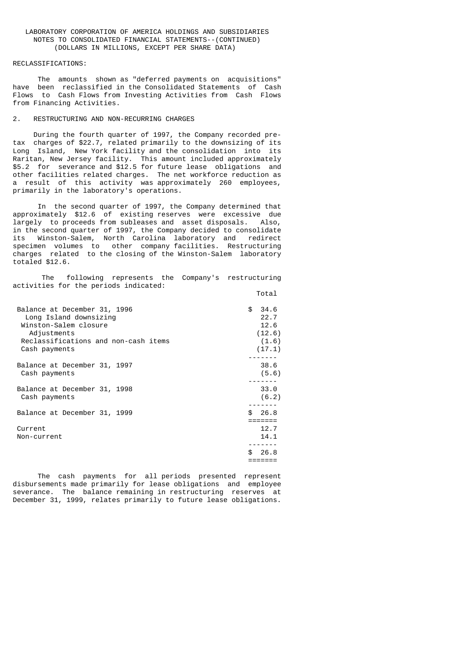#### RECLASSIFICATIONS:

 The amounts shown as "deferred payments on acquisitions" have been reclassified in the Consolidated Statements of Cash Flows to Cash Flows from Investing Activities from Cash Flows from Financing Activities.

# 2. RESTRUCTURING AND NON-RECURRING CHARGES

 During the fourth quarter of 1997, the Company recorded pretax charges of \$22.7, related primarily to the downsizing of its Long Island, New York facility and the consolidation into its Raritan, New Jersey facility. This amount included approximately \$5.2 for severance and \$12.5 for future lease obligations and other facilities related charges. The net workforce reduction as a result of this activity was approximately 260 employees, primarily in the laboratory's operations.

 In the second quarter of 1997, the Company determined that approximately \$12.6 of existing reserves were excessive due largely to proceeds from subleases and asset disposals. Also, in the second quarter of 1997, the Company decided to consolidate its Winston-Salem, North Carolina laboratory and redirect specimen volumes to other company facilities. Restructuring charges related to the closing of the Winston-Salem laboratory totaled \$12.6.

 The following represents the Company's restructuring activities for the periods indicated: the contract of the contract of the contract of the contract of the contract of the contract of the contract of the contract of the contract of the contract of the contract of the contract of the contract of the contract o

| Balance at December 31, 1996         | \$34.6      |
|--------------------------------------|-------------|
| Long Island downsizing               | 22.7        |
| Winston-Salem closure                | 12.6        |
| Adjustments                          | (12.6)      |
| Reclassifications and non-cash items | (1.6)       |
| Cash payments                        | (17.1)      |
| Balance at December 31, 1997         | 38.6        |
| Cash payments                        | (5.6)       |
| Balance at December 31, 1998         | 33.0        |
| Cash payments                        | (6.2)       |
| Balance at December 31, 1999         | \$26.8      |
| Current                              | 12.7        |
| Non-current                          | 14.1        |
|                                      | 26.8<br>\$. |

 The cash payments for all periods presented represent disbursements made primarily for lease obligations and employee severance. The balance remaining in restructuring reserves at December 31, 1999, relates primarily to future lease obligations.

=======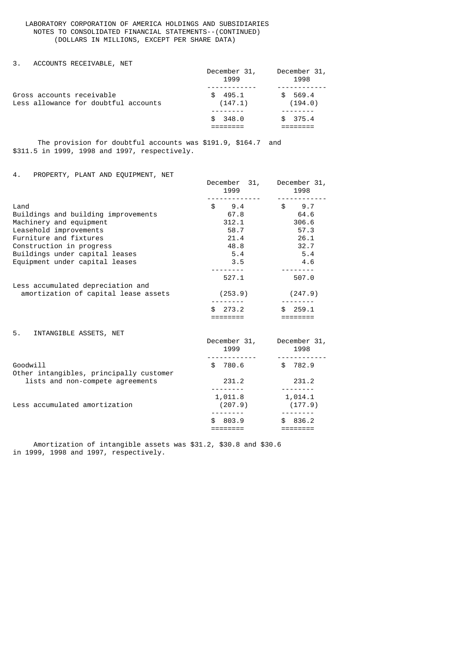3. ACCOUNTS RECEIVABLE, NET

|                                                                   | December 31,<br>1999    | December 31,<br>1998    |
|-------------------------------------------------------------------|-------------------------|-------------------------|
| Gross accounts receivable<br>Less allowance for doubtful accounts | 495.1<br>\$.<br>(147.1) | 569.4<br>\$.<br>(194.0) |
|                                                                   | \$348.0                 | \$375.4                 |

 The provision for doubtful accounts was \$191.9, \$164.7 and \$311.5 in 1999, 1998 and 1997, respectively.

# 4. PROPERTY, PLANT AND EQUIPMENT, NET

|                                                                           | December 31, December 31,<br>1999 | 1998                                                                                                                                                                                                                                                                                                                                                                                                                                                                                                                                  |
|---------------------------------------------------------------------------|-----------------------------------|---------------------------------------------------------------------------------------------------------------------------------------------------------------------------------------------------------------------------------------------------------------------------------------------------------------------------------------------------------------------------------------------------------------------------------------------------------------------------------------------------------------------------------------|
| Land                                                                      | \$9.4                             | $\textcolor{red}{\textbf{\$}}\textcolor{red}{\textbf{\$}}\textcolor{red}{\textbf{\$}}\textcolor{red}{\textbf{\$}}\textcolor{red}{\textbf{\$}}\textcolor{red}{\textbf{\$}}\textcolor{red}{\textbf{\$}}\textcolor{red}{\textbf{\$}}\textcolor{red}{\textbf{\$}}\textcolor{red}{\textbf{\$}}\textcolor{red}{\textbf{\$}}\textcolor{red}{\textbf{\$}}\textcolor{red}{\textbf{\$}}\textcolor{red}{\textbf{\$}}\textcolor{red}{\textbf{\$}}\textcolor{red}{\textbf{\$}}\textcolor{red}{\textbf{\$}}\textcolor{red}{\textbf{\$}}\textcolor{$ |
| Buildings and building improvements                                       | 67.8                              | 64.6                                                                                                                                                                                                                                                                                                                                                                                                                                                                                                                                  |
| Machinery and equipment                                                   | 312.1                             | 306.6                                                                                                                                                                                                                                                                                                                                                                                                                                                                                                                                 |
| Leasehold improvements                                                    | 58.7                              | 57.3                                                                                                                                                                                                                                                                                                                                                                                                                                                                                                                                  |
| Furniture and fixtures                                                    | 21.4                              | 26.1                                                                                                                                                                                                                                                                                                                                                                                                                                                                                                                                  |
| Construction in progress                                                  | 48.8                              | 32.7                                                                                                                                                                                                                                                                                                                                                                                                                                                                                                                                  |
| Buildings under capital leases                                            | 5.4                               | 5.4                                                                                                                                                                                                                                                                                                                                                                                                                                                                                                                                   |
| Equipment under capital leases                                            | 3.5                               | 4.6                                                                                                                                                                                                                                                                                                                                                                                                                                                                                                                                   |
|                                                                           |                                   |                                                                                                                                                                                                                                                                                                                                                                                                                                                                                                                                       |
|                                                                           | 527.1                             | 507.0                                                                                                                                                                                                                                                                                                                                                                                                                                                                                                                                 |
| Less accumulated depreciation and<br>amortization of capital lease assets | (253.9)                           | (247.9)                                                                                                                                                                                                                                                                                                                                                                                                                                                                                                                               |
|                                                                           | \$273.2                           | \$259.1                                                                                                                                                                                                                                                                                                                                                                                                                                                                                                                               |
|                                                                           |                                   | ========                                                                                                                                                                                                                                                                                                                                                                                                                                                                                                                              |
| 5. INTANGIBLE ASSETS, NET                                                 |                                   |                                                                                                                                                                                                                                                                                                                                                                                                                                                                                                                                       |
|                                                                           | December 31, December 31,<br>1999 | 1998                                                                                                                                                                                                                                                                                                                                                                                                                                                                                                                                  |
|                                                                           |                                   |                                                                                                                                                                                                                                                                                                                                                                                                                                                                                                                                       |
| Goodwill<br>Other intangibles, principally customer                       | \$ 780.6                          | \$ 782.9                                                                                                                                                                                                                                                                                                                                                                                                                                                                                                                              |
| lists and non-compete agreements                                          | 231.2                             | 231.2                                                                                                                                                                                                                                                                                                                                                                                                                                                                                                                                 |
|                                                                           |                                   |                                                                                                                                                                                                                                                                                                                                                                                                                                                                                                                                       |

Less accumulated amortization (207.9) (177.9) -------- -------- \$ 803.9 \$ 836.2 ======== ========

 $1,011.8$   $1,014.1$ 

 Amortization of intangible assets was \$31.2, \$30.8 and \$30.6 in 1999, 1998 and 1997, respectively.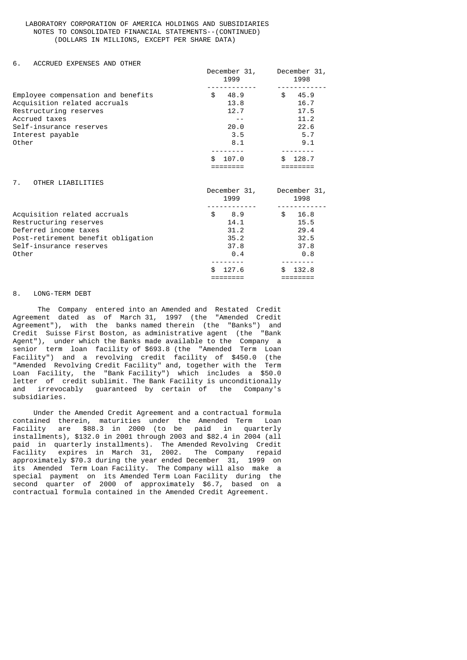### 6. ACCRUED EXPENSES AND OTHER

|                                                                                                                                                                       | December 31,<br>1999                                                                            | December 31,<br>1998                                                                            |
|-----------------------------------------------------------------------------------------------------------------------------------------------------------------------|-------------------------------------------------------------------------------------------------|-------------------------------------------------------------------------------------------------|
| Employee compensation and benefits<br>Acquisition related accruals<br>Restructuring reserves<br>Accrued taxes<br>Self-insurance reserves<br>Interest payable<br>Other | \$ 48.9<br>13.8<br>12.7<br>$- -$<br>20.0<br>3.5<br>8.1<br>\$107.0                               | \$ 45.9<br>16.7<br>17.5<br>11.2<br>22.6<br>5.7<br>9.1<br>\$128.7                                |
| 7. OTHER LIABILITIES                                                                                                                                                  | 1999                                                                                            | December 31, December 31,<br>1998                                                               |
| Acquisition related accruals<br>Restructuring reserves<br>Deferred income taxes<br>Post-retirement benefit obligation<br>Self-insurance reserves<br>Other             | \$8.9<br>14.1<br>31.2<br>35.2<br>37.8<br>0.4<br>127.6<br>\$.<br>$=$ $=$ $=$ $=$ $=$ $=$ $=$ $=$ | \$ 16.8<br>15.5<br>29.4<br>32.5<br>37.8<br>$\theta.8$<br>\$132.8<br>$=$ $=$ $=$ $=$ $=$ $=$ $=$ |

#### 8. LONG-TERM DEBT

 The Company entered into an Amended and Restated Credit Agreement dated as of March 31, 1997 (the "Amended Credit Agreement"), with the banks named therein (the "Banks") and Credit Suisse First Boston, as administrative agent (the "Bank Agent"), under which the Banks made available to the Company a senior term loan facility of \$693.8 (the "Amended Term Loan Facility") and a revolving credit facility of \$450.0 (the "Amended Revolving Credit Facility" and, together with the Term Loan Facility, the "Bank-Facility") which includes a \$50.0 letter of credit sublimit. The Bank Facility is unconditionally<br>and irrevocably guaranteed by certain of the Company's irrevocably guaranteed by certain of the Company's subsidiaries.

 Under the Amended Credit Agreement and a contractual formula contained therein, maturities under the Amended Term Loan Facility are \$88.3 in 2000 (to be paid in quarterly installments), \$132.0 in 2001 through 2003 and \$82.4 in 2004 (all paid in quarterly installments). The Amended Revolving Credit Facility expires in March 31, 2002. The Company repaid approximately \$70.3 during the year ended December 31, 1999 on its Amended Term Loan Facility. The Company will also make a special payment on its Amended Term Loan Facility during the second quarter of 2000 of approximately \$6.7, based on a contractual formula contained in the Amended Credit Agreement.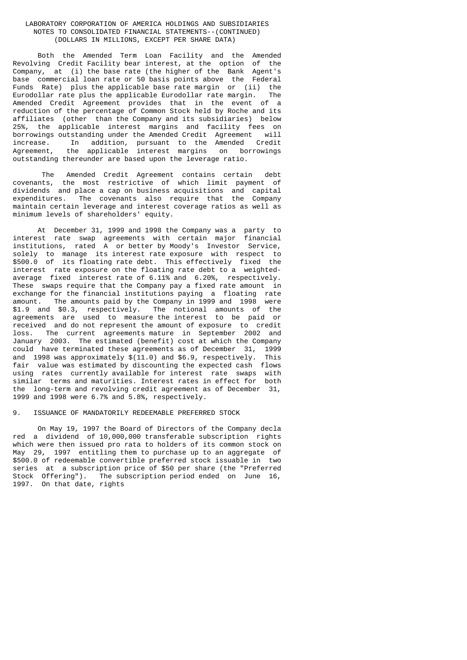Both the Amended Term Loan Facility and the Amended Revolving Credit Facility bear interest, at the option of the Company, at (i) the base rate (the higher of the Bank Agent's base commercial loan rate or 50 basis points above the Federal Funds Rate) plus the applicable base rate margin or (ii) the Eurodollar rate plus the applicable Eurodollar rate margin. The Amended Credit Agreement provides that in the event of a reduction of the percentage of Common Stock held by Roche and its affiliates (other than the Company and its subsidiaries) below 25%, the applicable interest margins and facility fees on borrowings outstanding under the Amended Credit Agreement will increase. In addition, pursuant to the Amended Credit Agreement, the applicable interest margins on borrowings outstanding thereunder are based upon the leverage ratio.

 The Amended Credit Agreement contains certain debt covenants, the most restrictive of which limit payment of dividends and place a cap on business acquisitions and capital expenditures. The covenants also require that the Company maintain certain leverage and interest coverage ratios as well as minimum levels of shareholders' equity.

 At December 31, 1999 and 1998 the Company was a party to interest rate swap agreements with certain major financial institutions, rated A or better by Moody's Investor Service, solely to manage its interest rate exposure with respect to \$500.0 of its floating rate debt. This effectively fixed the interest rate exposure on the floating rate debt to a weightedaverage fixed interest rate of 6.11% and 6.20%, respectively. These swaps require that the Company pay a fixed rate amount in exchange for the financial institutions paying a floating rate amount. The amounts paid by the Company in 1999 and 1998 were \$1.9 and \$0.3, respectively. The notional amounts of the agreements are used to measure the interest to be paid or received and do not represent the amount of exposure to credit loss. The current agreements mature in September 2002 and January 2003. The estimated (benefit) cost at which the Company could have terminated these agreements as of December 31, 1999 and 1998 was approximately \$(11.0) and \$6.9, respectively. This fair value was estimated by discounting the expected cash flows using rates currently available for interest rate swaps with similar terms and maturities. Interest rates in effect for both the long-term and revolving credit agreement as of December 31, 1999 and 1998 were 6.7% and 5.8%, respectively.

## 9. ISSUANCE OF MANDATORILY REDEEMABLE PREFERRED STOCK

 On May 19, 1997 the Board of Directors of the Company decla red a dividend of 10,000,000 transferable subscription rights which were then issued pro rata to holders of its common stock on May 29, 1997 entitling them to purchase up to an aggregate of \$500.0 of redeemable convertible preferred stock issuable in two series at a subscription price of \$50 per share (the "Preferred Stock Offering"). The subscription period ended on June 16, 1997. On that date, rights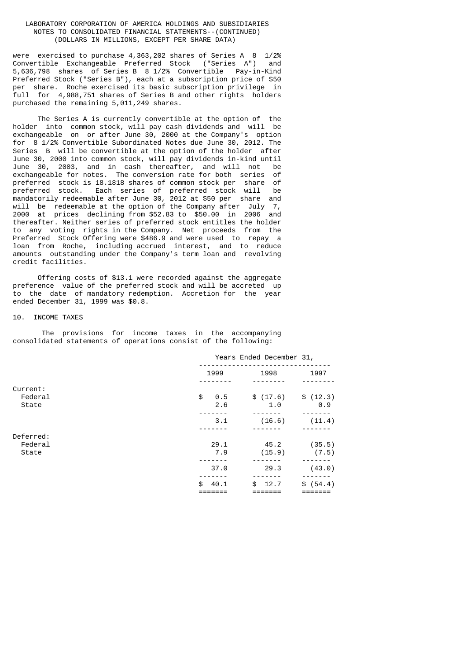were exercised to purchase 4,363,202 shares of Series A 8 1/2% Convertible Exchangeable Preferred Stock ("Series A") and 5,636,798 shares of Series B 8 1/2% Convertible Pay-in-Kind Preferred Stock ("Series B"), each at a subscription price of \$50 per share. Roche exercised its basic subscription privilege in full for 4,988,751 shares of Series B and other rights holders purchased the remaining 5,011,249 shares.

 The Series A is currently convertible at the option of the holder into common stock, will pay cash dividends and will be exchangeable on or after June 30, 2000 at the Company's option for 8 1/2% Convertible Subordinated Notes due June 30, 2012. The Series B will be convertible at the option of the holder after June 30, 2000 into common stock, will pay dividends in-kind until June 30, 2003, and in cash thereafter, and will not be exchangeable for notes. The conversion rate for both series of preferred stock is 18.1818 shares of common stock per share of preferred stock. Each series of preferred stock will be mandatorily redeemable after June 30, 2012 at \$50 per share and will be redeemable at the option of the Company after July 7, 2000 at prices declining from \$52.83 to \$50.00 in 2006 and thereafter. Neither series of preferred stock entitles the holder to any voting rights in the Company. Net proceeds from the Preferred Stock Offering were \$486.9 and were used to repay a loan from Roche, including accrued interest, and to reduce amounts outstanding under the Company's term loan and revolving credit facilities.

 Offering costs of \$13.1 were recorded against the aggregate preference value of the preferred stock and will be accreted up to the date of mandatory redemption. Accretion for the year ended December 31, 1999 was \$0.8.

### 10. INCOME TAXES

 The provisions for income taxes in the accompanying consolidated statements of operations consist of the following:

 Years Ended December 31, -------------------------------- 1999 1998 1997 -------- -------- -------- Current:<br>Federal  $\begin{array}{cccc} \text{\$} & 0.5 & \text{\$} & (17.6) & \text{\$} & (12.3) \\ \text{\$} & 2.6 & \text{\$} & 1.0 & \text{\$} & 0.9 \end{array}$ State  $2.6$   $1.0$  ------- ------- ------- 3.1 (16.6) (11.4) ------- ------- ------- Deferred:<br>Federal 29.1 45.2 (35.5)<br>7.9 (15.9) (7.5)<br>------ ------- -------State 7.9 (15.9)<br>State 7.9 (15.9) ------- ------- -------  $37.0$  29.3 (43.0) ------- ------- -------  $\frac{1}{2}$   $\frac{1}{2}$   $\frac{1}{2}$   $\frac{1}{2}$   $\frac{1}{2}$   $\frac{1}{2}$   $\frac{1}{2}$   $\frac{1}{2}$   $\frac{1}{2}$   $\frac{1}{2}$   $\frac{1}{2}$   $\frac{1}{2}$   $\frac{1}{2}$   $\frac{1}{2}$   $\frac{1}{2}$   $\frac{1}{2}$   $\frac{1}{2}$   $\frac{1}{2}$   $\frac{1}{2}$   $\frac{1}{2}$   $\frac{1}{2}$   $\frac{1}{2}$  ======= ======= =======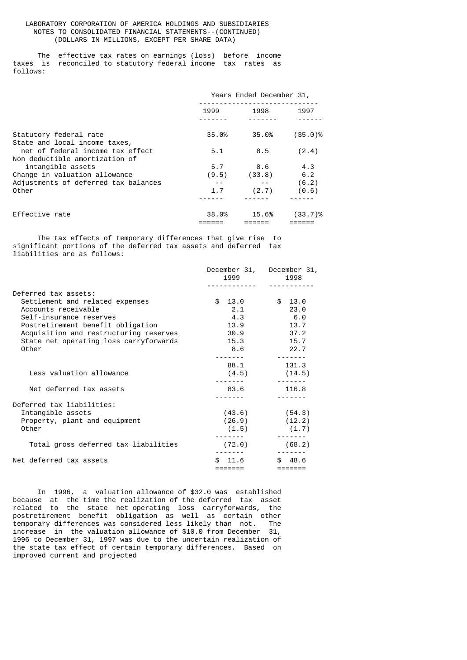The effective tax rates on earnings (loss) before income taxes is reconciled to statutory federal income tax rates as follows:

|                                                                    | Years Ended December 31, |        |            |
|--------------------------------------------------------------------|--------------------------|--------|------------|
|                                                                    | 1999                     | 1998   | 1997       |
|                                                                    |                          |        |            |
| Statutory federal rate<br>State and local income taxes,            | 35.0%                    | 35.0%  | $(35.0)$ % |
| net of federal income tax effect<br>Non deductible amortization of | 5.1                      | 8.5    | (2.4)      |
| intangible assets                                                  | 5.7                      | 8.6    | 4.3        |
| Change in valuation allowance                                      | (9.5)                    | (33.8) | 6.2        |
| Adjustments of deferred tax balances                               |                          |        | (6.2)      |
| Other                                                              | 1.7                      | (2.7)  | (0.6)      |
|                                                                    |                          |        |            |
| Effective rate                                                     | 38.0%                    | 15.6%  | $(33.7)$ % |

 The tax effects of temporary differences that give rise to significant portions of the deferred tax assets and deferred tax liabilities are as follows:

|                                        |             | December 31, December 31,                                                                                                                                                                                                                                                                                                                                                                                                                                                  |
|----------------------------------------|-------------|----------------------------------------------------------------------------------------------------------------------------------------------------------------------------------------------------------------------------------------------------------------------------------------------------------------------------------------------------------------------------------------------------------------------------------------------------------------------------|
|                                        | 1999        | 1998                                                                                                                                                                                                                                                                                                                                                                                                                                                                       |
|                                        |             |                                                                                                                                                                                                                                                                                                                                                                                                                                                                            |
| Deferred tax assets:                   |             |                                                                                                                                                                                                                                                                                                                                                                                                                                                                            |
| Settlement and related expenses        | \$13.0      | \$13.0                                                                                                                                                                                                                                                                                                                                                                                                                                                                     |
| Accounts receivable                    | 2.1         | 23.0                                                                                                                                                                                                                                                                                                                                                                                                                                                                       |
| Self-insurance reserves                | 4.3         | 6.0                                                                                                                                                                                                                                                                                                                                                                                                                                                                        |
| Postretirement benefit obligation      | 13.9        | 13.7                                                                                                                                                                                                                                                                                                                                                                                                                                                                       |
| Acquisition and restructuring reserves | 30.9        | 37.2                                                                                                                                                                                                                                                                                                                                                                                                                                                                       |
| State net operating loss carryforwards | 15.3        | 15.7                                                                                                                                                                                                                                                                                                                                                                                                                                                                       |
| Other                                  | 8.6         | 22.7                                                                                                                                                                                                                                                                                                                                                                                                                                                                       |
|                                        |             |                                                                                                                                                                                                                                                                                                                                                                                                                                                                            |
|                                        | 88.1        | 131.3                                                                                                                                                                                                                                                                                                                                                                                                                                                                      |
| Less valuation allowance               |             | $(4.5)$ $(14.5)$                                                                                                                                                                                                                                                                                                                                                                                                                                                           |
|                                        |             |                                                                                                                                                                                                                                                                                                                                                                                                                                                                            |
| Net deferred tax assets                | 83.6        | 116.8                                                                                                                                                                                                                                                                                                                                                                                                                                                                      |
|                                        |             |                                                                                                                                                                                                                                                                                                                                                                                                                                                                            |
| Deferred tax liabilities:              |             |                                                                                                                                                                                                                                                                                                                                                                                                                                                                            |
| Intangible assets                      |             | $(43.6)$ $(54.3)$                                                                                                                                                                                                                                                                                                                                                                                                                                                          |
| Property, plant and equipment          |             | $(26.9)$ $(12.2)$                                                                                                                                                                                                                                                                                                                                                                                                                                                          |
| Other                                  |             | $(1.5)$ $(1.7)$                                                                                                                                                                                                                                                                                                                                                                                                                                                            |
|                                        |             | $\frac{1}{2} \left( \frac{1}{2} \right) \left( \frac{1}{2} \right) \left( \frac{1}{2} \right) \left( \frac{1}{2} \right) \left( \frac{1}{2} \right) \left( \frac{1}{2} \right) \left( \frac{1}{2} \right) \left( \frac{1}{2} \right) \left( \frac{1}{2} \right) \left( \frac{1}{2} \right) \left( \frac{1}{2} \right) \left( \frac{1}{2} \right) \left( \frac{1}{2} \right) \left( \frac{1}{2} \right) \left( \frac{1}{2} \right) \left( \frac{1}{2} \right) \left( \frac$ |
| Total gross deferred tax liabilities   | (72.0)      | (68.2)                                                                                                                                                                                                                                                                                                                                                                                                                                                                     |
| Net deferred tax assets                | 11.6<br>\$. | \$48.6                                                                                                                                                                                                                                                                                                                                                                                                                                                                     |
|                                        | =======     |                                                                                                                                                                                                                                                                                                                                                                                                                                                                            |

 In 1996, a valuation allowance of \$32.0 was established because at the time the realization of the deferred tax asset related to the state net operating loss carryforwards, the postretirement benefit obligation as well as certain other temporary differences was considered less likely than not. The increase in the valuation allowance of \$10.0 from December 31, 1996 to December 31, 1997 was due to the uncertain realization of the state tax effect of certain temporary differences. Based on improved current and projected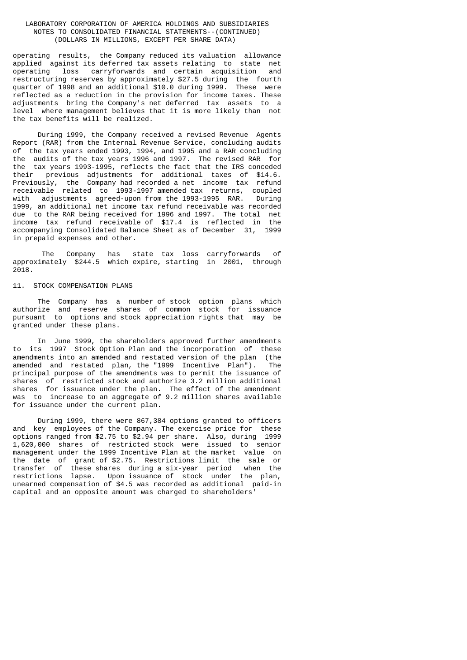operating results, the Company reduced its valuation allowance applied against its deferred tax assets relating to state net loss carryforwards and certain acquisition restructuring reserves by approximately \$27.5 during the fourth quarter of 1998 and an additional \$10.0 during 1999. These were reflected as a reduction in the provision for income taxes. These adjustments bring the Company's net deferred tax assets to a level where management believes that it is more likely than not the tax benefits will be realized.

 During 1999, the Company received a revised Revenue Agents Report (RAR) from the Internal Revenue Service, concluding audits of the tax years ended 1993, 1994, and 1995 and a RAR concluding the audits of the tax years 1996 and 1997. The revised RAR for the tax years 1993-1995, reflects the fact that the IRS conceded their previous adjustments for additional taxes of \$14.6. Previously, the Company had recorded a net income tax refund receivable related to 1993-1997 amended tax returns, coupled adjustments agreed-upon from the 1993-1995 RAR. 1999, an additional net income tax refund receivable was recorded due to the RAR being received for 1996 and 1997. The total net income tax refund receivable of \$17.4 is reflected in the accompanying Consolidated Balance Sheet as of December 31, 1999 in prepaid expenses and other.

 The Company has state tax loss carryforwards of approximately \$244.5 which expire, starting in 2001, through 2018.

#### 11. STOCK COMPENSATION PLANS

 The Company has a number of stock option plans which authorize and reserve shares of common stock for issuance pursuant to options and stock appreciation rights that may be granted under these plans.

 In June 1999, the shareholders approved further amendments to its 1997 Stock Option Plan and the incorporation of these amendments into an amended and restated version of the plan (the amended and restated plan, the "1999 Incentive Plan"). The principal purpose of the amendments was to permit the issuance of shares of restricted stock and authorize 3.2 million additional shares for issuance under the plan. The effect of the amendment was to increase to an aggregate of 9.2 million shares available for issuance under the current plan.

 During 1999, there were 867,384 options granted to officers and key employees of the Company. The exercise price for these options ranged from \$2.75 to \$2.94 per share. Also, during 1999 1,620,000 shares of restricted stock were issued to senior management under the 1999 Incentive Plan at the market value on the date of grant of \$2.75. Restrictions limit the sale or transfer of these shares during a six-year period when the restrictions lapse. Upon issuance of stock under the plan, unearned compensation of \$4.5 was recorded as additional paid-in capital and an opposite amount was charged to shareholders'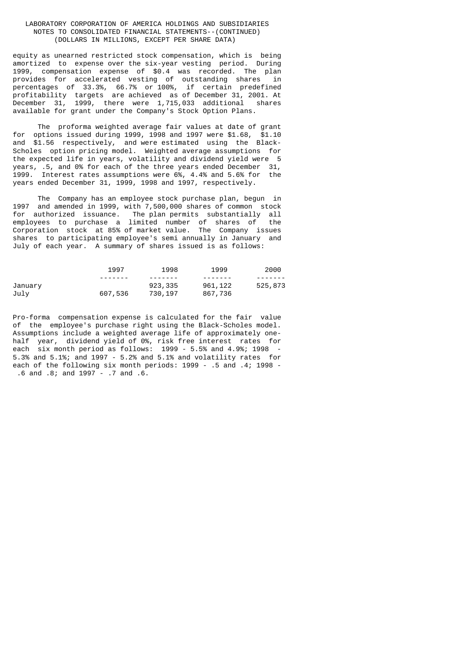equity as unearned restricted stock compensation, which is being amortized to expense over the six-year vesting period. During 1999, compensation expense of \$0.4 was recorded. The plan provides for accelerated vesting of outstanding shares in percentages of 33.3%, 66.7% or 100%, if certain predefined profitability targets are achieved as of December 31, 2001. At December 31, 1999, there were 1,715,033 additional shares available for grant under the Company's Stock Option Plans.

The proforma weighted average fair values at date of grant<br>for options issued during 1999, 1998 and 1997 were \$1.68, \$1.10 options issued during 1999, 1998 and 1997 were \$1.68, \$1.10 and \$1.56 respectively, and were estimated using the Black-Scholes option pricing model. Weighted average assumptions for the expected life in years, volatility and dividend yield were 5 years, .5, and 0% for each of the three years ended December 31, 1999. Interest rates assumptions were 6%, 4.4% and 5.6% for the years ended December 31, 1999, 1998 and 1997, respectively.

 The Company has an employee stock purchase plan, begun in 1997 and amended in 1999, with 7,500,000 shares of common stock for authorized issuance. The plan permits substantially all employees to purchase a limited number of shares of the Corporation stock at 85% of market value. The Company issues shares to participating employee's semi annually in January and July of each year. A summary of shares issued is as follows:

|         | 1997     | 1998     | 1999    | 2000    |
|---------|----------|----------|---------|---------|
|         | -------- | -------  | ------- |         |
| January |          | 923, 335 | 961,122 | 525,873 |
| July    | 607,536  | 730, 197 | 867,736 |         |

Pro-forma compensation expense is calculated for the fair value of the employee's purchase right using the Black-Scholes model. Assumptions include a weighted average life of approximately onehalf year, dividend yield of 0%, risk free interest rates for each six month period as follows: 1999 - 5.5% and 4.9%; 1998 - 5.3% and 5.1%; and 1997 - 5.2% and 5.1% and volatility rates for each of the following six month periods: 1999 - .5 and .4; 1998 - .6 and .8; and 1997 - .7 and .6.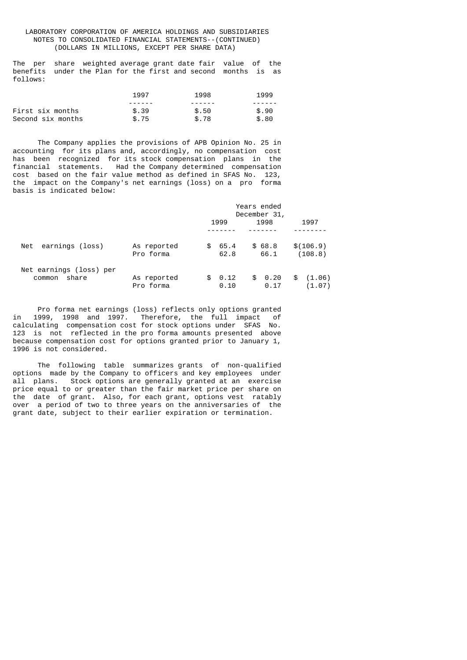The per share weighted average grant date fair value of the benefits under the Plan for the first and second months is as follows:

|                   | 1997  | 1998   | 1999  |
|-------------------|-------|--------|-------|
|                   |       | ------ |       |
| First six months  | \$.39 | \$.50  | \$.90 |
| Second six months | \$.75 | \$.78  | \$.80 |

 The Company applies the provisions of APB Opinion No. 25 in accounting for its plans and, accordingly, no compensation cost has been recognized for its stock compensation plans in the financial statements. Had the Company determined compensation cost based on the fair value method as defined in SFAS No. 123, the impact on the Company's net earnings (loss) on a pro forma basis is indicated below:

|                                            |                          |                     | Years ended<br>December 31, |                        |
|--------------------------------------------|--------------------------|---------------------|-----------------------------|------------------------|
|                                            |                          | 1999                | 1998                        | 1997                   |
| earnings (loss)<br>Net                     | As reported<br>Pro forma | 65.4<br>SS.<br>62.8 | \$68.8<br>66.1              | \$(106.9)<br>(108.8)   |
| Net earnings (loss) per<br>share<br>common | As reported<br>Pro forma | 0.12<br>SS.<br>0.10 | 0.20<br>\$<br>0.17          | (1.06)<br>\$<br>(1.07) |

 Pro forma net earnings (loss) reflects only options granted in 1999, 1998 and 1997. Therefore, the full impact of calculating compensation cost for stock options under SFAS No. 123 is not reflected in the pro forma amounts presented above because compensation cost for options granted prior to January 1, 1996 is not considered.

 The following table summarizes grants of non-qualified options made by the Company to officers and key employees under all plans. Stock options are generally granted at an exercise price equal to or greater than the fair market price per share on the date of grant. Also, for each grant, options vest ratably over a period of two to three years on the anniversaries of the grant date, subject to their earlier expiration or termination.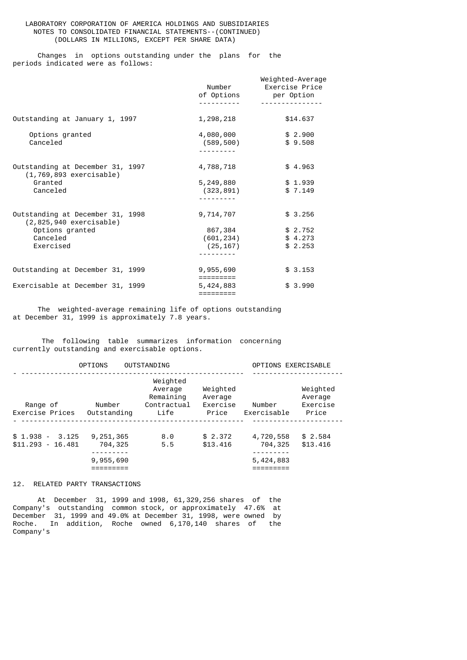Changes in options outstanding under the plans for the periods indicated were as follows:

|                                                                 | Number<br>of Options               | Weighted-Average<br>Exercise Price<br>per Option |
|-----------------------------------------------------------------|------------------------------------|--------------------------------------------------|
|                                                                 |                                    |                                                  |
| Outstanding at January 1, 1997                                  | 1,298,218                          | \$14.637                                         |
| Options granted<br>Canceled                                     | 4,080,000<br>(589, 500)            | \$2.900<br>\$9.508                               |
| Outstanding at December 31, 1997<br>$(1, 769, 893$ exercisable) | 4,788,718                          | \$4.963                                          |
| Granted<br>Canceled                                             | 5,249,880<br>(323, 891)            | \$1.939<br>\$7.149                               |
| Outstanding at December 31, 1998<br>$(2,825,940$ exercisable)   | 9,714,707                          | \$3.256                                          |
| Options granted<br>Canceled<br>Exercised                        | 867,384<br>(601, 234)<br>(25, 167) | \$2.752<br>\$4.273<br>\$2.253                    |
|                                                                 |                                    |                                                  |
| Outstanding at December 31, 1999                                | 9,955,690<br>:========             | \$3.153                                          |
| Exercisable at December 31, 1999                                | 5,424,883<br>=========             | \$3.990                                          |

 The weighted-average remaining life of options outstanding at December 31, 1999 is approximately 7.8 years.

 The following table summarizes information concerning currently outstanding and exercisable options.

|                                           | <b>OPTIONS</b>                      | <b>OUTSTANDING</b>                                      |                                          | OPTIONS EXERCISABLE               |                                          |
|-------------------------------------------|-------------------------------------|---------------------------------------------------------|------------------------------------------|-----------------------------------|------------------------------------------|
| Range of<br>Exercise Prices               | Number<br>Outstanding               | Weighted<br>Average<br>Remaining<br>Contractual<br>Life | Weighted<br>Average<br>Exercise<br>Price | Number<br>Exercisable             | Weighted<br>Average<br>Exercise<br>Price |
| $$1.938 -$<br>3.125<br>$$11.293 - 16.481$ | 9, 251, 365<br>704,325<br>9,955,690 | 8.0<br>5.5                                              | \$2.372<br>\$13,416                      | 4,720,558<br>704,325<br>5,424,883 | \$2.584<br>\$13.416                      |

# 12. RELATED PARTY TRANSACTIONS

 At December 31, 1999 and 1998, 61,329,256 shares of the Company's outstanding common stock, or approximately 47.6% at December 31, 1999 and 49.0% at December 31, 1998, were owned by Roche. In addition, Roche owned 6,170,140 shares of the Company's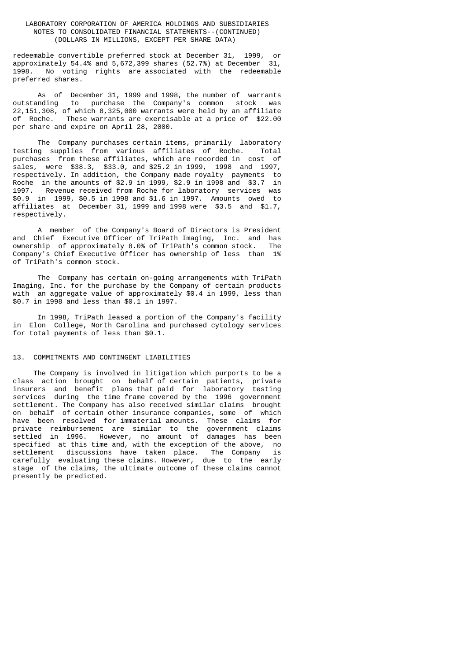redeemable convertible preferred stock at December 31, 1999, or approximately 54.4% and 5,672,399 shares (52.7%) at December 31, No voting rights are associated with the redeemable preferred shares.

 As of December 31, 1999 and 1998, the number of warrants outstanding to purchase the Company's common stock was 22,151,308, of which 8,325,000 warrants were held by an affiliate of Roche. These warrants are exercisable at a price of \$22.00 per share and expire on April 28, 2000.

 The Company purchases certain items, primarily laboratory testing supplies from various affiliates of Roche. Total purchases from these affiliates, which are recorded in cost of sales, were \$38.3, \$33.0, and \$25.2 in 1999, 1998 and 1997, respectively. In addition, the Company made royalty payments to Roche in the amounts of \$2.9 in 1999, \$2.9 in 1998 and \$3.7 in 1997. Revenue received from Roche for laboratory services was \$0.9 in 1999, \$0.5 in 1998 and \$1.6 in 1997. Amounts owed to affiliates at December 31, 1999 and 1998 were \$3.5 and \$1.7, respectively.

 A member of the Company's Board of Directors is President and Chief Executive Officer of TriPath Imaging, Inc. and has ownership of approximately 8.0% of TriPath's common stock. The Company's Chief Executive Officer has ownership of less than 1% of TriPath's common stock.

 The Company has certain on-going arrangements with TriPath Imaging, Inc. for the purchase by the Company of certain products with an aggregate value of approximately \$0.4 in 1999, less than \$0.7 in 1998 and less than \$0.1 in 1997.

 In 1998, TriPath leased a portion of the Company's facility in Elon College, North Carolina and purchased cytology services for total payments of less than \$0.1.

# 13. COMMITMENTS AND CONTINGENT LIABILITIES

 The Company is involved in litigation which purports to be a class action brought on behalf of certain patients, private insurers and benefit plans that paid for laboratory testing services during the time frame covered by the 1996 government settlement. The Company has also received similar claims brought on behalf of certain other insurance companies, some of which have been resolved for immaterial amounts. These claims for private reimbursement are similar to the government claims settled in 1996. However, no amount of damages has been specified at this time and, with the exception of the above, no settlement discussions have taken place. The Company is carefully evaluating these claims. However, due to the early stage of the claims, the ultimate outcome of these claims cannot presently be predicted.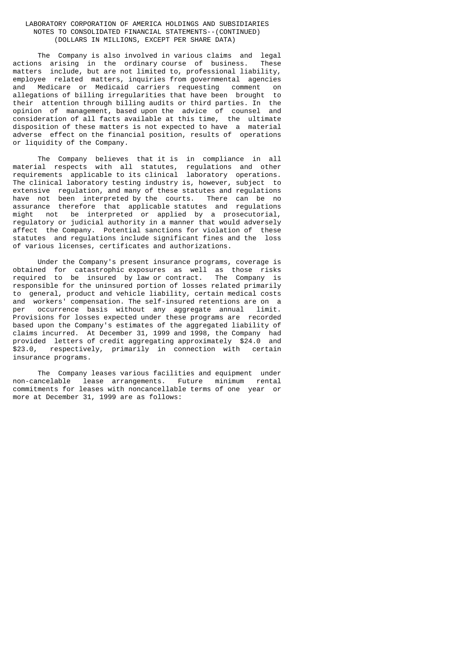The Company is also involved in various claims and legal actions arising in the ordinary course of business. These matters include, but are not limited to, professional liability, employee related matters, inquiries from governmental agencies and Medicare or Medicaid carriers requesting comment on allegations of billing irregularities that have been brought to their attention through billing audits or third parties. In the opinion of management, based upon the advice of counsel and consideration of all facts available at this time, the ultimate disposition of these matters is not expected to have a material adverse effect on the financial position, results of operations or liquidity of the Company.

 The Company believes that it is in compliance in all material respects with all statutes, regulations and other requirements applicable to its clinical laboratory operations. The clinical laboratory testing industry is, however, subject to extensive regulation, and many of these statutes and regulations have not been interpreted by the courts. There can be no assurance therefore that applicable statutes and regulations might not be interpreted or applied by a prosecutorial, regulatory or judicial authority in a manner that would adversely affect the Company. Potential sanctions for violation of these statutes and regulations include significant fines and the loss of various licenses, certificates and authorizations.

 Under the Company's present insurance programs, coverage is obtained for catastrophic exposures as well as those risks required to be insured by law or contract. The Company is responsible for the uninsured portion of losses related primarily to general, product and vehicle liability, certain medical costs and workers' compensation. The self-insured retentions are on a per occurrence basis without any aggregate annual limit. occurrence basis without any aggregate annual limit. Provisions for losses expected under these programs are recorded based upon the Company's estimates of the aggregated liability of claims incurred. At December 31, 1999 and 1998, the Company had provided letters of credit aggregating approximately \$24.0 and<br>\$23.0. respectively, primarily in connection with certain respectively, primarily in connection with certain insurance programs.

 The Company leases various facilities and equipment under non-cancelable lease arrangements. Future minimum rental commitments for leases with noncancellable terms of one year or more at December 31, 1999 are as follows: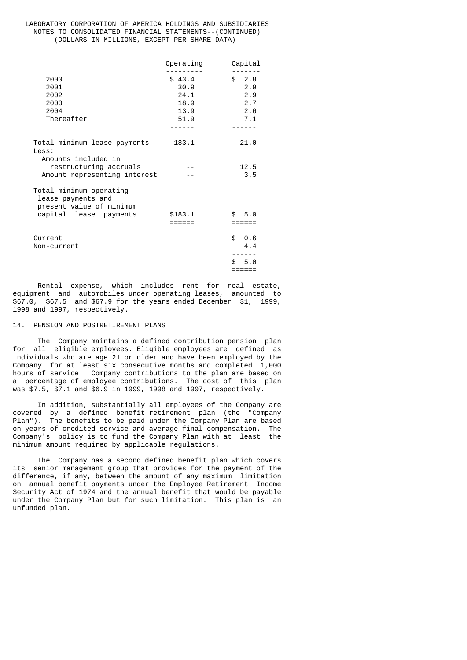|                                                                           | Operating | Capital    |
|---------------------------------------------------------------------------|-----------|------------|
| 2000                                                                      | \$43.4    | \$2.8      |
| 2001                                                                      | 30.9      | 2.9        |
| 2002                                                                      | 24.1      | 2.9        |
| 2003                                                                      | 18.9      | 2.7        |
| 2004                                                                      | 13.9      | 2.6        |
| Thereafter                                                                | 51.9      | 7.1        |
|                                                                           |           | ------     |
| Total minimum lease payments<br>Less:                                     | 183.1     | 21.0       |
| Amounts included in                                                       |           |            |
| restructuring accruals                                                    |           | 12.5       |
| Amount representing interest                                              |           | 3.5        |
| Total minimum operating<br>lease payments and<br>present value of minimum |           |            |
| capital lease payments                                                    | \$183.1   | \$5.0      |
|                                                                           | ======    | ======     |
| Current                                                                   |           | \$0.6      |
| Non-current                                                               |           | 4.4        |
|                                                                           |           |            |
|                                                                           |           | 5.0<br>\$. |
|                                                                           |           | ======     |

 Rental expense, which includes rent for real estate, equipment and automobiles under operating leases, amounted to \$67.0, \$67.5 and \$67.9 for the years ended December 31, 1999, 1998 and 1997, respectively.

## 14. PENSION AND POSTRETIREMENT PLANS

 The Company maintains a defined contribution pension plan for all eligible employees. Eligible employees are defined as individuals who are age 21 or older and have been employed by the Company for at least six consecutive months and completed 1,000 hours of service. Company contributions to the plan are based on a percentage of employee contributions. The cost of this plan was \$7.5, \$7.1 and \$6.9 in 1999, 1998 and 1997, respectively.

 In addition, substantially all employees of the Company are covered by a defined benefit retirement plan (the "Company Plan"). The benefits to be paid under the Company Plan are based on years of credited service and average final compensation. The Company's policy is to fund the Company Plan with at least the minimum amount required by applicable regulations.

 The Company has a second defined benefit plan which covers its senior management group that provides for the payment of the difference, if any, between the amount of any maximum limitation on annual benefit payments under the Employee Retirement Income Security Act of 1974 and the annual benefit that would be payable under the Company Plan but for such limitation. This plan is an unfunded plan.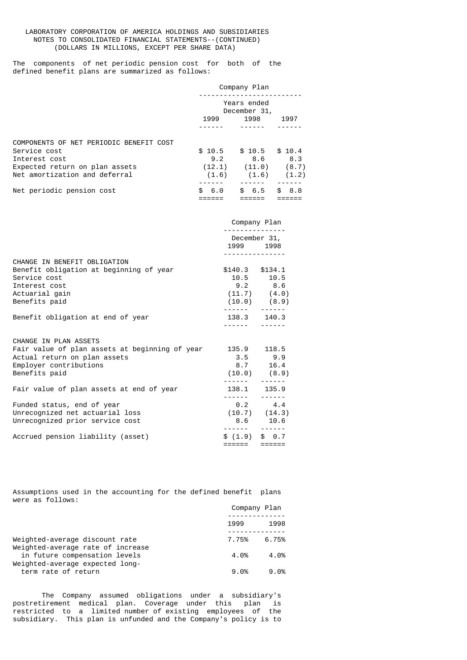The components of net periodic pension cost for both of the defined benefit plans are summarized as follows:

|                                         |                             | Company Plan |           |
|-----------------------------------------|-----------------------------|--------------|-----------|
|                                         | Years ended<br>December 31, |              |           |
|                                         | 1999                        | 1998         | 1997      |
|                                         |                             |              |           |
| COMPONENTS OF NET PERIODIC BENEFIT COST |                             |              |           |
| Service cost                            | \$10.5                      | \$10.5       | \$10.4    |
| Interest cost                           | 9.2                         | 8.6          | 8.3       |
| Expected return on plan assets          | (12.1)                      | (11.0)       | (8.7)     |
| Net amortization and deferral           | (1.6)                       | (1.6)        | (1.2)     |
|                                         |                             |              |           |
| Net periodic pension cost               | 6.0<br>£.                   | 6.5<br>\$.   | 8.8<br>£. |
|                                         |                             |              |           |

|                                                                                                                                                                | Company Plan<br>.<br>December 31,                                 |                                 |
|----------------------------------------------------------------------------------------------------------------------------------------------------------------|-------------------------------------------------------------------|---------------------------------|
|                                                                                                                                                                | 1999 1998                                                         |                                 |
| CHANGE IN BENEFIT OBLIGATION<br>Benefit obligation at beginning of year<br>Service cost<br>Interest cost<br>Actuarial gain<br>Benefits paid                    | \$140.3 \$134.1<br>$9.2$ 8.6<br>$(10.0)$ $(8.9)$<br>------ ------ | $10.5$ 10.5<br>$(11.7)$ $(4.0)$ |
| Benefit obligation at end of year                                                                                                                              | 138.3 140.3<br>.                                                  |                                 |
| CHANGE IN PLAN ASSETS<br>Fair value of plan assets at beginning of year 135.9 118.5<br>Actual return on plan assets<br>Employer contributions<br>Benefits paid | $(10.0)$ $(8.9)$                                                  | $3.5$ $9.9$<br>8.7 16.4         |
| Fair value of plan assets at end of year                                                                                                                       | 138.1 135.9<br>------ ------                                      |                                 |
| Funded status, end of year<br>Unrecognized net actuarial loss<br>Unrecognized prior service cost                                                               | $(10.7)$ $(14.3)$                                                 | $0.2$ 4.4<br>$8.6$ 10.6         |
| Accrued pension liability (asset)                                                                                                                              | \$(1.9) \$0.7<br>====== ======                                    |                                 |

Assumptions used in the accounting for the defined benefit plans were as follows:

|                                                                     | Company Plan |       |
|---------------------------------------------------------------------|--------------|-------|
|                                                                     | 1999         | 1998  |
| Weighted-average discount rate<br>Weighted-average rate of increase | 7.75%        | 6.75% |
| in future compensation levels<br>Weighted-average expected long-    | 4.0%         | 4.0%  |
| term rate of return                                                 | 9.0%         | 9.0%  |

 The Company assumed obligations under a subsidiary's postretirement medical plan. Coverage under this plan is restricted to a limited number of existing employees of the subsidiary. This plan is unfunded and the Company's policy is to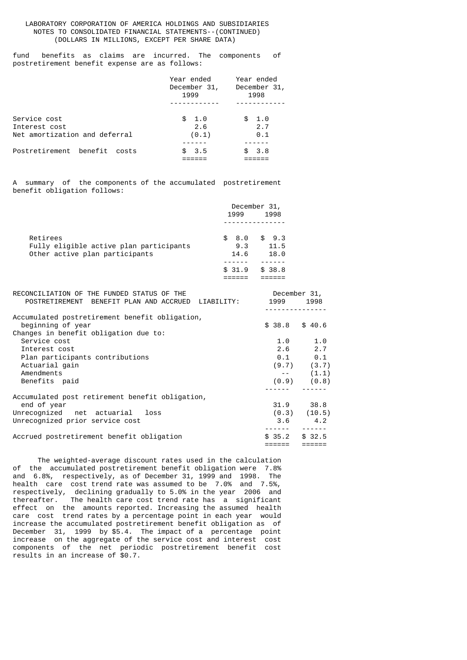## LABORATORY CORPORATION OF AMERICA HOLDINGS AND SUBSIDIARIES NOTES TO CONSOLIDATED FINANCIAL STATEMENTS--(CONTINUED) (DOLLARS IN MILLIONS, EXCEPT PER SHARE DATA)

fund benefits as claims are incurred. The components of postretirement benefit expense are as follows:

|                                                                | Year ended<br>December 31,<br>1999 | Year ended<br>December 31,<br>1998 |
|----------------------------------------------------------------|------------------------------------|------------------------------------|
|                                                                |                                    |                                    |
| Service cost<br>Interest cost<br>Net amortization and deferral | \$1.0<br>2.6<br>(0.1)              | \$<br>1.0<br>2.7<br>0.1            |
| Postretirement benefit costs                                   | \$3.5                              | 3.8                                |

A summary of the components of the accumulated postretirement benefit obligation follows:

|                                         |        | December 31, |
|-----------------------------------------|--------|--------------|
|                                         | 1999   | 1998         |
|                                         |        |              |
| Retirees                                | \$8.0  | \$9.3        |
| Fully eligible active plan participants | 9.3    | 11.5         |
| Other active plan participants          | 14.6   | 18.0         |
|                                         |        |              |
|                                         | \$31.9 | \$38.8       |
|                                         |        |              |

| RECONCILIATION OF THE FUNDED STATUS OF THE         |        | December 31,     |
|----------------------------------------------------|--------|------------------|
| POSTRETIREMENT BENEFIT PLAN AND ACCRUED LIABILITY: | 1999   | 1998             |
| Accumulated postretirement benefit obligation,     |        |                  |
| beginning of year                                  | \$38.8 | \$40.6           |
| Changes in benefit obligation due to:              |        |                  |
| Service cost                                       |        | $1.0$ $1.0$      |
| Interest cost                                      |        | $2.6$ 2.7        |
| Plan participants contributions                    |        | $0.1$ 0.1        |
| Actuarial gain                                     |        | $(9.7)$ $(3.7)$  |
| Amendments                                         |        | $-(-)(1.1)$      |
| Benefits paid                                      |        | $(0.9)$ $(0.8)$  |
|                                                    |        |                  |
| Accumulated post retirement benefit obligation,    |        |                  |
| end of year                                        |        | 31.9 38.8        |
| Unrecognized net actuarial<br>loss                 |        | $(0.3)$ $(10.5)$ |
| Unrecognized prior service cost                    |        | $3.6$ 4.2        |
|                                                    |        | ------           |
| Accrued postretirement benefit obligation          | \$35.2 | \$32.5           |
|                                                    |        |                  |

 The weighted-average discount rates used in the calculation of the accumulated postretirement benefit obligation were 7.8% and 6.8%, respectively, as of December 31, 1999 and 1998. The health care cost trend rate was assumed to be 7.0% and 7.5%, respectively, declining gradually to 5.0% in the year 2006 and thereafter. The health care cost trend rate has a significant effect on the amounts reported. Increasing the assumed health care cost trend rates by a percentage point in each year would increase the accumulated postretirement benefit obligation as of December 31, 1999 by \$5.4. The impact of a percentage point increase on the aggregate of the service cost and interest cost components of the net periodic postretirement benefit cost results in an increase of \$0.7.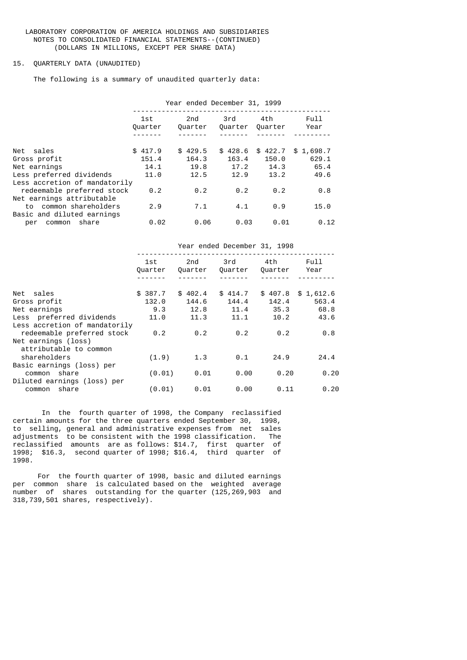## LABORATORY CORPORATION OF AMERICA HOLDINGS AND SUBSIDIARIES NOTES TO CONSOLIDATED FINANCIAL STATEMENTS--(CONTINUED) (DOLLARS IN MILLIONS, EXCEPT PER SHARE DATA)

#### 15. QUARTERLY DATA (UNAUDITED)

The following is a summary of unaudited quarterly data:

|                               |                | Year ended December 31, 1999 |                |                |                     |
|-------------------------------|----------------|------------------------------|----------------|----------------|---------------------|
|                               | 1st<br>Quarter | 2nd<br>Ouarter               | 3rd<br>Ouarter | 4th<br>Quarter | Full<br>Year        |
|                               |                |                              |                |                |                     |
| Net sales                     | \$417.9        | \$429.5                      | \$428.6        |                | $$422.7$ $$1,698.7$ |
| Gross profit                  | 151.4          | 164.3                        | 163.4          | 150.0          | 629.1               |
| Net earnings                  | 14.1           | 19.8                         | 17.2           | 14.3           | 65.4                |
| Less preferred dividends      | 11.0           | 12.5                         | 12.9           | 13.2           | 49.6                |
| Less accretion of mandatorily |                |                              |                |                |                     |
| redeemable preferred stock    | 0.2            | 0.2                          | 0.2            | 0.2            | 0.8                 |
| Net earnings attributable     |                |                              |                |                |                     |
| to common shareholders        | 2.9            | 7.1                          | 4.1            | 0.9            | 15.0                |
| Basic and diluted earnings    |                |                              |                |                |                     |
| share<br>common<br>per        | 0.02           | 0.06                         | 0.03           | 0.01           | 0.12                |

|                               |                |         | Year ended December 31, 1998 |                |                  |
|-------------------------------|----------------|---------|------------------------------|----------------|------------------|
|                               | 1st<br>Quarter | 2nd     | 3rd<br>Quarter Quarter       | 4th<br>Quarter | Full<br>Year     |
|                               |                |         |                              |                |                  |
| Net sales                     | \$387.7        | \$402.4 | \$414.7                      |                | \$407.8\$1,612.6 |
| Gross profit                  | 132.0          | 144.6   | 144.4                        | 142.4          | 563.4            |
| Net earnings                  | 9.3            | 12.8    | 11.4                         | 35.3           | 68.8             |
| Less preferred dividends      | 11.0           | 11.3    | 11.1                         | 10.2           | 43.6             |
| Less accretion of mandatorily |                |         |                              |                |                  |
| redeemable preferred stock    | 0.2            | 0.2     | 0.2                          | 0.2            | 0.8              |
| Net earnings (loss)           |                |         |                              |                |                  |
| attributable to common        |                |         |                              |                |                  |
| shareholders                  | (1.9)          | 1.3     | 0.1                          | 24.9           | 24.4             |
| Basic earnings (loss) per     |                |         |                              |                |                  |
| common share                  | (0.01)         | 0.01    | 0.00                         | 0.20           | 0.20             |
| Diluted earnings (loss) per   |                |         |                              |                |                  |
| common share                  | (0.01)         | 0.01    | 0.00                         | 0.11           | 0.20             |
|                               |                |         |                              |                |                  |

 In the fourth quarter of 1998, the Company reclassified certain amounts for the three quarters ended September 30, 1998, to selling, general and administrative expenses from net sales adjustments to be consistent with the 1998 classification. The reclassified amounts are as follows: \$14.7, first quarter of 1998; \$16.3, second quarter of 1998; \$16.4, third quarter of 1998.

 For the fourth quarter of 1998, basic and diluted earnings per common share is calculated based on the weighted average number of shares outstanding for the quarter (125,269,903 and 318,739,501 shares, respectively).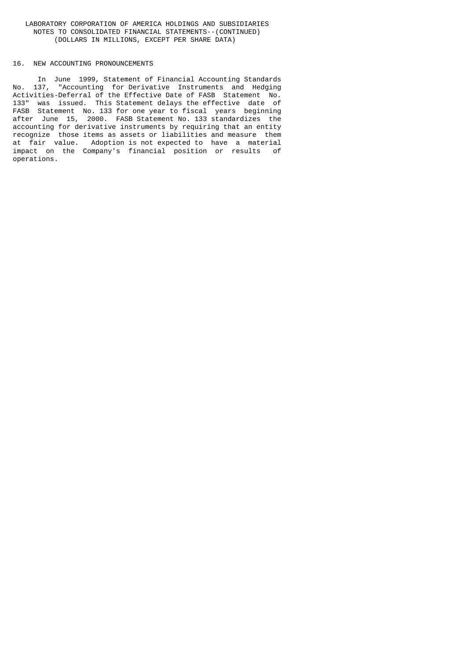## LABORATORY CORPORATION OF AMERICA HOLDINGS AND SUBSIDIARIES NOTES TO CONSOLIDATED FINANCIAL STATEMENTS--(CONTINUED) (DOLLARS IN MILLIONS, EXCEPT PER SHARE DATA)

#### 16. NEW ACCOUNTING PRONOUNCEMENTS

 In June 1999, Statement of Financial Accounting Standards No. 137, "Accounting for Derivative Instruments and Hedging Activities-Deferral of the Effective Date of FASB Statement No. 133" was issued. This Statement delays the effective date of FASB Statement No. 133 for one year to fiscal years beginning after June 15, 2000. FASB Statement No. 133 standardizes the accounting for derivative instruments by requiring that an entity recognize those items as assets or liabilities and measure them at fair value. Adoption is not expected to have a material impact on the Company's financial position or results of operations.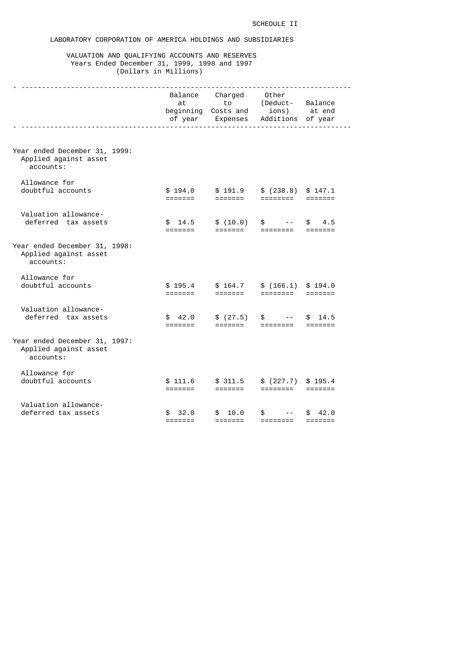# LABORATORY CORPORATION OF AMERICA HOLDINGS AND SUBSIDIARIES

## VALUATION AND QUALIFYING ACCOUNTS AND RESERVES Years Ended December 31, 1999, 1998 and 1997 (Dollars in Millions)

|                                                                     | at                                        | Balance Charged Other<br>beginning Costs and ions) at end<br>of year Expenses Additions of year | to (Deduct- Balance                                 |                             |
|---------------------------------------------------------------------|-------------------------------------------|-------------------------------------------------------------------------------------------------|-----------------------------------------------------|-----------------------------|
|                                                                     |                                           |                                                                                                 |                                                     |                             |
| Year ended December 31, 1999:<br>Applied against asset<br>accounts: |                                           |                                                                                                 |                                                     |                             |
| Allowance for<br>doubtful accounts                                  | \$194.0<br>=======                        | \$191.9<br>=======                                                                              | \$ (238.8) \$ 147.1<br>========                     |                             |
| Valuation allowance-<br>deferred tax assets                         | \$14.5<br>$=$ $=$ $=$ $=$ $=$ $=$         |                                                                                                 | $$(10.0)$ \$ --                                     | \$4.5                       |
| Year ended December 31, 1998:<br>Applied against asset<br>accounts: |                                           |                                                                                                 |                                                     |                             |
| Allowance for<br>doubtful accounts                                  | \$195.4<br>=======                        | =======                                                                                         | $$164.7$ $$ (166.1) $194.0$                         |                             |
| Valuation allowance-<br>deferred tax assets                         | \$42.0<br>=======                         | \$(27.5)                                                                                        | $\mathbb{S}$<br>$\sim$ $    -$<br>=======  ======== | \$14.5                      |
| Year ended December 31, 1997:<br>Applied against asset<br>accounts: |                                           |                                                                                                 |                                                     |                             |
| Allowance for<br>doubtful accounts                                  | \$111.6<br>=======                        | \$311.5<br>$=$ $=$ $=$ $=$ $=$ $=$                                                              | \$ (227.7) \$ 195.4                                 |                             |
| Valuation allowance-<br>deferred tax assets                         | \$32.0<br>$=$ $=$ $=$ $=$ $=$ $=$ $=$ $=$ | \$10.0<br>$=$ $=$ $=$ $=$ $=$ $=$ $=$                                                           | \$<br>$\sim$ $    -$<br>========                    | \$42.0<br>$= = = = = = = =$ |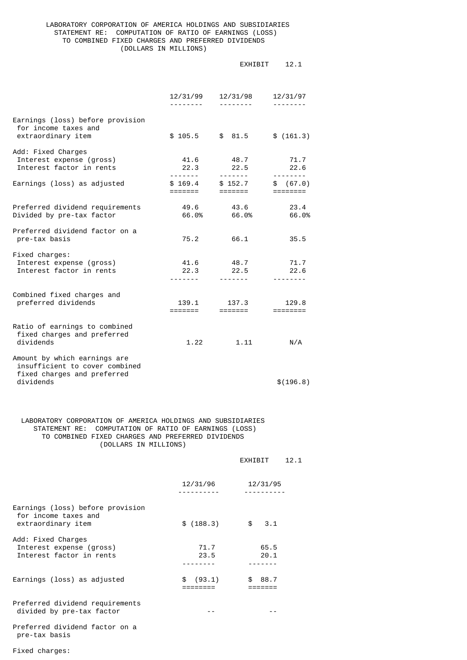## LABORATORY CORPORATION OF AMERICA HOLDINGS AND SUBSIDIARIES STATEMENT RE: COMPUTATION OF RATIO OF EARNINGS (LOSS) TO COMBINED FIXED CHARGES AND PREFERRED DIVIDENDS (DOLLARS IN MILLIONS)

|                                                                                               |                                       | EXHIBIT                                                                                                                                                                                                                                                                                                                                                                                                                                                                                                | 12.1                                                                                                                                                                                                                                                                                                                                                                                                                                                                                                   |
|-----------------------------------------------------------------------------------------------|---------------------------------------|--------------------------------------------------------------------------------------------------------------------------------------------------------------------------------------------------------------------------------------------------------------------------------------------------------------------------------------------------------------------------------------------------------------------------------------------------------------------------------------------------------|--------------------------------------------------------------------------------------------------------------------------------------------------------------------------------------------------------------------------------------------------------------------------------------------------------------------------------------------------------------------------------------------------------------------------------------------------------------------------------------------------------|
|                                                                                               | 12/31/99<br>--------                  | 12/31/98                                                                                                                                                                                                                                                                                                                                                                                                                                                                                               | 12/31/97                                                                                                                                                                                                                                                                                                                                                                                                                                                                                               |
| Earnings (loss) before provision<br>for income taxes and<br>extraordinary item                | \$105.5                               | \$81.5                                                                                                                                                                                                                                                                                                                                                                                                                                                                                                 | \$(161.3)                                                                                                                                                                                                                                                                                                                                                                                                                                                                                              |
| Add: Fixed Charges<br>Interest expense (gross)<br>Interest factor in rents                    | 41.6<br>22.3<br><u> - - - - - - -</u> | 48.7<br>22.5<br>$\begin{array}{cccccccccccccc} \multicolumn{2}{c}{} & \multicolumn{2}{c}{} & \multicolumn{2}{c}{} & \multicolumn{2}{c}{} & \multicolumn{2}{c}{} & \multicolumn{2}{c}{} & \multicolumn{2}{c}{} & \multicolumn{2}{c}{} & \multicolumn{2}{c}{} & \multicolumn{2}{c}{} & \multicolumn{2}{c}{} & \multicolumn{2}{c}{} & \multicolumn{2}{c}{} & \multicolumn{2}{c}{} & \multicolumn{2}{c}{} & \multicolumn{2}{c}{} & \multicolumn{2}{c}{} & \multicolumn{2}{c}{} & \multicolumn{2}{c}{} & \$ | 71.7<br>22.6<br>$\begin{array}{cccccccccccccc} \multicolumn{2}{c}{} & \multicolumn{2}{c}{} & \multicolumn{2}{c}{} & \multicolumn{2}{c}{} & \multicolumn{2}{c}{} & \multicolumn{2}{c}{} & \multicolumn{2}{c}{} & \multicolumn{2}{c}{} & \multicolumn{2}{c}{} & \multicolumn{2}{c}{} & \multicolumn{2}{c}{} & \multicolumn{2}{c}{} & \multicolumn{2}{c}{} & \multicolumn{2}{c}{} & \multicolumn{2}{c}{} & \multicolumn{2}{c}{} & \multicolumn{2}{c}{} & \multicolumn{2}{c}{} & \multicolumn{2}{c}{} & \$ |
| Earnings (loss) as adjusted                                                                   | \$169.4<br>=======                    | \$152.7<br>=======                                                                                                                                                                                                                                                                                                                                                                                                                                                                                     | \$ (67.0)<br>$=$ $=$ $=$ $=$ $=$ $=$ $=$                                                                                                                                                                                                                                                                                                                                                                                                                                                               |
| Preferred dividend requirements<br>Divided by pre-tax factor                                  | 49.6                                  | 43.6<br>66.0% 66.0%                                                                                                                                                                                                                                                                                                                                                                                                                                                                                    | 23.4<br>66.0%                                                                                                                                                                                                                                                                                                                                                                                                                                                                                          |
| Preferred dividend factor on a<br>pre-tax basis                                               | 75.2                                  | 66.1                                                                                                                                                                                                                                                                                                                                                                                                                                                                                                   | 35.5                                                                                                                                                                                                                                                                                                                                                                                                                                                                                                   |
| Fixed charges:<br>Interest expense (gross)<br>Interest factor in rents                        | 41.6<br>22.3                          | 48.7<br>22.5                                                                                                                                                                                                                                                                                                                                                                                                                                                                                           | 71.7<br>22.6                                                                                                                                                                                                                                                                                                                                                                                                                                                                                           |
| Combined fixed charges and<br>preferred dividends                                             | 139.1<br>=======                      | 137.3<br>=======                                                                                                                                                                                                                                                                                                                                                                                                                                                                                       | 129.8<br>$=$ $=$ $=$ $=$ $=$ $=$ $=$                                                                                                                                                                                                                                                                                                                                                                                                                                                                   |
| Ratio of earnings to combined<br>fixed charges and preferred<br>dividends                     | 1.22                                  | 1.11                                                                                                                                                                                                                                                                                                                                                                                                                                                                                                   | N/A                                                                                                                                                                                                                                                                                                                                                                                                                                                                                                    |
| Amount by which earnings are<br>insufficient to cover combined<br>fixed charges and preferred |                                       |                                                                                                                                                                                                                                                                                                                                                                                                                                                                                                        |                                                                                                                                                                                                                                                                                                                                                                                                                                                                                                        |
| dividends                                                                                     |                                       |                                                                                                                                                                                                                                                                                                                                                                                                                                                                                                        | \$(196.8)                                                                                                                                                                                                                                                                                                                                                                                                                                                                                              |

## LABORATORY CORPORATION OF AMERICA HOLDINGS AND SUBSIDIARIES STATEMENT RE: COMPUTATION OF RATIO OF EARNINGS (LOSS) TO COMBINED FIXED CHARGES AND PREFERRED DIVIDENDS (DOLLARS IN MILLIONS)

|                                                                                |              | FXHTBTT           | 12.1 |
|--------------------------------------------------------------------------------|--------------|-------------------|------|
|                                                                                | 12/31/96     | 12/31/95          |      |
| Earnings (loss) before provision<br>for income taxes and<br>extraordinary item | \$(188.3)    | $\frac{1}{3}$ 3.1 |      |
| Add: Fixed Charges<br>Interest expense (gross)<br>Interest factor in rents     | 71.7<br>23.5 | 65.5<br>20.1      |      |
| Earnings (loss) as adjusted                                                    | (93.1)<br>\$ | 88.7              |      |
| Preferred dividend requirements<br>divided by pre-tax factor                   |              |                   |      |
| Preferred dividend factor on a<br>pre-tax basis                                |              |                   |      |

Fixed charges: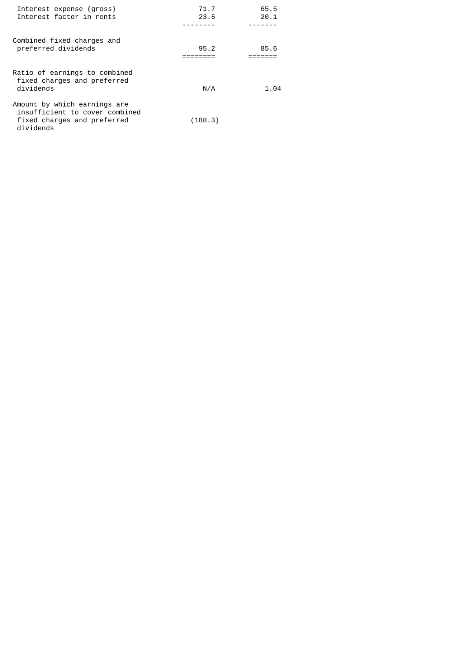| Interest expense (gross)<br>Interest factor in rents                                                       | 71.7<br>23.5 | 65.5<br>20.1 |
|------------------------------------------------------------------------------------------------------------|--------------|--------------|
| Combined fixed charges and<br>preferred dividends                                                          | 95.2         | 85.6         |
| Ratio of earnings to combined<br>fixed charges and preferred<br>dividends                                  | N/A          | 1.04         |
| Amount by which earnings are<br>insufficient to cover combined<br>fixed charges and preferred<br>dividends | (188.3)      |              |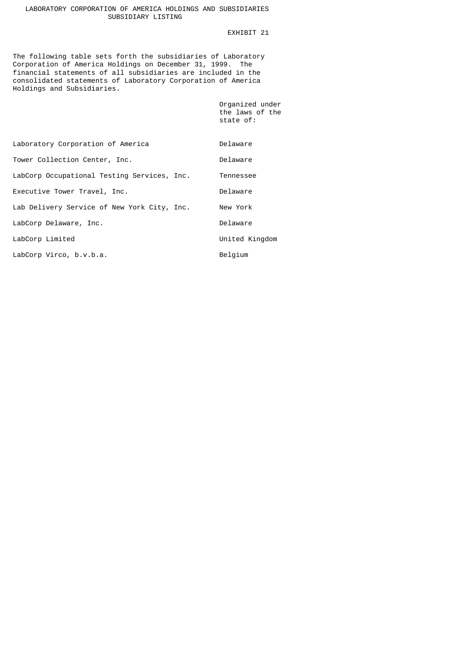## LABORATORY CORPORATION OF AMERICA HOLDINGS AND SUBSIDIARIES SUBSIDIARY LISTING

## EXHIBIT 21

The following table sets forth the subsidiaries of Laboratory Corporation of America Holdings on December 31, 1999. The financial statements of all subsidiaries are included in the consolidated statements of Laboratory Corporation of America Holdings and Subsidiaries.

| Organized under |
|-----------------|
| the laws of the |
| state of:       |
|                 |

| Laboratory Corporation of America           | Delaware       |
|---------------------------------------------|----------------|
| Tower Collection Center, Inc.               | Delaware       |
| LabCorp Occupational Testing Services, Inc. | Tennessee      |
| Executive Tower Travel, Inc.                | Delaware       |
| Lab Delivery Service of New York City, Inc. | New York       |
| LabCorp Delaware, Inc.                      | Delaware       |
| LabCorp Limited                             | United Kingdom |
| LabCorp Virco, b.v.b.a.                     | Belgium        |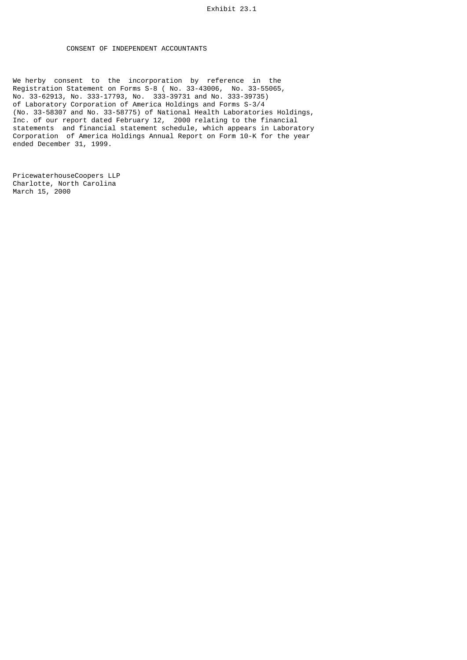## CONSENT OF INDEPENDENT ACCOUNTANTS

We herby consent to the incorporation by reference in the Registration Statement on Forms S-8 ( No. 33-43006, No. 33-55065, No. 33-62913, No. 333-17793, No. 333-39731 and No. 333-39735) of Laboratory Corporation of America Holdings and Forms S-3/4 (No. 33-58307 and No. 33-58775) of National Health Laboratories Holdings, Inc. of our report dated February 12, 2000 relating to the financial statements and financial statement schedule, which appears in Laboratory Corporation of America Holdings Annual Report on Form 10-K for the year ended December 31, 1999.

PricewaterhouseCoopers LLP Charlotte, North Carolina March 15, 2000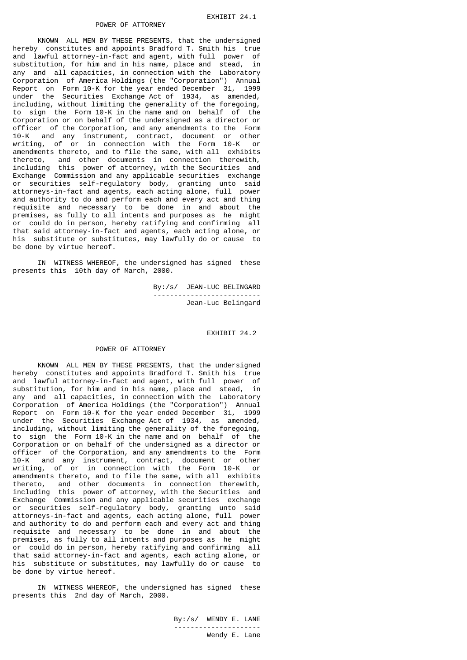KNOWN ALL MEN BY THESE PRESENTS, that the undersigned hereby constitutes and appoints Bradford T. Smith his true and lawful attorney-in-fact and agent, with full power of substitution, for him and in his name, place and stead, in any and all capacities, in connection with the Laboratory Corporation of America Holdings (the "Corporation") Annual Report on Form 10-K for the year ended December 31, 1999 under the Securities Exchange Act of 1934, as amended, including, without limiting the generality of the foregoing, to sign the Form 10-K in the name and on behalf of the Corporation or on behalf of the undersigned as a director or officer of the Corporation, and any amendments to the Form 10-K and any instrument, contract, document or other writing, of or in connection with the Form 10-K or amendments thereto, and to file the same, with all exhibits thereto, and other documents in connection therewith, including this power of attorney, with the Securities and Exchange Commission and any applicable securities exchange or securities self-regulatory body, granting unto said attorneys-in-fact and agents, each acting alone, full power and authority to do and perform each and every act and thing requisite and necessary to be done in and about the premises, as fully to all intents and purposes as he might or could do in person, hereby ratifying and confirming all that said attorney-in-fact and agents, each acting alone, or his substitute or substitutes, may lawfully do or cause to be done by virtue hereof.

 IN WITNESS WHEREOF, the undersigned has signed these presents this 10th day of March, 2000.

> By:/s/ JEAN-LUC BELINGARD -------------------------- Jean-Luc Belingard

> > EXHIBIT 24.2

#### POWER OF ATTORNEY

 KNOWN ALL MEN BY THESE PRESENTS, that the undersigned hereby constitutes and appoints Bradford T. Smith his true and lawful attorney-in-fact and agent, with full power of substitution, for him and in his name, place and stead, in any and all capacities, in connection with the Laboratory Corporation of America Holdings (the "Corporation") Annual Report on Form 10-K for the year ended December 31, 1999 under the Securities Exchange Act of 1934, as amended, including, without limiting the generality of the foregoing, to sign the Form 10-K in the name and on behalf of the Corporation or on behalf of the undersigned as a director or officer of the Corporation, and any amendments to the Form 10-K and any instrument, contract, document or other writing, of or in connection with the Form 10-K or amendments thereto, and to file the same, with all exhibits thereto, and other documents in connection therewith, including this power of attorney, with the Securities and Exchange Commission and any applicable securities exchange or securities self-regulatory body, granting unto said attorneys-in-fact and agents, each acting alone, full power and authority to do and perform each and every act and thing requisite and necessary to be done in and about the premises, as fully to all intents and purposes as he might or could do in person, hereby ratifying and confirming all that said attorney-in-fact and agents, each acting alone, or his substitute or substitutes, may lawfully do or cause to be done by virtue hereof.

 IN WITNESS WHEREOF, the undersigned has signed these presents this 2nd day of March, 2000.

 By:/s/ WENDY E. LANE --------------------- Wendy E. Lane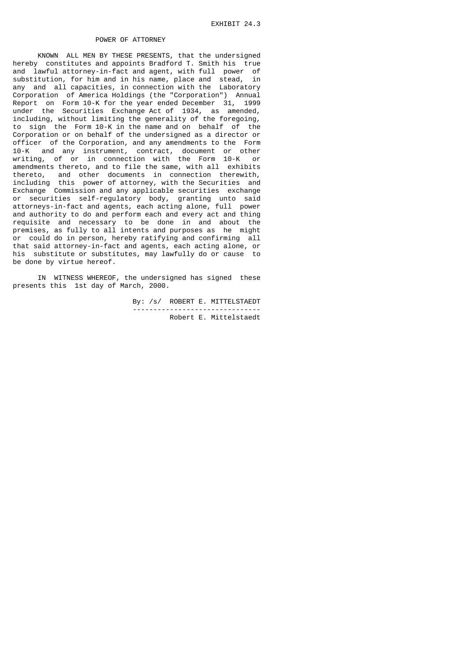KNOWN ALL MEN BY THESE PRESENTS, that the undersigned hereby constitutes and appoints Bradford T. Smith his true and lawful attorney-in-fact and agent, with full power of substitution, for him and in his name, place and stead, in any and all capacities, in connection with the Laboratory Corporation of America Holdings (the "Corporation") Annual Report on Form 10-K for the year ended December 31, 1999 under the Securities Exchange Act of 1934, as amended, including, without limiting the generality of the foregoing, to sign the Form 10-K in the name and on behalf of the Corporation or on behalf of the undersigned as a director or officer of the Corporation, and any amendments to the Form 10-K and any instrument, contract, document or other writing, of or in connection with the Form 10-K or amendments thereto, and to file the same, with all exhibits thereto, and other documents in connection therewith, including this power of attorney, with the Securities and Exchange Commission and any applicable securities exchange or securities self-regulatory body, granting unto said attorneys-in-fact and agents, each acting alone, full power and authority to do and perform each and every act and thing requisite and necessary to be done in and about the premises, as fully to all intents and purposes as he might or could do in person, hereby ratifying and confirming all that said attorney-in-fact and agents, each acting alone, or his substitute or substitutes, may lawfully do or cause to be done by virtue hereof.

 IN WITNESS WHEREOF, the undersigned has signed these presents this 1st day of March, 2000.

> By: /s/ ROBERT E. MITTELSTAEDT ------------------------------- Robert E. Mittelstaedt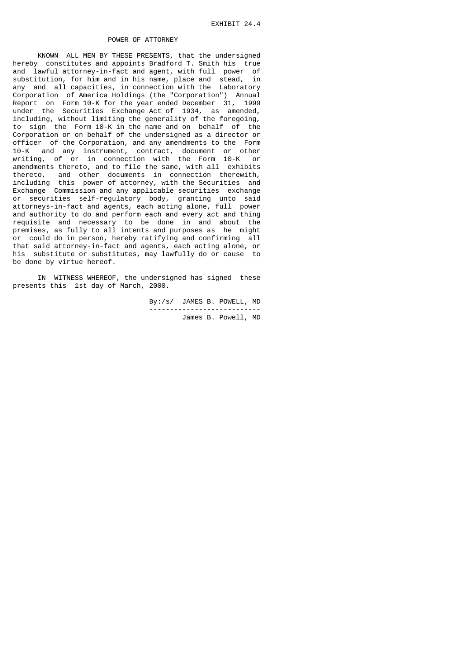KNOWN ALL MEN BY THESE PRESENTS, that the undersigned hereby constitutes and appoints Bradford T. Smith his true and lawful attorney-in-fact and agent, with full power of substitution, for him and in his name, place and stead, in any and all capacities, in connection with the Laboratory Corporation of America Holdings (the "Corporation") Annual Report on Form 10-K for the year ended December 31, 1999 under the Securities Exchange Act of 1934, as amended, including, without limiting the generality of the foregoing, to sign the Form 10-K in the name and on behalf of the Corporation or on behalf of the undersigned as a director or officer of the Corporation, and any amendments to the Form 10-K and any instrument, contract, document or other writing, of or in connection with the Form 10-K or amendments thereto, and to file the same, with all exhibits thereto, and other documents in connection therewith, including this power of attorney, with the Securities and Exchange Commission and any applicable securities exchange or securities self-regulatory body, granting unto said attorneys-in-fact and agents, each acting alone, full power and authority to do and perform each and every act and thing requisite and necessary to be done in and about the premises, as fully to all intents and purposes as he might or could do in person, hereby ratifying and confirming all that said attorney-in-fact and agents, each acting alone, or his substitute or substitutes, may lawfully do or cause to be done by virtue hereof.

 IN WITNESS WHEREOF, the undersigned has signed these presents this 1st day of March, 2000.

> By:/s/ JAMES B. POWELL, MD --------------------------- James B. Powell, MD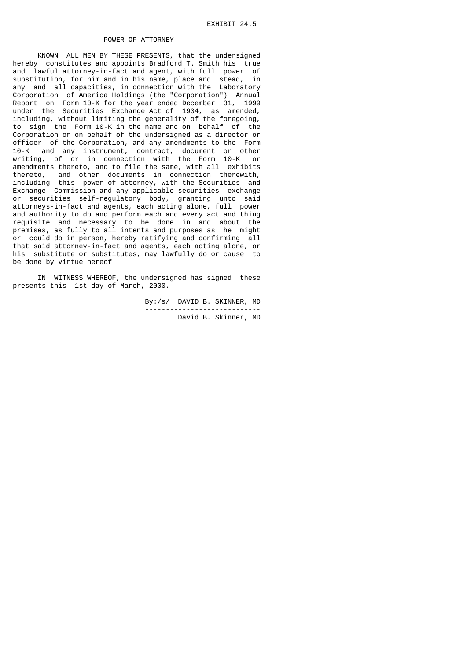KNOWN ALL MEN BY THESE PRESENTS, that the undersigned hereby constitutes and appoints Bradford T. Smith his true and lawful attorney-in-fact and agent, with full power of substitution, for him and in his name, place and stead, in any and all capacities, in connection with the Laboratory Corporation of America Holdings (the "Corporation") Annual Report on Form 10-K for the year ended December 31, 1999 under the Securities Exchange Act of 1934, as amended, including, without limiting the generality of the foregoing, to sign the Form 10-K in the name and on behalf of the Corporation or on behalf of the undersigned as a director or officer of the Corporation, and any amendments to the Form 10-K and any instrument, contract, document or other writing, of or in connection with the Form 10-K or amendments thereto, and to file the same, with all exhibits thereto, and other documents in connection therewith, including this power of attorney, with the Securities and Exchange Commission and any applicable securities exchange or securities self-regulatory body, granting unto said attorneys-in-fact and agents, each acting alone, full power and authority to do and perform each and every act and thing requisite and necessary to be done in and about the premises, as fully to all intents and purposes as he might or could do in person, hereby ratifying and confirming all that said attorney-in-fact and agents, each acting alone, or his substitute or substitutes, may lawfully do or cause to be done by virtue hereof.

 IN WITNESS WHEREOF, the undersigned has signed these presents this 1st day of March, 2000.

 By:/s/ DAVID B. SKINNER, MD ---------------------------- David B. Skinner, MD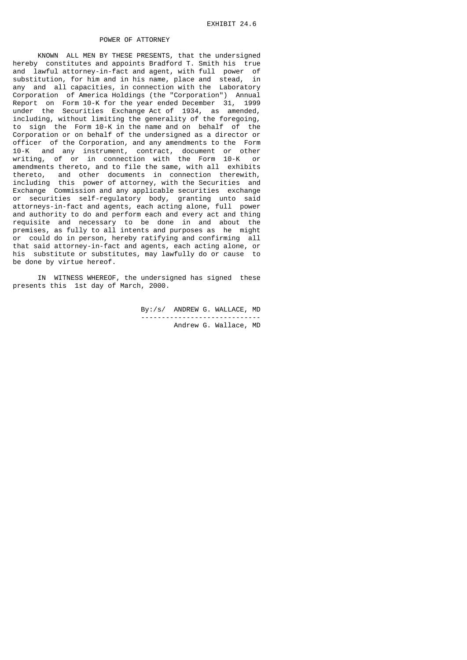KNOWN ALL MEN BY THESE PRESENTS, that the undersigned hereby constitutes and appoints Bradford T. Smith his true and lawful attorney-in-fact and agent, with full power of substitution, for him and in his name, place and stead, in any and all capacities, in connection with the Laboratory Corporation of America Holdings (the "Corporation") Annual Report on Form 10-K for the year ended December 31, 1999 under the Securities Exchange Act of 1934, as amended, including, without limiting the generality of the foregoing, to sign the Form 10-K in the name and on behalf of the Corporation or on behalf of the undersigned as a director or officer of the Corporation, and any amendments to the Form 10-K and any instrument, contract, document or other writing, of or in connection with the Form 10-K or amendments thereto, and to file the same, with all exhibits thereto, and other documents in connection therewith, including this power of attorney, with the Securities and Exchange Commission and any applicable securities exchange or securities self-regulatory body, granting unto said attorneys-in-fact and agents, each acting alone, full power and authority to do and perform each and every act and thing requisite and necessary to be done in and about the premises, as fully to all intents and purposes as he might or could do in person, hereby ratifying and confirming all that said attorney-in-fact and agents, each acting alone, or his substitute or substitutes, may lawfully do or cause to be done by virtue hereof.

 IN WITNESS WHEREOF, the undersigned has signed these presents this 1st day of March, 2000.

> By:/s/ ANDREW G. WALLACE, MD ----------------------------- Andrew G. Wallace, MD